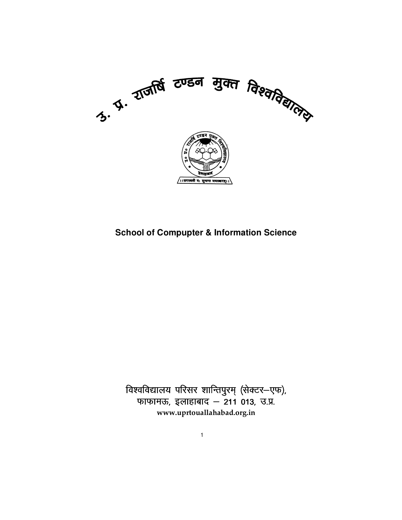

# **School of Compupter & Information Science**

.<br>विश्वविद्यालय परिसर शान्तिपुरम् (सेक्टर—एफ), फाफामऊ, इलाहाबाद – 211 013, उ.प्र. **www.uprtouallahabad.org.in**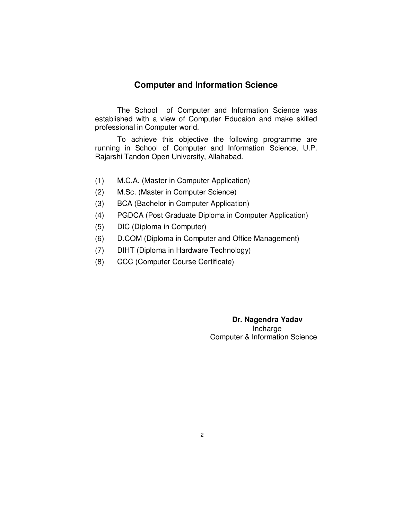# **Computer and Information Science**

The School of Computer and Information Science was established with a view of Computer Educaion and make skilled professional in Computer world.

 To achieve this objective the following programme are running in School of Computer and Information Science, U.P. Rajarshi Tandon Open University, Allahabad.

- (1) M.C.A. (Master in Computer Application)
- (2) M.Sc. (Master in Computer Science)
- (3) BCA (Bachelor in Computer Application)
- (4) PGDCA (Post Graduate Diploma in Computer Application)
- (5) DIC (Diploma in Computer)
- (6) D.COM (Diploma in Computer and Office Management)
- (7) DIHT (Diploma in Hardware Technology)
- (8) CCC (Computer Course Certificate)

 **Dr. Nagendra Yadav**  Incharge Computer & Information Science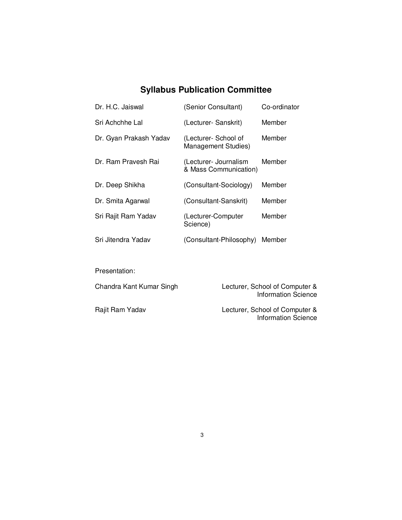# **Syllabus Publication Committee**

| Dr. H.C. Jaiswal       | (Senior Consultant)                                | Co-ordinator |
|------------------------|----------------------------------------------------|--------------|
| Sri Achchhe Lal        | (Lecturer- Sanskrit)                               | Member       |
| Dr. Gyan Prakash Yadav | (Lecturer- School of<br><b>Management Studies)</b> | Member       |
| Dr. Ram Pravesh Rai    | (Lecturer- Journalism<br>& Mass Communication)     | Member       |
| Dr. Deep Shikha        | (Consultant-Sociology)                             | Member       |
| Dr. Smita Agarwal      | (Consultant-Sanskrit)                              | Member       |
| Sri Rajit Ram Yadav    | (Lecturer-Computer<br>Science)                     | Member       |
| Sri Jitendra Yadav     | (Consultant-Philosophy)                            | Member       |

Presentation:

| Chandra Kant Kumar Singh | Lecturer, School of Computer &<br>Information Science |
|--------------------------|-------------------------------------------------------|
| Rajit Ram Yadav          | Lecturer, School of Computer &<br>Information Science |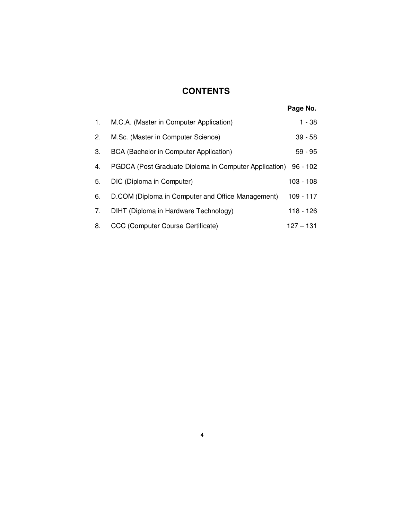# **CONTENTS**

|    |                                                                | Page No.    |
|----|----------------------------------------------------------------|-------------|
| 1. | M.C.A. (Master in Computer Application)                        | 1 - 38      |
| 2. | M.Sc. (Master in Computer Science)                             | $39 - 58$   |
| 3. | BCA (Bachelor in Computer Application)                         | $59 - 95$   |
| 4. | PGDCA (Post Graduate Diploma in Computer Application) 96 - 102 |             |
| 5. | DIC (Diploma in Computer)                                      | $103 - 108$ |
| 6. | D.COM (Diploma in Computer and Office Management)              | $109 - 117$ |
| 7. | DIHT (Diploma in Hardware Technology)                          | $118 - 126$ |
| 8. | CCC (Computer Course Certificate)                              | $127 - 131$ |
|    |                                                                |             |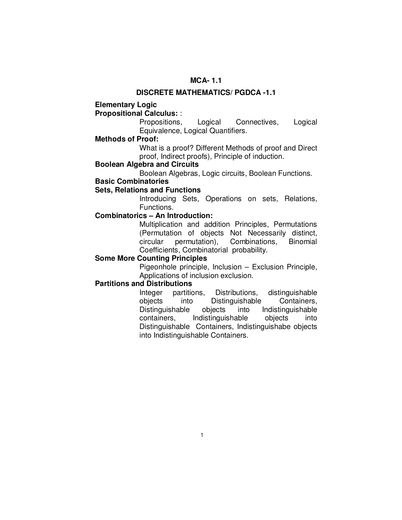# **MCA- 1.1**

#### **DISCRETE MATHEMATICS/ PGDCA -1.1**

# **Elementary Logic**

# **Propositional Calculus:** :

 Propositions, Logical Connectives, Logical Equivalence, Logical Quantifiers.

#### **Methods of Proof:**

 What is a proof? Different Methods of proof and Direct proof, Indirect proofs), Principle of induction.

# **Boolean Algebra and Circuits**

Boolean Algebras, Logic circuits, Boolean Functions.

# **Basic Combinatories**

# **Sets, Relations and Functions**

 Introducing Sets, Operations on sets, Relations, Functions.

# **Combinatorics – An Introduction:**

 Multiplication and addition Principles, Permutations (Permutation of objects Not Necessarily distinct, circular permutation), Combinations, Binomial Coefficients, Combinatorial probability.

#### **Some More Counting Principles**

 Pigeonhole principle, Inclusion – Exclusion Principle, Applications of inclusion exclusion.

# **Partitions and Distributions**

 Integer partitions, Distributions, distinguishable objects into Distinguishable Containers, Distinguishable objects into Indistinguishable containers, Indistinguishable objects into Distinguishable Containers, Indistinguishabe objects into Indistinguishable Containers.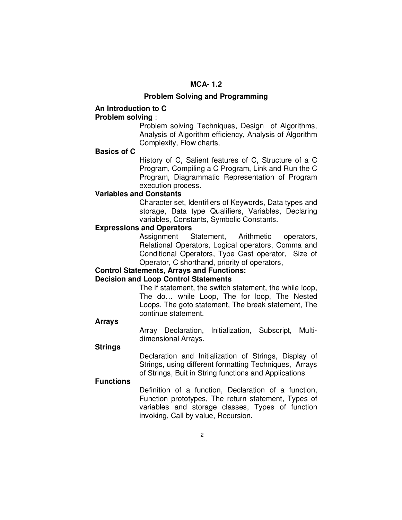# **MCA- 1.2**

#### **Problem Solving and Programming**

# **An Introduction to C**

# **Problem solving** :

 Problem solving Techniques, Design of Algorithms, Analysis of Algorithm efficiency, Analysis of Algorithm Complexity, Flow charts,

# **Basics of C**

 History of C, Salient features of C, Structure of a C Program, Compiling a C Program, Link and Run the C Program, Diagrammatic Representation of Program execution process.

#### **Variables and Constants**

 Character set, Identifiers of Keywords, Data types and storage, Data type Qualifiers, Variables, Declaring variables, Constants, Symbolic Constants.

# **Expressions and Operators**

 Assignment Statement, Arithmetic operators, Relational Operators, Logical operators, Comma and Conditional Operators, Type Cast operator, Size of Operator, C shorthand, priority of operators,

# **Control Statements, Arrays and Functions:**

#### **Decision and Loop Control Statements**

 The if statement, the switch statement, the while loop, The do… while Loop, The for loop, The Nested Loops, The goto statement, The break statement, The continue statement.

#### **Arrays**

 Array Declaration, Initialization, Subscript, Multidimensional Arrays.

#### **Strings**

 Declaration and Initialization of Strings, Display of Strings, using different formatting Techniques, Arrays of Strings, Buit in String functions and Applications

# **Functions**

 Definition of a function, Declaration of a function, Function prototypes, The return statement, Types of variables and storage classes, Types of function invoking, Call by value, Recursion.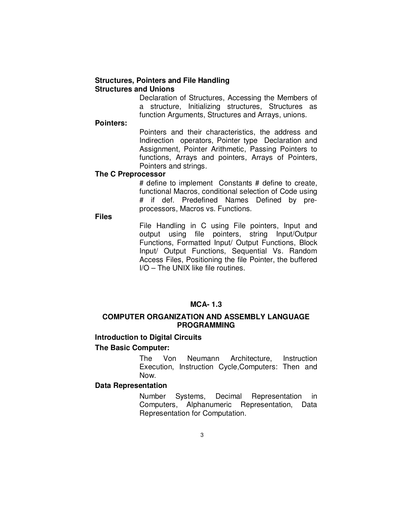# **Structures, Pointers and File Handling Structures and Unions**

 Declaration of Structures, Accessing the Members of a structure, Initializing structures, Structures as function Arguments, Structures and Arrays, unions.

#### **Pointers:**

 Pointers and their characteristics, the address and Indirection operators, Pointer type Declaration and Assignment, Pointer Arithmetic, Passing Pointers to functions, Arrays and pointers, Arrays of Pointers, Pointers and strings.

#### **The C Preprocessor**

 # define to implement Constants # define to create, functional Macros, conditional selection of Code using # if def. Predefined Names Defined by preprocessors, Macros vs. Functions.

**Files** 

 File Handling in C using File pointers, Input and output using file pointers, string Input/Outpur Functions, Formatted Input/ Output Functions, Block Input/ Output Functions, Sequential Vs. Random Access Files, Positioning the file Pointer, the buffered I/O – The UNIX like file routines.

# **MCA- 1.3**

#### **COMPUTER ORGANIZATION AND ASSEMBLY LANGUAGE PROGRAMMING**

# **Introduction to Digital Circuits The Basic Computer:**

 The Von Neumann Architecture, Instruction Execution, Instruction Cycle,Computers: Then and Now.

# **Data Representation**

 Number Systems, Decimal Representation in Computers, Alphanumeric Representation, Data Representation for Computation.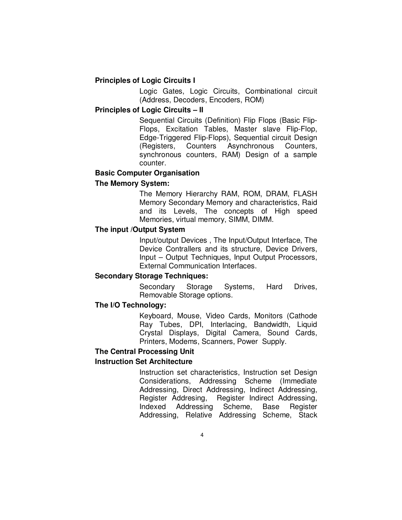# **Principles of Logic Circuits I**

 Logic Gates, Logic Circuits, Combinational circuit (Address, Decoders, Encoders, ROM)

# **Principles of Logic Circuits – II**

 Sequential Circuits (Definition) Flip Flops (Basic Flip-Flops, Excitation Tables, Master slave Flip-Flop, Edge-Triggered Flip-Flops), Sequential circuit Design (Registers, Counters Asynchronous Counters, synchronous counters, RAM) Design of a sample counter.

# **Basic Computer Organisation**

# **The Memory System:**

 The Memory Hierarchy RAM, ROM, DRAM, FLASH Memory Secondary Memory and characteristics, Raid and its Levels, The concepts of High speed Memories, virtual memory, SIMM, DIMM.

# **The input /Output System**

 Input/output Devices , The Input/Output Interface, The Device Contrallers and its structure, Device Drivers, Input – Output Techniques, Input Output Processors, External Communication Interfaces.

# **Secondary Storage Techniques:**

 Secondary Storage Systems, Hard Drives, Removable Storage options.

#### **The I/O Technology:**

 Keyboard, Mouse, Video Cards, Monitors (Cathode Ray Tubes, DPI, Interlacing, Bandwidth, Liquid Crystal Displays, Digital Camera, Sound Cards, Printers, Modems, Scanners, Power Supply.

#### **The Central Processing Unit**

# **Instruction Set Architecture**

 Instruction set characteristics, Instruction set Design Considerations, Addressing Scheme (Immediate Addressing, Direct Addressing, Indirect Addressing, Register Addresing, Register Indirect Addressing, Indexed Addressing Scheme, Base Register Addressing, Relative Addressing Scheme, Stack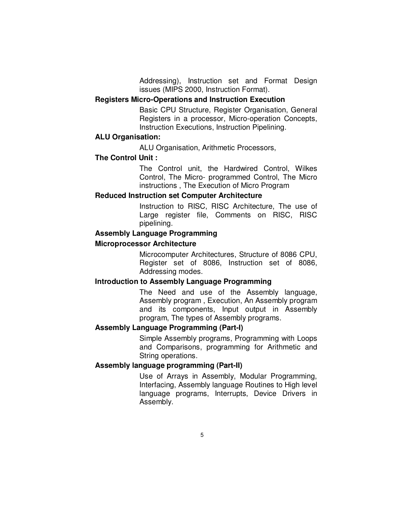Addressing), Instruction set and Format Design issues (MIPS 2000, Instruction Format).

# **Registers Micro-Operations and Instruction Execution**

 Basic CPU Structure, Register Organisation, General Registers in a processor, Micro-operation Concepts, Instruction Executions, Instruction Pipelining.

# **ALU Organisation:**

ALU Organisation, Arithmetic Processors,

#### **The Control Unit :**

 The Control unit, the Hardwired Control, Wilkes Control, The Micro- programmed Control, The Micro instructions , The Execution of Micro Program

#### **Reduced Instruction set Computer Architecture**

 Instruction to RISC, RISC Architecture, The use of Large register file, Comments on RISC, RISC pipelining.

# **Assembly Language Programming**

#### **Microprocessor Architecture**

 Microcomputer Architectures, Structure of 8086 CPU, Register set of 8086, Instruction set of 8086, Addressing modes.

#### **Introduction to Assembly Language Programming**

 The Need and use of the Assembly language, Assembly program , Execution, An Assembly program and its components, Input output in Assembly program, The types of Assembly programs.

# **Assembly Language Programming (Part-I)**

 Simple Assembly programs, Programming with Loops and Comparisons, programming for Arithmetic and String operations.

#### **Assembly language programming (Part-II)**

 Use of Arrays in Assembly, Modular Programming, Interfacing, Assembly language Routines to High level language programs, Interrupts, Device Drivers in Assembly.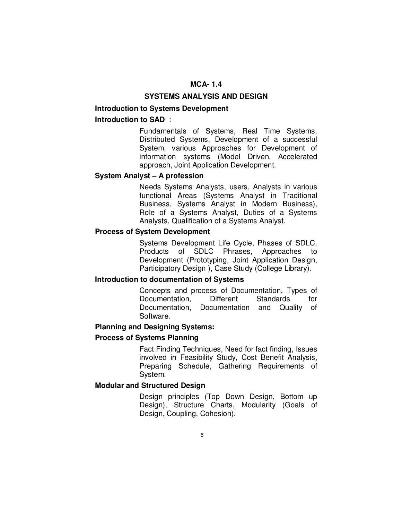# **MCA- 1.4**

#### **SYSTEMS ANALYSIS AND DESIGN**

# **Introduction to Systems Development**

# **Introduction to SAD** :

 Fundamentals of Systems, Real Time Systems, Distributed Systems, Development of a successful System, various Approaches for Development of information systems (Model Driven, Accelerated approach, Joint Application Development.

# **System Analyst – A profession**

 Needs Systems Analysts, users, Analysts in various functional Areas (Systems Analyst in Traditional Business, Systems Analyst in Modern Business), Role of a Systems Analyst, Duties of a Systems Analysts, Qualification of a Systems Analyst.

#### **Process of System Development**

 Systems Development Life Cycle, Phases of SDLC, Products of SDLC Phrases, Approaches to Development (Prototyping, Joint Application Design, Participatory Design ), Case Study (College Library).

# **Introduction to documentation of Systems**

 Concepts and process of Documentation, Types of Documentation, Different Standards for Documentation, Documentation and Quality of Software.

# **Planning and Designing Systems:**

# **Process of Systems Planning**

 Fact Finding Techniques, Need for fact finding, Issues involved in Feasibility Study, Cost Benefit Analysis, Preparing Schedule, Gathering Requirements of System.

#### **Modular and Structured Design**

 Design principles (Top Down Design, Bottom up Design), Structure Charts, Modularity (Goals of Design, Coupling, Cohesion).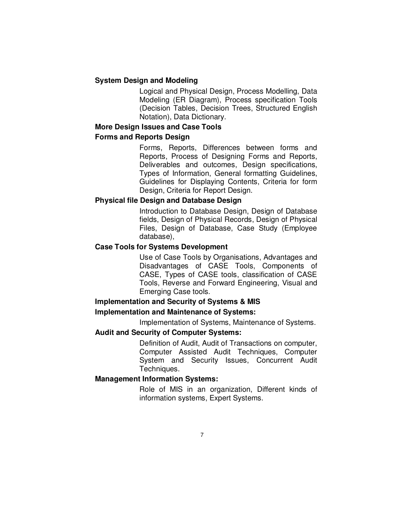# **System Design and Modeling**

 Logical and Physical Design, Process Modelling, Data Modeling (ER Diagram), Process specification Tools (Decision Tables, Decision Trees, Structured English Notation), Data Dictionary.

#### **More Design Issues and Case Tools**

#### **Forms and Reports Design**

 Forms, Reports, Differences between forms and Reports, Process of Designing Forms and Reports, Deliverables and outcomes, Design specifications, Types of Information, General formatting Guidelines, Guidelines for Displaying Contents, Criteria for form Design, Criteria for Report Design.

# **Physical file Design and Database Design**

 Introduction to Database Design, Design of Database fields, Design of Physical Records, Design of Physical Files, Design of Database, Case Study (Employee database),

# **Case Tools for Systems Development**

 Use of Case Tools by Organisations, Advantages and Disadvantages of CASE Tools, Components of CASE, Types of CASE tools, classification of CASE Tools, Reverse and Forward Engineering, Visual and Emerging Case tools.

# **Implementation and Security of Systems & MIS**

# **Implementation and Maintenance of Systems:**

Implementation of Systems, Maintenance of Systems.

# **Audit and Security of Computer Systems:**

 Definition of Audit, Audit of Transactions on computer, Computer Assisted Audit Techniques, Computer System and Security Issues, Concurrent Audit Techniques.

# **Management Information Systems:**

 Role of MIS in an organization, Different kinds of information systems, Expert Systems.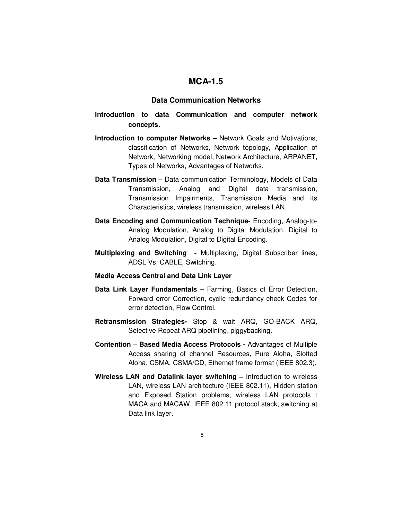# **MCA-1.5**

#### **Data Communication Networks**

# **Introduction to data Communication and computer network concepts.**

- **Introduction to computer Networks** Network Goals and Motivations, classification of Networks, Network topology, Application of Network, Networking model, Network Architecture, ARPANET, Types of Networks, Advantages of Networks.
- **Data Transmission –** Data communication Terminology, Models of Data Transmission, Analog and Digital data transmission, Transmission Impairments, Transmission Media and its Characteristics, wireless transmission, wireless LAN.
- **Data Encoding and Communication Technique-** Encoding, Analog-to-Analog Modulation, Analog to Digital Modulation, Digital to Analog Modulation, Digital to Digital Encoding.
- **Multiplexing and Switching** Multiplexing, Digital Subscriber lines, ADSL Vs. CABLE, Switching.

#### **Media Access Central and Data Link Layer**

- **Data Link Layer Fundamentals** Farming, Basics of Error Detection, Forward error Correction, cyclic redundancy check Codes for error detection, Flow Control.
- **Retransmission Strategies-** Stop & wait ARQ, GO-BACK ARQ, Selective Repeat ARQ pipelining, piggybacking.
- **Contention Based Media Access Protocols** Advantages of Multiple Access sharing of channel Resources, Pure Aloha, Slotted Aloha, CSMA, CSMA/CD, Ethernet frame format (IEEE 802.3).
- **Wireless LAN and Datalink layer switching** Introduction to wireless LAN, wireless LAN architecture (IEEE 802.11), Hidden station and Exposed Station problems, wireless LAN protocols : MACA and MACAW, IEEE 802.11 protocol stack, switching at Data link layer.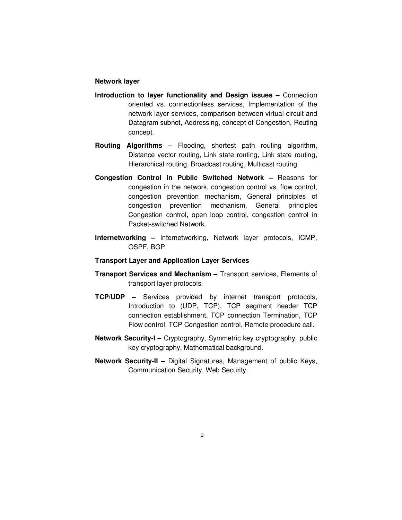#### **Network layer**

- **Introduction to layer functionality and Design issues** Connection oriented vs. connectionless services, Implementation of the network layer services, comparison between virtual circuit and Datagram subnet, Addressing, concept of Congestion, Routing concept.
- **Routing Algorithms** Flooding, shortest path routing algorithm, Distance vector routing, Link state routing, Link state routing, Hierarchical routing, Broadcast routing, Multicast routing.
- **Congestion Control in Public Switched Network –** Reasons for congestion in the network, congestion control vs. flow control, congestion prevention mechanism, General principles of congestion prevention mechanism, General principles Congestion control, open loop control, congestion control in Packet-switched Network.
- **Internetworking** Internetworking, Network layer protocols, ICMP, OSPF, BGP.

#### **Transport Layer and Application Layer Services**

- **Transport Services and Mechanism** Transport services, Elements of transport layer protocols.
- **TCP/UDP** Services provided by internet transport protocols, Introduction to (UDP, TCP), TCP segment header TCP connection establishment, TCP connection Termination, TCP Flow control, TCP Congestion control, Remote procedure call.
- **Network Security-I** Cryptography, Symmetric key cryptography, public key cryptography, Mathematical background.
- **Network Security-II** Digital Signatures, Management of public Keys, Communication Security, Web Security.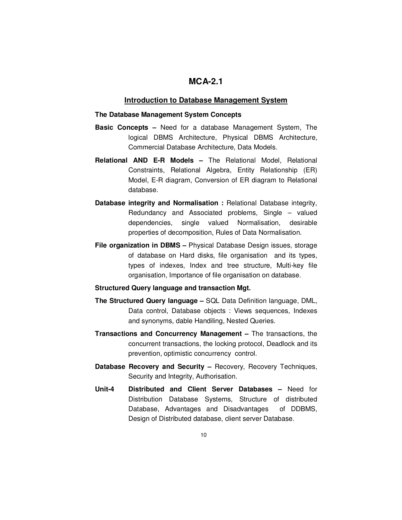# **MCA-2.1**

#### **Introduction to Database Management System**

#### **The Database Management System Concepts**

- **Basic Concepts** Need for a database Management System, The logical DBMS Architecture, Physical DBMS Architecture, Commercial Database Architecture, Data Models.
- **Relational AND E-R Models** The Relational Model, Relational Constraints, Relational Algebra, Entity Relationship (ER) Model, E-R diagram, Conversion of ER diagram to Relational database.
- **Database integrity and Normalisation :** Relational Database integrity, Redundancy and Associated problems, Single – valued dependencies, single valued Normalisation, desirable properties of decomposition, Rules of Data Normalisation.
- **File organization in DBMS** Physical Database Design issues, storage of database on Hard disks, file organisation and its types, types of indexes, Index and tree structure, Multi-key file organisation, Importance of file organisation on database.

#### **Structured Query language and transaction Mgt.**

- **The Structured Query language** SQL Data Definition language, DML, Data control, Database objects : Views sequences, Indexes and synonyms, dable Handiling, Nested Queries.
- **Transactions and Concurrency Management** The transactions, the concurrent transactions, the locking protocol, Deadlock and its prevention, optimistic concurrency control.
- **Database Recovery and Security Recovery, Recovery Techniques,** Security and Integrity, Authorisation.
- **Unit-4 Distributed and Client Server Databases** Need for Distribution Database Systems, Structure of distributed Database, Advantages and Disadvantages of DDBMS, Design of Distributed database, client server Database.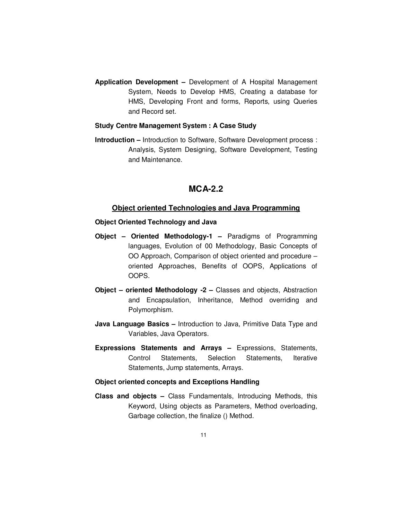**Application Development –** Development of A Hospital Management System, Needs to Develop HMS, Creating a database for HMS, Developing Front and forms, Reports, using Queries and Record set.

#### **Study Centre Management System : A Case Study**

**Introduction –** Introduction to Software, Software Development process : Analysis, System Designing, Software Development, Testing and Maintenance.

# **MCA-2.2**

#### **Object oriented Technologies and Java Programming**

#### **Object Oriented Technology and Java**

- **Object Oriented Methodology-1** Paradigms of Programming languages, Evolution of 00 Methodology, Basic Concepts of OO Approach, Comparison of object oriented and procedure – oriented Approaches, Benefits of OOPS, Applications of OOPS.
- **Object oriented Methodology -2** Classes and objects, Abstraction and Encapsulation, Inheritance, Method overriding and Polymorphism.
- **Java Language Basics** Introduction to Java, Primitive Data Type and Variables, Java Operators.
- **Expressions Statements and Arrays** Expressions, Statements, Control Statements, Selection Statements, Iterative Statements, Jump statements, Arrays.

#### **Object oriented concepts and Exceptions Handling**

**Class and objects –** Class Fundamentals, Introducing Methods, this Keyword, Using objects as Parameters, Method overloading, Garbage collection, the finalize () Method.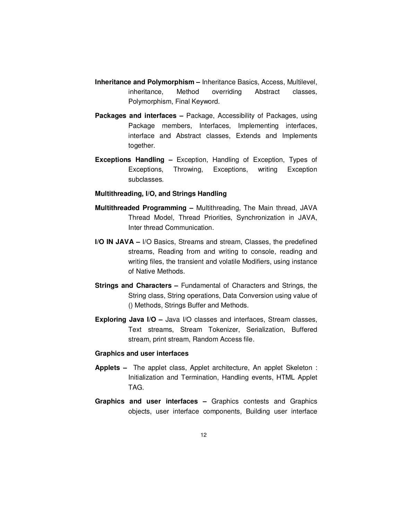- **Inheritance and Polymorphism** Inheritance Basics, Access, Multilevel, inheritance, Method overriding Abstract classes, Polymorphism, Final Keyword.
- **Packages and interfaces** Package, Accessibility of Packages, using Package members, Interfaces, Implementing interfaces, interface and Abstract classes, Extends and Implements together.
- **Exceptions Handling** Exception, Handling of Exception, Types of Exceptions, Throwing, Exceptions, writing Exception subclasses.

#### **Multithreading, I/O, and Strings Handling**

- **Multithreaded Programming** Multithreading, The Main thread, JAVA Thread Model, Thread Priorities, Synchronization in JAVA, Inter thread Communication.
- **I/O IN JAVA –** I/O Basics, Streams and stream, Classes, the predefined streams, Reading from and writing to console, reading and writing files, the transient and volatile Modifiers, using instance of Native Methods.
- **Strings and Characters –** Fundamental of Characters and Strings, the String class, String operations, Data Conversion using value of () Methods, Strings Buffer and Methods.
- **Exploring Java I/O** Java I/O classes and interfaces, Stream classes, Text streams, Stream Tokenizer, Serialization, Buffered stream, print stream, Random Access file.

#### **Graphics and user interfaces**

- **Applets** The applet class, Applet architecture, An applet Skeleton : Initialization and Termination, Handling events, HTML Applet TAG.
- **Graphics and user interfaces –** Graphics contests and Graphics objects, user interface components, Building user interface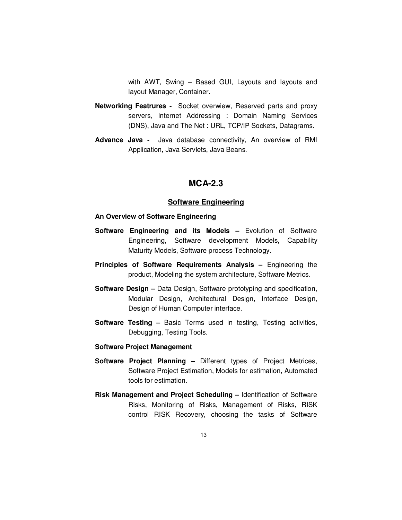with AWT, Swing – Based GUI, Layouts and layouts and layout Manager, Container.

- **Networking Featrures -** Socket overwiew, Reserved parts and proxy servers, Internet Addressing : Domain Naming Services (DNS), Java and The Net : URL, TCP/IP Sockets, Datagrams.
- **Advance Java -** Java database connectivity, An overview of RMI Application, Java Servlets, Java Beans.

# **MCA-2.3**

#### **Software Engineering**

#### **An Overview of Software Engineering**

- **Software Engineering and its Models Evolution of Software** Engineering, Software development Models, Capability Maturity Models, Software process Technology.
- **Principles of Software Requirements Analysis –** Engineering the product, Modeling the system architecture, Software Metrics.
- **Software Design** Data Design, Software prototyping and specification, Modular Design, Architectural Design, Interface Design, Design of Human Computer interface.
- **Software Testing –** Basic Terms used in testing, Testing activities, Debugging, Testing Tools.

#### **Software Project Management**

- **Software Project Planning** Different types of Project Metrices, Software Project Estimation, Models for estimation, Automated tools for estimation.
- **Risk Management and Project Scheduling** Identification of Software Risks, Monitoring of Risks, Management of Risks, RISK control RISK Recovery, choosing the tasks of Software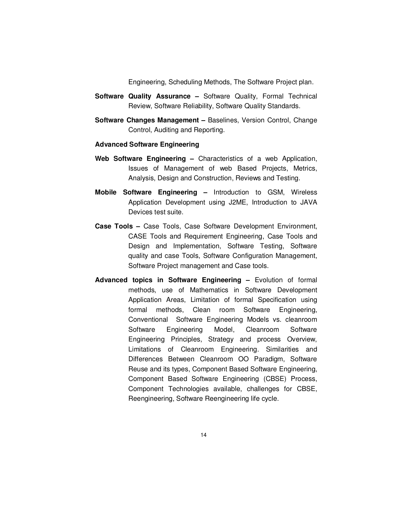Engineering, Scheduling Methods, The Software Project plan.

- **Software Quality Assurance –** Software Quality, Formal Technical Review, Software Reliability, Software Quality Standards.
- **Software Changes Management –** Baselines, Version Control, Change Control, Auditing and Reporting.

#### **Advanced Software Engineering**

- **Web Software Engineering** Characteristics of a web Application, Issues of Management of web Based Projects, Metrics, Analysis, Design and Construction, Reviews and Testing.
- **Mobile Software Engineering** Introduction to GSM, Wireless Application Development using J2ME, Introduction to JAVA Devices test suite.
- **Case Tools** Case Tools, Case Software Development Environment, CASE Tools and Requirement Engineering, Case Tools and Design and Implementation, Software Testing, Software quality and case Tools, Software Configuration Management, Software Project management and Case tools.
- **Advanced topics in Software Engineering –** Evolution of formal methods, use of Mathematics in Software Development Application Areas, Limitation of formal Specification using formal methods, Clean room Software Engineering, Conventional Software Engineering Models vs. cleanroom Software Engineering Model, Cleanroom Software Engineering Principles, Strategy and process Overview, Limitations of Cleanroom Engineering. Similarities and Differences Between Cleanroom OO Paradigm, Software Reuse and its types, Component Based Software Engineering, Component Based Software Engineering (CBSE) Process, Component Technologies available, challenges for CBSE, Reengineering, Software Reengineering life cycle.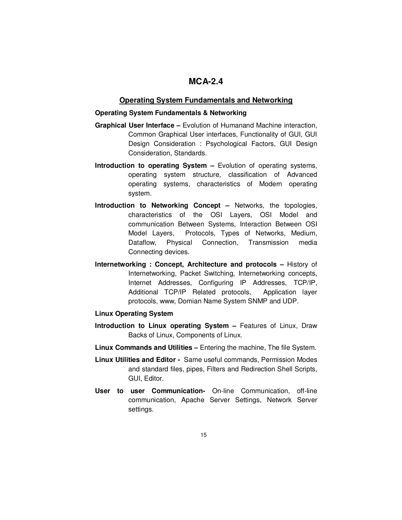# **MCA-2.4**

#### **Operating System Fundamentals and Networking**

#### **Operating System Fundamentals & Networking**

- **Graphical User Interface** Evolution of Humanand Machine interaction, Common Graphical User interfaces, Functionality of GUI, GUI Design Consideration : Psychological Factors, GUI Design Consideration, Standards.
- **Introduction to operating System Evolution of operating systems,** operating system structure, classification of Advanced operating systems, characteristics of Modern operating system.
- **Introduction to Networking Concept** Networks, the topologies, characteristics of the OSI Layers, OSI Model and communication Between Systems, Interaction Between OSI Model Layers, Protocols, Types of Networks, Medium, Dataflow, Physical Connection, Transmission media Connecting devices.
- **Internetworking : Concept, Architecture and protocols History of** Internetworking, Packet Switching, Internetworking concepts, Internet Addresses, Configuring IP Addresses, TCP/IP, Additional TCP/IP Related protocols, Application layer protocols, www, Domian Name System SNMP and UDP.

#### **Linux Operating System**

- **Introduction to Linux operating System Features of Linux, Draw** Backs of Linux, Components of Linux.
- **Linux Commands and Utilities** Entering the machine, The file System.
- **Linux Utilities and Editor -** Same useful commands, Permission Modes and standard files, pipes, Filters and Redirection Shell Scripts, GUI, Editor.
- **User to user Communication-** On-line Communication, off-line communication, Apache Server Settings, Network Server settings.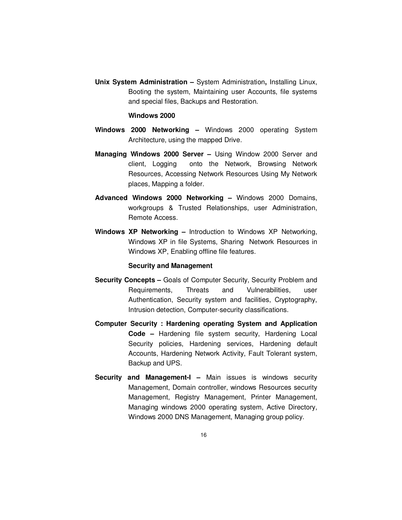**Unix System Administration –** System Administration**,** Installing Linux, Booting the system, Maintaining user Accounts, file systems and special files, Backups and Restoration.

#### **Windows 2000**

- **Windows 2000 Networking** Windows 2000 operating System Architecture, using the mapped Drive.
- **Managing Windows 2000 Server** Using Window 2000 Server and client, Logging onto the Network, Browsing Network Resources, Accessing Network Resources Using My Network places, Mapping a folder.
- **Advanced Windows 2000 Networking** Windows 2000 Domains, workgroups & Trusted Relationships, user Administration, Remote Access.
- **Windows XP Networking** Introduction to Windows XP Networking, Windows XP in file Systems, Sharing Network Resources in Windows XP, Enabling offline file features.

#### **Security and Management**

- **Security Concepts** Goals of Computer Security, Security Problem and Requirements, Threats and Vulnerabilities, user Authentication, Security system and facilities, Cryptography, Intrusion detection, Computer-security classifications.
- **Computer Security : Hardening operating System and Application Code –** Hardening file system security, Hardening Local Security policies, Hardening services, Hardening default Accounts, Hardening Network Activity, Fault Tolerant system, Backup and UPS.
- **Security and Management-I** Main issues is windows security Management, Domain controller, windows Resources security Management, Registry Management, Printer Management, Managing windows 2000 operating system, Active Directory, Windows 2000 DNS Management, Managing group policy.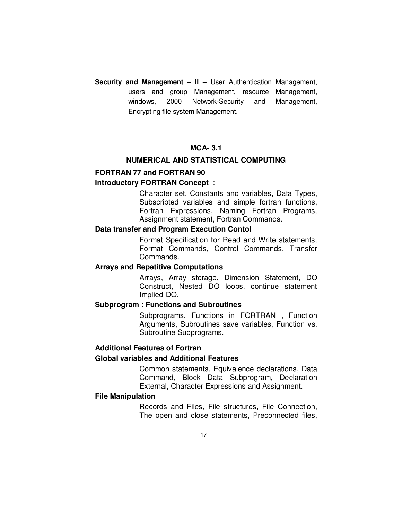**Security and Management – II –** User Authentication Management, users and group Management, resource Management, windows, 2000 Network-Security and Management, Encrypting file system Management.

# **MCA- 3.1**

# **NUMERICAL AND STATISTICAL COMPUTING**

# **FORTRAN 77 and FORTRAN 90**

#### **Introductory FORTRAN Concept** :

 Character set, Constants and variables, Data Types, Subscripted variables and simple fortran functions, Fortran Expressions, Naming Fortran Programs, Assignment statement, Fortran Commands.

#### **Data transfer and Program Execution Contol**

 Format Specification for Read and Write statements, Format Commands, Control Commands, Transfer Commands.

# **Arrays and Repetitive Computations**

 Arrays, Array storage, Dimension Statement, DO Construct, Nested DO loops, continue statement Implied-DO.

#### **Subprogram : Functions and Subroutines**

 Subprograms, Functions in FORTRAN , Function Arguments, Subroutines save variables, Function vs. Subroutine Subprograms.

#### **Additional Features of Fortran**

#### **Global variables and Additional Features**

 Common statements, Equivalence declarations, Data Command, Block Data Subprogram, Declaration External, Character Expressions and Assignment.

#### **File Manipulation**

 Records and Files, File structures, File Connection, The open and close statements, Preconnected files,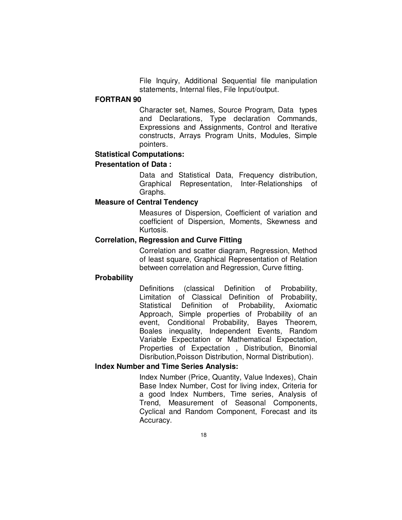File Inquiry, Additional Sequential file manipulation statements, Internal files, File Input/output.

#### **FORTRAN 90**

 Character set, Names, Source Program, Data types and Declarations, Type declaration Commands, Expressions and Assignments, Control and Iterative constructs, Arrays Program Units, Modules, Simple pointers.

# **Statistical Computations:**

# **Presentation of Data :**

 Data and Statistical Data, Frequency distribution, Graphical Representation, Inter-Relationships of Graphs.

# **Measure of Central Tendency**

 Measures of Dispersion, Coefficient of variation and coefficient of Dispersion, Moments, Skewness and Kurtosis.

# **Correlation, Regression and Curve Fitting**

 Correlation and scatter diagram, Regression, Method of least square, Graphical Representation of Relation between correlation and Regression, Curve fitting.

#### **Probability**

 Definitions (classical Definition of Probability, Limitation of Classical Definition of Probability, Statistical Definition of Probability, Axiomatic Approach, Simple properties of Probability of an event, Conditional Probability, Bayes Theorem, Boales inequality, Independent Events, Random Variable Expectation or Mathematical Expectation, Properties of Expectation , Distribution, Binomial Disribution,Poisson Distribution, Normal Distribution).

#### **Index Number and Time Series Analysis:**

 Index Number (Price, Quantity, Value Indexes), Chain Base Index Number, Cost for living index, Criteria for a good Index Numbers, Time series, Analysis of Trend, Measurement of Seasonal Components, Cyclical and Random Component, Forecast and its Accuracy.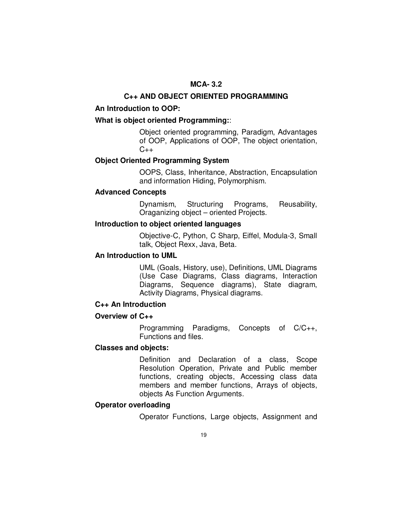# **MCA- 3.2**

#### **C++ AND OBJECT ORIENTED PROGRAMMING**

#### **An Introduction to OOP:**

# **What is object oriented Programming:**:

 Object oriented programming, Paradigm, Advantages of OOP, Applications of OOP, The object orientation,  $C_{++}$ 

# **Object Oriented Programming System**

 OOPS, Class, Inheritance, Abstraction, Encapsulation and information Hiding, Polymorphism.

# **Advanced Concepts**

 Dynamism, Structuring Programs, Reusability, Oraganizing object – oriented Projects.

# **Introduction to object oriented languages**

 Objective-C, Python, C Sharp, Eiffel, Modula-3, Small talk, Object Rexx, Java, Beta.

# **An Introduction to UML**

 UML (Goals, History, use), Definitions, UML Diagrams (Use Case Diagrams, Class diagrams, Interaction Diagrams, Sequence diagrams), State diagram, Activity Diagrams, Physical diagrams.

# **C++ An Introduction**

#### **Overview of C++**

 Programming Paradigms, Concepts of C/C++, Functions and files.

#### **Classes and objects:**

 Definition and Declaration of a class, Scope Resolution Operation, Private and Public member functions, creating objects, Accessing class data members and member functions, Arrays of objects, objects As Function Arguments.

# **Operator overloading**

Operator Functions, Large objects, Assignment and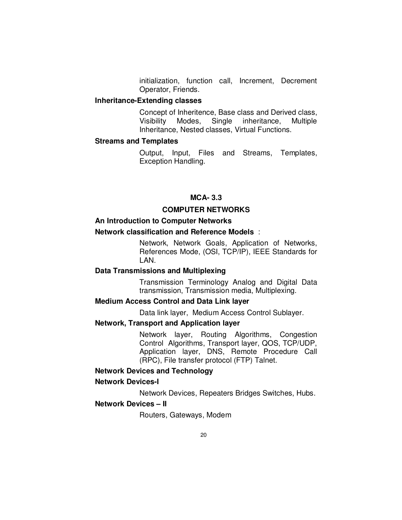initialization, function call, Increment, Decrement Operator, Friends.

## **Inheritance-Extending classes**

 Concept of Inheritence, Base class and Derived class, Visibility Modes, Single inheritance, Multiple Inheritance, Nested classes, Virtual Functions.

# **Streams and Templates**

 Output, Input, Files and Streams, Templates, Exception Handling.

#### **MCA- 3.3**

# **COMPUTER NETWORKS**

# **An Introduction to Computer Networks**

# **Network classification and Reference Models** :

 Network, Network Goals, Application of Networks, References Mode, (OSI, TCP/IP), IEEE Standards for LAN.

# **Data Transmissions and Multiplexing**

 Transmission Terminology Analog and Digital Data transmission, Transmission media, Multiplexing.

# **Medium Access Control and Data Link layer**

Data link layer, Medium Access Control Sublayer.

# **Network, Transport and Application layer**

 Network layer, Routing Algorithms, Congestion Control Algorithms, Transport layer, QOS, TCP/UDP, Application layer, DNS, Remote Procedure Call (RPC), File transfer protocol (FTP) Talnet.

#### **Network Devices and Technology**

#### **Network Devices-I**

Network Devices, Repeaters Bridges Switches, Hubs.

# **Network Devices – II**

Routers, Gateways, Modem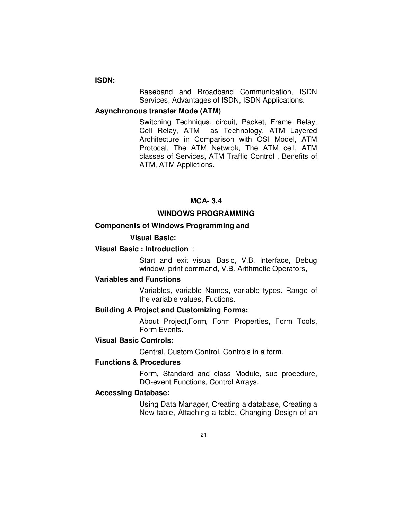# **ISDN:**

 Baseband and Broadband Communication, ISDN Services, Advantages of ISDN, ISDN Applications.

# **Asynchronous transfer Mode (ATM)**

 Switching Techniqus, circuit, Packet, Frame Relay, Cell Relay, ATM as Technology, ATM Layered Architecture in Comparison with OSI Model, ATM Protocal, The ATM Netwrok, The ATM cell, ATM classes of Services, ATM Traffic Control , Benefits of ATM, ATM Applictions.

#### **MCA- 3.4**

#### **WINDOWS PROGRAMMING**

# **Components of Windows Programming and**

#### **Visual Basic:**

# **Visual Basic : Introduction** :

 Start and exit visual Basic, V.B. Interface, Debug window, print command, V.B. Arithmetic Operators,

#### **Variables and Functions**

 Variables, variable Names, variable types, Range of the variable values, Fuctions.

## **Building A Project and Customizing Forms:**

 About Project,Form, Form Properties, Form Tools, Form Events.

# **Visual Basic Controls:**

Central, Custom Control, Controls in a form.

#### **Functions & Procedures**

 Form, Standard and class Module, sub procedure, DO-event Functions, Control Arrays.

#### **Accessing Database:**

 Using Data Manager, Creating a database, Creating a New table, Attaching a table, Changing Design of an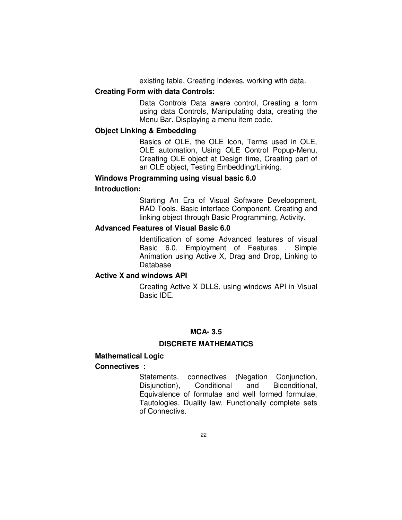existing table, Creating Indexes, working with data.

#### **Creating Form with data Controls:**

 Data Controls Data aware control, Creating a form using data Controls, Manipulating data, creating the Menu Bar. Displaying a menu item code.

# **Object Linking & Embedding**

 Basics of OLE, the OLE Icon, Terms used in OLE, OLE automation, Using OLE Control Popup-Menu, Creating OLE object at Design time, Creating part of an OLE object, Testing Embedding/Linking.

#### **Windows Programming using visual basic 6.0**

#### **Introduction:**

 Starting An Era of Visual Software Develoopment, RAD Tools, Basic interface Component, Creating and linking object through Basic Programming, Activity.

# **Advanced Features of Visual Basic 6.0**

 Identification of some Advanced features of visual Basic 6.0, Employment of Features , Simple Animation using Active X, Drag and Drop, Linking to Database

#### **Active X and windows API**

 Creating Active X DLLS, using windows API in Visual Basic IDE.

# **MCA- 3.5**

#### **DISCRETE MATHEMATICS**

#### **Mathematical Logic Connectives** :

 Statements, connectives (Negation Conjunction, Disjunction), Conditional and Biconditional, Equivalence of formulae and well formed formulae, Tautologies, Duality law, Functionally complete sets of Connectivs.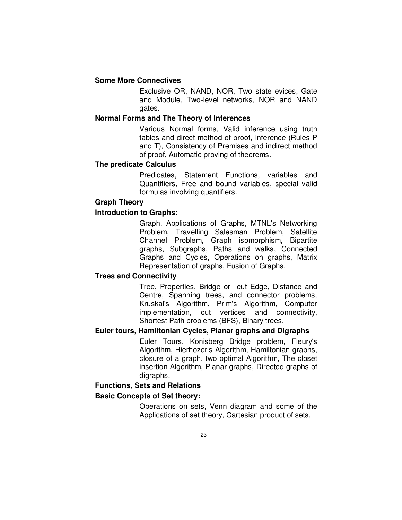# **Some More Connectives**

 Exclusive OR, NAND, NOR, Two state evices, Gate and Module, Two-level networks, NOR and NAND gates.

#### **Normal Forms and The Theory of Inferences**

 Various Normal forms, Valid inference using truth tables and direct method of proof, Inference (Rules P and T), Consistency of Premises and indirect method of proof, Automatic proving of theorems.

# **The predicate Calculus**

 Predicates, Statement Functions, variables and Quantifiers, Free and bound variables, special valid formulas involving quantifiers.

# **Graph Theory**

# **Introduction to Graphs:**

 Graph, Applications of Graphs, MTNL's Networking Problem, Travelling Salesman Problem, Satellite Channel Problem, Graph isomorphism, Bipartite graphs, Subgraphs, Paths and walks, Connected Graphs and Cycles, Operations on graphs, Matrix Representation of graphs, Fusion of Graphs.

# **Trees and Connectivity**

 Tree, Properties, Bridge or cut Edge, Distance and Centre, Spanning trees, and connector problems, Kruskal's Algorithm, Prim's Algorithm, Computer implementation, cut vertices and connectivity, Shortest Path problems (BFS), Binary trees.

# **Euler tours, Hamiltonian Cycles, Planar graphs and Digraphs**

 Euler Tours, Konisberg Bridge problem, Fleury's Algorithm, Hierhozer's Algorithm, Hamiltonian graphs, closure of a graph, two optimal Algorithm, The closet insertion Algorithm, Planar graphs, Directed graphs of digraphs.

# **Functions, Sets and Relations**

# **Basic Concepts of Set theory:**

 Operations on sets, Venn diagram and some of the Applications of set theory, Cartesian product of sets,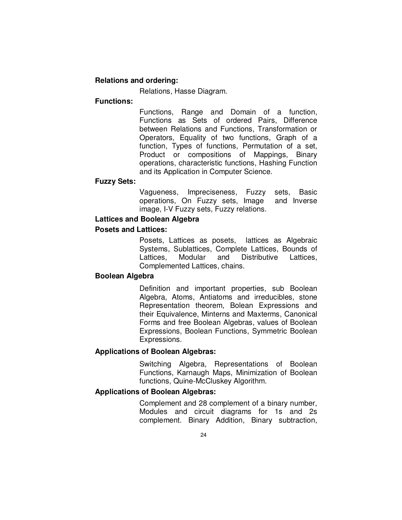# **Relations and ordering:**

Relations, Hasse Diagram.

# **Functions:**

 Functions, Range and Domain of a function, Functions as Sets of ordered Pairs, Difference between Relations and Functions, Transformation or Operators, Equality of two functions, Graph of a function, Types of functions, Permutation of a set, Product or compositions of Mappings, Binary operations, characteristic functions, Hashing Function and its Application in Computer Science.

#### **Fuzzy Sets:**

 Vagueness, Impreciseness, Fuzzy sets, Basic operations, On Fuzzy sets, Image and Inverse image, I-V Fuzzy sets, Fuzzy relations.

#### **Lattices and Boolean Algebra**

#### **Posets and Lattices:**

 Posets, Lattices as posets, lattices as Algebraic Systems, Sublattices, Complete Lattices, Bounds of Lattices, Modular and Distributive Lattices, Complemented Lattices, chains.

#### **Boolean Algebra**

 Definition and important properties, sub Boolean Algebra, Atoms, Antiatoms and irreducibles, stone Representation theorem, Bolean Expressions and their Equivalence, Minterns and Maxterms, Canonical Forms and free Boolean Algebras, values of Boolean Expressions, Boolean Functions, Symmetric Boolean Expressions.

#### **Applications of Boolean Algebras:**

 Switching Algebra, Representations of Boolean Functions, Karnaugh Maps, Minimization of Boolean functions, Quine-McCluskey Algorithm.

# **Applications of Boolean Algebras:**

 Complement and 28 complement of a binary number, Modules and circuit diagrams for 1s and 2s complement. Binary Addition, Binary subtraction,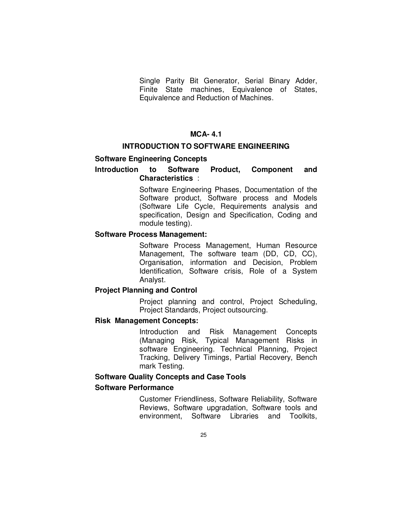Single Parity Bit Generator, Serial Binary Adder, Finite State machines, Equivalence of States, Equivalence and Reduction of Machines.

# **MCA- 4.1**

#### **INTRODUCTION TO SOFTWARE ENGINEERING**

#### **Software Engineering Concepts**

# **Introduction to Software Product, Component and Characteristics** :

 Software Engineering Phases, Documentation of the Software product, Software process and Models (Software Life Cycle, Requirements analysis and specification, Design and Specification, Coding and module testing).

#### **Software Process Management:**

 Software Process Management, Human Resource Management, The software team (DD, CD, CC), Organisation, information and Decision, Problem Identification, Software crisis, Role of a System Analyst.

#### **Project Planning and Control**

 Project planning and control, Project Scheduling, Project Standards, Project outsourcing.

#### **Risk Management Concepts:**

 Introduction and Risk Management Concepts (Managing Risk, Typical Management Risks in software Engineering. Technical Planning, Project Tracking, Delivery Timings, Partial Recovery, Bench mark Testing.

#### **Software Quality Concepts and Case Tools**

#### **Software Performance**

 Customer Friendliness, Software Reliability, Software Reviews, Software upgradation, Software tools and environment, Software Libraries and Toolkits,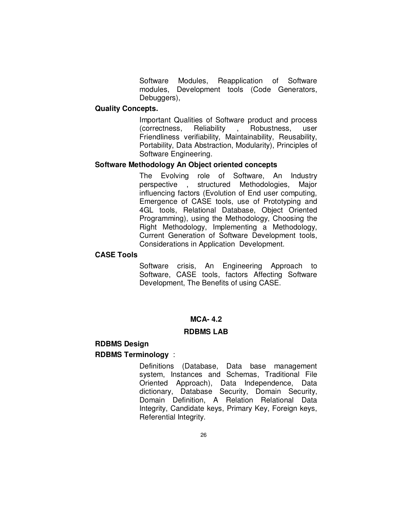Software Modules, Reapplication of Software modules, Development tools (Code Generators, Debuggers),

#### **Quality Concepts.**

 Important Qualities of Software product and process (correctness, Reliability , Robustness, user Friendliness verifiability, Maintainability, Reusability, Portability, Data Abstraction, Modularity), Principles of Software Engineering.

#### **Software Methodology An Object oriented concepts**

 The Evolving role of Software, An Industry perspective , structured Methodologies, Major influencing factors (Evolution of End user computing, Emergence of CASE tools, use of Prototyping and 4GL tools, Relational Database, Object Oriented Programming), using the Methodology, Choosing the Right Methodology, Implementing a Methodology, Current Generation of Software Development tools, Considerations in Application Development.

#### **CASE Tools**

 Software crisis, An Engineering Approach to Software, CASE tools, factors Affecting Software Development, The Benefits of using CASE.

# **MCA- 4.2**

# **RDBMS LAB**

#### **RDBMS Design**

#### **RDBMS Terminology** :

 Definitions (Database, Data base management system, Instances and Schemas, Traditional File Oriented Approach), Data Independence, Data dictionary, Database Security, Domain Security, Domain Definition, A Relation Relational Data Integrity, Candidate keys, Primary Key, Foreign keys, Referential Integrity.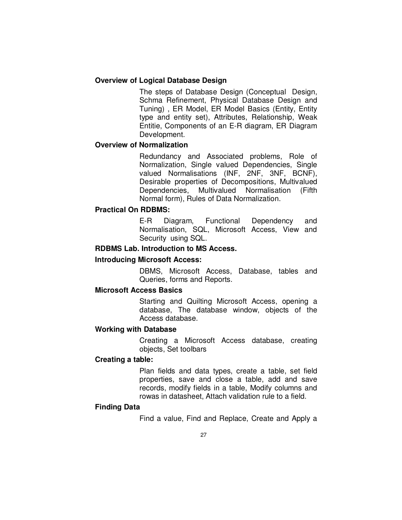# **Overview of Logical Database Design**

 The steps of Database Design (Conceptual Design, Schma Refinement, Physical Database Design and Tuning) , ER Model, ER Model Basics (Entity, Entity type and entity set), Attributes, Relationship, Weak Entitie, Components of an E-R diagram, ER Diagram Development.

# **Overview of Normalization**

 Redundancy and Associated problems, Role of Normalization, Single valued Dependencies, Single valued Normalisations (INF, 2NF, 3NF, BCNF), Desirable properties of Decompositions, Multivalued Dependencies, Multivalued Normalisation (Fifth Normal form), Rules of Data Normalization.

# **Practical On RDBMS:**

 E-R Diagram, Functional Dependency and Normalisation, SQL, Microsoft Access, View and Security using SQL.

# **RDBMS Lab. Introduction to MS Access.**

# **Introducing Microsoft Access:**

 DBMS, Microsoft Access, Database, tables and Queries, forms and Reports.

#### **Microsoft Access Basics**

 Starting and Quilting Microsoft Access, opening a database, The database window, objects of the Access database.

#### **Working with Database**

 Creating a Microsoft Access database, creating objects, Set toolbars

# **Creating a table:**

 Plan fields and data types, create a table, set field properties, save and close a table, add and save records, modify fields in a table, Modify columns and rowas in datasheet, Attach validation rule to a field.

#### **Finding Data**

Find a value, Find and Replace, Create and Apply a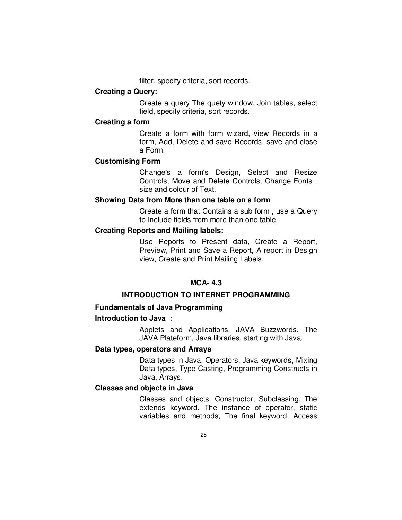filter, specify criteria, sort records.

#### **Creating a Query:**

 Create a query The quety window, Join tables, select field, specify criteria, sort records.

#### **Creating a form**

 Create a form with form wizard, view Records in a form, Add, Delete and save Records, save and close a Form.

# **Customising Form**

 Change's a form's Design, Select and Resize Controls, Move and Delete Controls, Change Fonts , size and colour of Text.

## **Showing Data from More than one table on a form**

 Create a form that Contains a sub form , use a Query to Include fields from more than one table,

# **Creating Reports and Mailing labels:**

 Use Reports to Present data, Create a Report, Preview, Print and Save a Report, A report in Design view, Create and Print Mailing Labels.

# **MCA- 4.3**

# **INTRODUCTION TO INTERNET PROGRAMMING**

# **Fundamentals of Java Programming**

# **Introduction to Java** :

 Applets and Applications, JAVA Buzzwords, The JAVA Plateform, Java libraries, starting with Java.

# **Data types, operators and Arrays**

 Data types in Java, Operators, Java keywords, Mixing Data types, Type Casting, Programming Constructs in Java, Arrays.

#### **Classes and objects in Java**

 Classes and objects, Constructor, Subclassing, The extends keyword, The instance of operator, static variables and methods, The final keyword, Access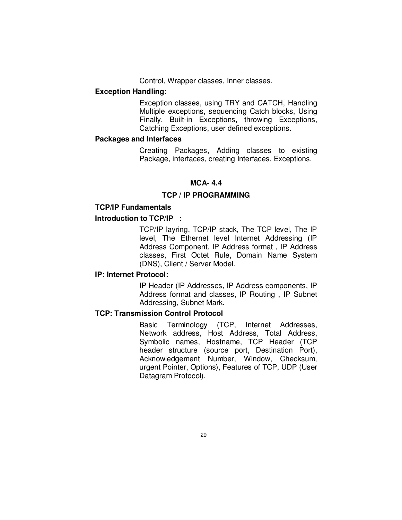Control, Wrapper classes, Inner classes.

# **Exception Handling:**

Exception classes, using TRY and CATCH, Handling Multiple exceptions, sequencing Catch blocks, Using Finally, Built-in Exceptions, throwing Exceptions, Catching Exceptions, user defined exceptions.

# **Packages and Interfaces**

 Creating Packages, Adding classes to existing Package, interfaces, creating Interfaces, Exceptions.

# **MCA- 4.4**

# **TCP / IP PROGRAMMING**

# **TCP/IP Fundamentals**

# **Introduction to TCP/IP** :

 TCP/IP layring, TCP/IP stack, The TCP level, The IP level, The Ethernet level Internet Addressing (IP Address Component, IP Address format , IP Address classes, First Octet Rule, Domain Name System (DNS), Client / Server Model.

# **IP: Internet Protocol:**

 IP Header (IP Addresses, IP Address components, IP Address format and classes, IP Routing , IP Subnet Addressing, Subnet Mark.

# **TCP: Transmission Control Protocol**

 Basic Terminology (TCP, Internet Addresses, Network address, Host Address, Total Address, Symbolic names, Hostname, TCP Header (TCP header structure (source port, Destination Port), Acknowledgement Number, Window, Checksum, urgent Pointer, Options), Features of TCP, UDP (User Datagram Protocol).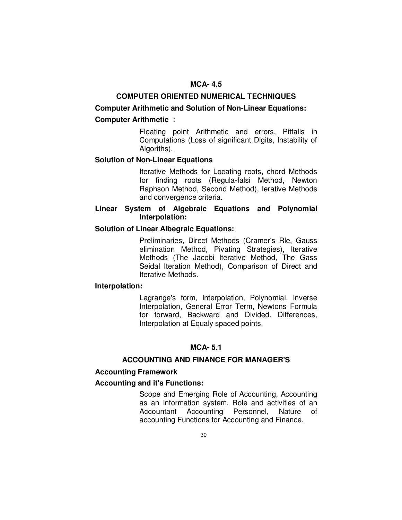# **MCA- 4.5**

#### **COMPUTER ORIENTED NUMERICAL TECHNIQUES**

# **Computer Arithmetic and Solution of Non-Linear Equations:**

# **Computer Arithmetic** :

 Floating point Arithmetic and errors, Pitfalls in Computations (Loss of significant Digits, Instability of Algoriths).

#### **Solution of Non-Linear Equations**

 Iterative Methods for Locating roots, chord Methods for finding roots (Regula-falsi Method, Newton Raphson Method, Second Method), Ierative Methods and convergence criteria.

# **Linear System of Algebraic Equations and Polynomial Interpolation:**

## **Solution of Linear Albegraic Equations:**

 Preliminaries, Direct Methods (Cramer's Rle, Gauss elimination Method, Pivating Strategies), Iterative Methods (The Jacobi Iterative Method, The Gass Seidal Iteration Method), Comparison of Direct and Iterative Methods.

# **Interpolation:**

 Lagrange's form, Interpolation, Polynomial, Inverse Interpolation, General Error Term, Newtons Formula for forward, Backward and Divided. Differences, Interpolation at Equaly spaced points.

# **MCA- 5.1**

# **ACCOUNTING AND FINANCE FOR MANAGER'S**

# **Accounting Framework**

# **Accounting and it's Functions:**

 Scope and Emerging Role of Accounting, Accounting as an Information system. Role and activities of an Accountant Accounting Personnel, Nature of accounting Functions for Accounting and Finance.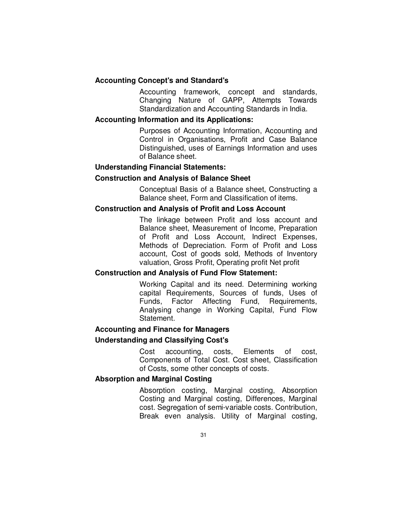# **Accounting Concept's and Standard's**

 Accounting framework, concept and standards, Changing Nature of GAPP, Attempts Towards Standardization and Accounting Standards in India.

#### **Accounting Information and its Applications:**

 Purposes of Accounting Information, Accounting and Control in Organisations, Profit and Case Balance Distinguished, uses of Earnings Information and uses of Balance sheet.

#### **Understanding Financial Statements:**

#### **Construction and Analysis of Balance Sheet**

 Conceptual Basis of a Balance sheet, Constructing a Balance sheet, Form and Classification of items.

# **Construction and Analysis of Profit and Loss Account**

 The linkage between Profit and loss account and Balance sheet, Measurement of Income, Preparation of Profit and Loss Account, Indirect Expenses, Methods of Depreciation. Form of Profit and Loss account, Cost of goods sold, Methods of Inventory valuation, Gross Profit, Operating profit Net profit

#### **Construction and Analysis of Fund Flow Statement:**

 Working Capital and its need. Determining working capital Requirements, Sources of funds, Uses of Funds, Factor Affecting Fund, Requirements, Analysing change in Working Capital, Fund Flow Statement.

# **Accounting and Finance for Managers**

#### **Understanding and Classifying Cost's**

 Cost accounting, costs, Elements of cost, Components of Total Cost. Cost sheet, Classification of Costs, some other concepts of costs.

# **Absorption and Marginal Costing**

 Absorption costing, Marginal costing, Absorption Costing and Marginal costing, Differences, Marginal cost. Segregation of semi-variable costs. Contribution, Break even analysis. Utility of Marginal costing,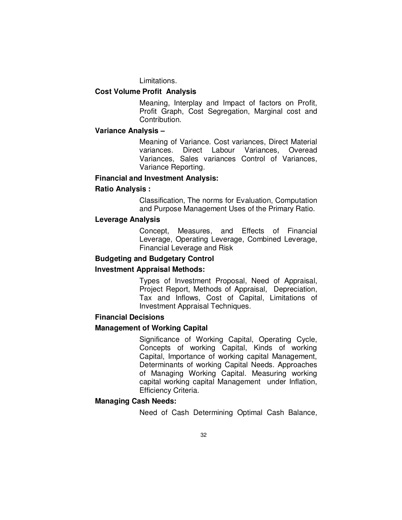Limitations.

#### **Cost Volume Profit Analysis**

 Meaning, Interplay and Impact of factors on Profit, Profit Graph, Cost Segregation, Marginal cost and Contribution.

#### **Variance Analysis –**

Meaning of Variance. Cost variances, Direct Material variances. Direct Labour Variances, Overead Variances, Sales variances Control of Variances, Variance Reporting.

#### **Financial and Investment Analysis:**

#### **Ratio Analysis :**

 Classification, The norms for Evaluation, Computation and Purpose Management Uses of the Primary Ratio.

#### **Leverage Analysis**

 Concept, Measures, and Effects of Financial Leverage, Operating Leverage, Combined Leverage, Financial Leverage and Risk

#### **Budgeting and Budgetary Control**

#### **Investment Appraisal Methods:**

 Types of Investment Proposal, Need of Appraisal, Project Report, Methods of Appraisal, Depreciation, Tax and Inflows, Cost of Capital, Limitations of Investment Appraisal Techniques.

#### **Financial Decisions**

#### **Management of Working Capital**

 Significance of Working Capital, Operating Cycle, Concepts of working Capital, Kinds of working Capital, Importance of working capital Management, Determinants of working Capital Needs. Approaches of Managing Working Capital. Measuring working capital working capital Management under Inflation, Efficiency Criteria.

# **Managing Cash Needs:**

Need of Cash Determining Optimal Cash Balance,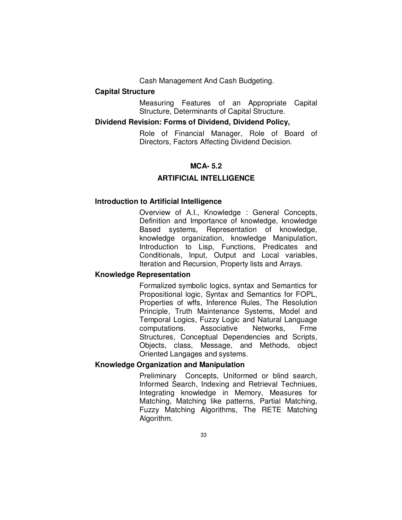Cash Management And Cash Budgeting.

# **Capital Structure**

 Measuring Features of an Appropriate Capital Structure, Determinants of Capital Structure.

# **Dividend Revision: Forms of Dividend, Dividend Policy,**

Role of Financial Manager, Role of Board of Directors, Factors Affecting Dividend Decision.

# **MCA- 5.2**

# **ARTIFICIAL INTELLIGENCE**

#### **Introduction to Artificial Intelligence**

 Overview of A.I., Knowledge : General Concepts, Definition and Importance of knowledge, knowledge Based systems, Representation of knowledge, knowledge organization, knowledge Manipulation, Introduction to Lisp, Functions, Predicates and Conditionals, Input, Output and Local variables, Iteration and Recursion, Property lists and Arrays.

# **Knowledge Representation**

 Formalized symbolic logics, syntax and Semantics for Propositional logic, Syntax and Semantics for FOPL, Properties of wffs, Inference Rules, The Resolution Principle, Truth Maintenance Systems, Model and Temporal Logics, Fuzzy Logic and Natural Language computations. Associative Networks, Frme Structures, Conceptual Dependencies and Scripts, Objects, class, Message, and Methods, object Oriented Langages and systems.

# **Knowledge Organization and Manipulation**

 Preliminary Concepts, Uniformed or blind search, Informed Search, Indexing and Retrieval Techniues, Integrating knowledge in Memory, Measures for Matching, Matching like patterns, Partial Matching, Fuzzy Matching Algorithms, The RETE Matching Algorithm.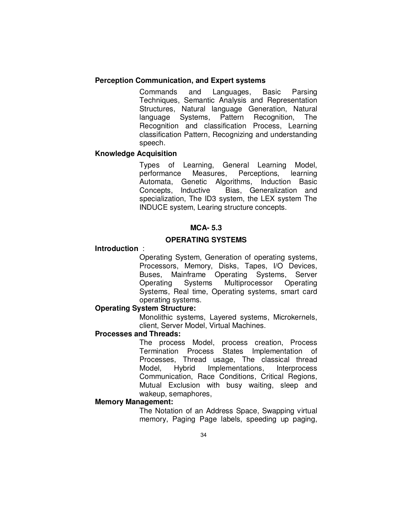# **Perception Communication, and Expert systems**

 Commands and Languages, Basic Parsing Techniques, Semantic Analysis and Representation Structures, Natural language Generation, Natural language Systems, Pattern Recognition, The Recognition and classification Process, Learning classification Pattern, Recognizing and understanding speech.

# **Knowledge Acquisition**

 Types of Learning, General Learning Model, performance Measures, Perceptions, learning Automata, Genetic Algorithms, Induction Basic Concepts, Inductive Bias, Generalization and specialization, The ID3 system, the LEX system The INDUCE system, Learing structure concepts.

# **MCA- 5.3**

# **OPERATING SYSTEMS**

# **Introduction** :

 Operating System, Generation of operating systems, Processors, Memory, Disks, Tapes, I/O Devices, Buses, Mainframe Operating Systems, Server Operating Systems Multiprocessor Operating Systems, Real time, Operating systems, smart card operating systems.

# **Operating System Structure:**

 Monolithic systems, Layered systems, Microkernels, client, Server Model, Virtual Machines.

### **Processes and Threads:**

 The process Model, process creation, Process Termination Process States Implementation of Processes, Thread usage, The classical thread Model, Hybrid Implementations, Interprocess Communication, Race Conditions, Critical Regions, Mutual Exclusion with busy waiting, sleep and wakeup, semaphores,

#### **Memory Management:**

 The Notation of an Address Space, Swapping virtual memory, Paging Page labels, speeding up paging,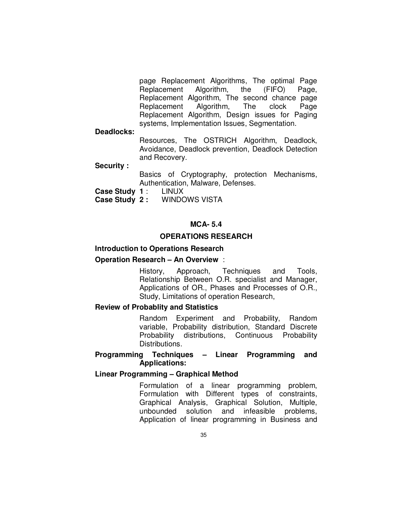page Replacement Algorithms, The optimal Page Replacement Algorithm, the (FIFO) Page, Replacement Algorithm, The second chance page Replacement Algorithm, The clock Page Replacement Algorithm, Design issues for Paging systems, Implementation Issues, Segmentation.

**Deadlocks:** 

 Resources, The OSTRICH Algorithm, Deadlock, Avoidance, Deadlock prevention, Deadlock Detection and Recovery.

**Security :** 

 Basics of Cryptography, protection Mechanisms, Authentication, Malware, Defenses.

**Case Study 1** : LINUX

**Case Study 2 :** WINDOWS VISTA

# **MCA- 5.4**

### **OPERATIONS RESEARCH**

# **Introduction to Operations Research**

# **Operation Research – An Overview** :

 History, Approach, Techniques and Tools, Relationship Between O.R. specialist and Manager, Applications of OR., Phases and Processes of O.R., Study, Limitations of operation Research,

# **Review of Probablity and Statistics**

 Random Experiment and Probability, Random variable, Probability distribution, Standard Discrete Probability distributions, Continuous Probability Distributions.

# **Programming Techniques – Linear Programming and Applications:**

#### **Linear Programming – Graphical Method**

 Formulation of a linear programming problem, Formulation with Different types of constraints, Graphical Analysis, Graphical Solution, Multiple, unbounded solution and infeasible problems, Application of linear programming in Business and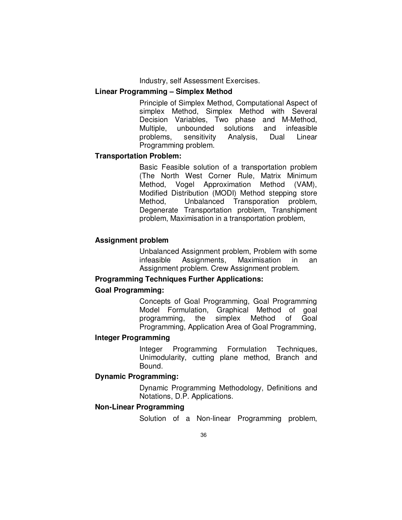Industry, self Assessment Exercises.

### **Linear Programming – Simplex Method**

 Principle of Simplex Method, Computational Aspect of simplex Method, Simplex Method with Several Decision Variables, Two phase and M-Method, Multiple, unbounded solutions and infeasible problems, sensitivity Analysis, Dual Linear Programming problem.

## **Transportation Problem:**

 Basic Feasible solution of a transportation problem (The North West Corner Rule, Matrix Minimum Method, Vogel Approximation Method (VAM), Modified Distribution (MODI) Method stepping store Method, Unbalanced Transporation problem, Degenerate Transportation problem, Transhipment problem, Maximisation in a transportation problem,

# **Assignment problem**

 Unbalanced Assignment problem, Problem with some infeasible Assignments, Maximisation in an Assignment problem. Crew Assignment problem.

# **Programming Techniques Further Applications:**

# **Goal Programming:**

 Concepts of Goal Programming, Goal Programming Model Formulation, Graphical Method of goal programming, the simplex Method of Goal Programming, Application Area of Goal Programming,

# **Integer Programming**

 Integer Programming Formulation Techniques, Unimodularity, cutting plane method, Branch and Bound.

# **Dynamic Programming:**

 Dynamic Programming Methodology, Definitions and Notations, D.P. Applications.

#### **Non-Linear Programming**

Solution of a Non-linear Programming problem,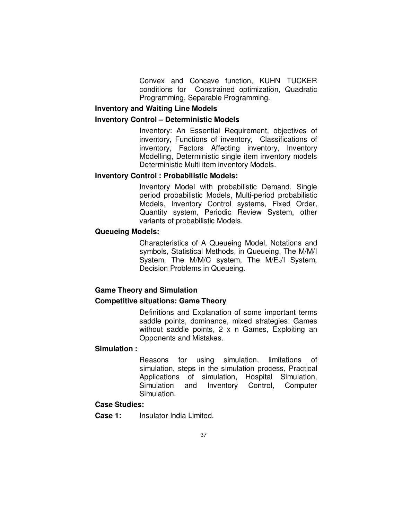Convex and Concave function, KUHN TUCKER conditions for Constrained optimization, Quadratic Programming, Separable Programming.

# **Inventory and Waiting Line Models**

# **Inventory Control – Deterministic Models**

 Inventory: An Essential Requirement, objectives of inventory, Functions of inventory, Classifications of inventory, Factors Affecting inventory, Inventory Modelling, Deterministic single item inventory models Deterministic Multi item inventory Models.

#### **Inventory Control : Probabilistic Models:**

 Inventory Model with probabilistic Demand, Single period probabilistic Models, Multi-period probabilistic Models, Inventory Control systems, Fixed Order, Quantity system, Periodic Review System, other variants of probabilistic Models.

# **Queueing Models:**

 Characteristics of A Queueing Model, Notations and symbols, Statistical Methods, in Queueing, The M/M/I System, The M/M/C system, The M/E<sub>k</sub>/I System, Decision Problems in Queueing.

# **Game Theory and Simulation**

### **Competitive situations: Game Theory**

 Definitions and Explanation of some important terms saddle points, dominance, mixed strategies: Games without saddle points, 2 x n Games, Exploiting an Opponents and Mistakes.

### **Simulation :**

 Reasons for using simulation, limitations of simulation, steps in the simulation process, Practical Applications of simulation, Hospital Simulation, Simulation and Inventory Control, Computer Simulation.

# **Case Studies:**

**Case 1:** Insulator India Limited.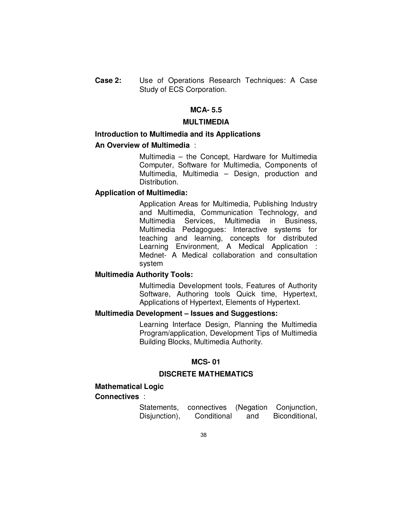**Case 2:** Use of Operations Research Techniques: A Case Study of ECS Corporation.

## **MCA- 5.5**

# **MULTIMEDIA**

# **Introduction to Multimedia and its Applications**

# **An Overview of Multimedia** :

 Multimedia – the Concept, Hardware for Multimedia Computer, Software for Multimedia, Components of Multimedia, Multimedia – Design, production and Distribution.

#### **Application of Multimedia:**

 Application Areas for Multimedia, Publishing Industry and Multimedia, Communication Technology, and Multimedia Services, Multimedia in Business, Multimedia Pedagogues: Interactive systems for teaching and learning, concepts for distributed Learning Environment, A Medical Application : Mednet- A Medical collaboration and consultation system

# **Multimedia Authority Tools:**

 Multimedia Development tools, Features of Authority Software, Authoring tools Quick time, Hypertext, Applications of Hypertext, Elements of Hypertext.

# **Multimedia Development – Issues and Suggestions:**

 Learning Interface Design, Planning the Multimedia Program/application, Development Tips of Multimedia Building Blocks, Multimedia Authority.

# **MCS- 01**

#### **DISCRETE MATHEMATICS**

# **Mathematical Logic**

#### **Connectives** :

|               |             |     | Statements, connectives (Negation Conjunction, |
|---------------|-------------|-----|------------------------------------------------|
| Disjunction), | Conditional | and | Biconditional,                                 |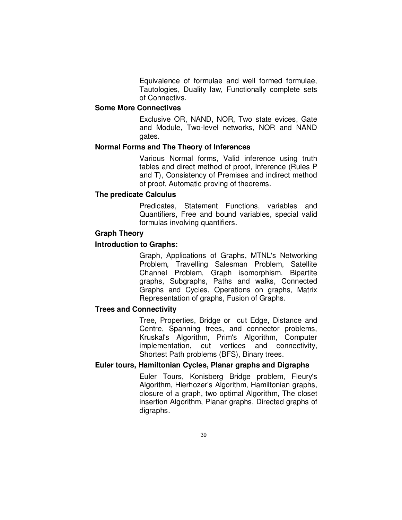Equivalence of formulae and well formed formulae, Tautologies, Duality law, Functionally complete sets of Connectivs.

# **Some More Connectives**

 Exclusive OR, NAND, NOR, Two state evices, Gate and Module, Two-level networks, NOR and NAND gates.

#### **Normal Forms and The Theory of Inferences**

 Various Normal forms, Valid inference using truth tables and direct method of proof, Inference (Rules P and T), Consistency of Premises and indirect method of proof, Automatic proving of theorems.

# **The predicate Calculus**

 Predicates, Statement Functions, variables and Quantifiers, Free and bound variables, special valid formulas involving quantifiers.

#### **Graph Theory**

#### **Introduction to Graphs:**

 Graph, Applications of Graphs, MTNL's Networking Problem, Travelling Salesman Problem, Satellite Channel Problem, Graph isomorphism, Bipartite graphs, Subgraphs, Paths and walks, Connected Graphs and Cycles, Operations on graphs, Matrix Representation of graphs, Fusion of Graphs.

# **Trees and Connectivity**

 Tree, Properties, Bridge or cut Edge, Distance and Centre, Spanning trees, and connector problems, Kruskal's Algorithm, Prim's Algorithm, Computer implementation, cut vertices and connectivity, Shortest Path problems (BFS), Binary trees.

# **Euler tours, Hamiltonian Cycles, Planar graphs and Digraphs**

 Euler Tours, Konisberg Bridge problem, Fleury's Algorithm, Hierhozer's Algorithm, Hamiltonian graphs, closure of a graph, two optimal Algorithm, The closet insertion Algorithm, Planar graphs, Directed graphs of digraphs.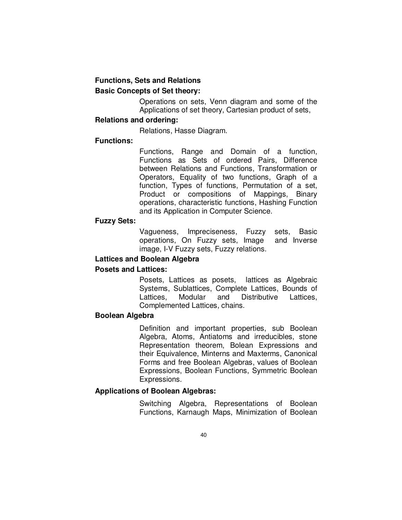# **Functions, Sets and Relations Basic Concepts of Set theory:**

 Operations on sets, Venn diagram and some of the Applications of set theory, Cartesian product of sets,

# **Relations and ordering:**

Relations, Hasse Diagram.

# **Functions:**

 Functions, Range and Domain of a function, Functions as Sets of ordered Pairs, Difference between Relations and Functions, Transformation or Operators, Equality of two functions, Graph of a function, Types of functions, Permutation of a set, Product or compositions of Mappings, Binary operations, characteristic functions, Hashing Function and its Application in Computer Science.

## **Fuzzy Sets:**

 Vagueness, Impreciseness, Fuzzy sets, Basic operations, On Fuzzy sets, Image and Inverse image, I-V Fuzzy sets, Fuzzy relations.

# **Lattices and Boolean Algebra**

# **Posets and Lattices:**

 Posets, Lattices as posets, lattices as Algebraic Systems, Sublattices, Complete Lattices, Bounds of Lattices, Modular and Distributive Lattices, Complemented Lattices, chains.

# **Boolean Algebra**

 Definition and important properties, sub Boolean Algebra, Atoms, Antiatoms and irreducibles, stone Representation theorem, Bolean Expressions and their Equivalence, Minterns and Maxterms, Canonical Forms and free Boolean Algebras, values of Boolean Expressions, Boolean Functions, Symmetric Boolean Expressions.

# **Applications of Boolean Algebras:**

 Switching Algebra, Representations of Boolean Functions, Karnaugh Maps, Minimization of Boolean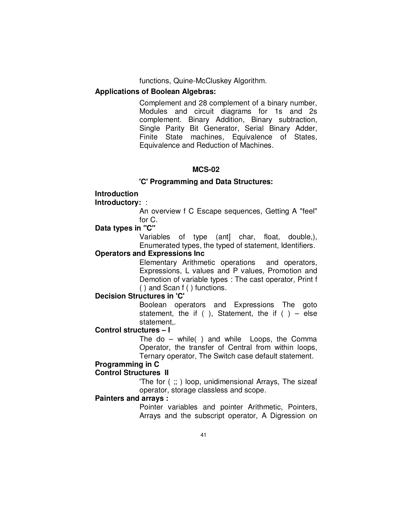functions, Quine-McCluskey Algorithm.

# **Applications of Boolean Algebras:**

 Complement and 28 complement of a binary number, Modules and circuit diagrams for 1s and 2s complement. Binary Addition, Binary subtraction, Single Parity Bit Generator, Serial Binary Adder, Finite State machines, Equivalence of States, Equivalence and Reduction of Machines.

# **MCS-02**

# **'C' Programming and Data Structures:**

# **Introduction**

# **Introductory:** :

 An overview f C Escape sequences, Getting A "feel" for C.

# **Data types in "C"**

 Variables of type (ant] char, float, double,), Enumerated types, the typed of statement, Identifiers.

# **Operators and Expressions Inc**

 Elementary Arithmetic operations and operators, Expressions, L values and P values, Promotion and Demotion of variable types : The cast operator, Print f ( ) and Scan f ( ) functions.

# **Decision Structures in 'C'**

 Boolean operators and Expressions The goto statement, the if ( ), Statement, the if ( ) – else statement,.

# **Control structures – I**

 The do – while( ) and while Loops, the Comma Operator, the transfer of Central from within loops, Ternary operator, The Switch case default statement.

# **Programming in C**

# **Control Structures II**

 'The for ( ;; ) loop, unidimensional Arrays, The sizeaf operator, storage classless and scope.

# **Painters and arrays :**

 Pointer variables and pointer Arithmetic, Pointers, Arrays and the subscript operator, A Digression on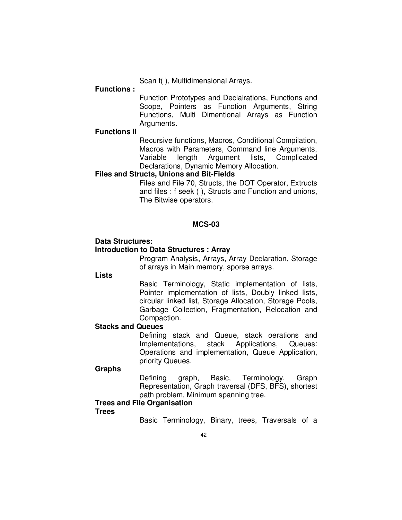Scan f( ), Multidimensional Arrays.

#### **Functions :**

 Function Prototypes and Declalrations, Functions and Scope, Pointers as Function Arguments, String Functions, Multi Dimentional Arrays as Function Arguments.

# **Functions II**

 Recursive functions, Macros, Conditional Compilation, Macros with Parameters, Command line Arguments, Variable length Argument lists, Complicated Declarations, Dynamic Memory Allocation.

# **Files and Structs, Unions and Bit-Fields**

 Files and File 70, Structs, the DOT Operator, Extructs and files : f seek ( ), Structs and Function and unions, The Bitwise operators.

# **MCS-03**

#### **Data Structures: Introduction to Data Structures : Array**

# Program Analysis, Arrays, Array Declaration, Storage

of arrays in Main memory, sporse arrays.

#### **Lists**

 Basic Terminology, Static implementation of lists, Pointer implementation of lists, Doubly linked lists, circular linked list, Storage Allocation, Storage Pools, Garbage Collection, Fragmentation, Relocation and Compaction.

### **Stacks and Queues**

 Defining stack and Queue, stack oerations and Implementations, stack Applications, Queues: Operations and implementation, Queue Application, priority Queues.

#### **Graphs**

 Defining graph, Basic, Terminology, Graph Representation, Graph traversal (DFS, BFS), shortest path problem, Minimum spanning tree.

# **Trees and File Organisation**

#### **Trees**

Basic Terminology, Binary, trees, Traversals of a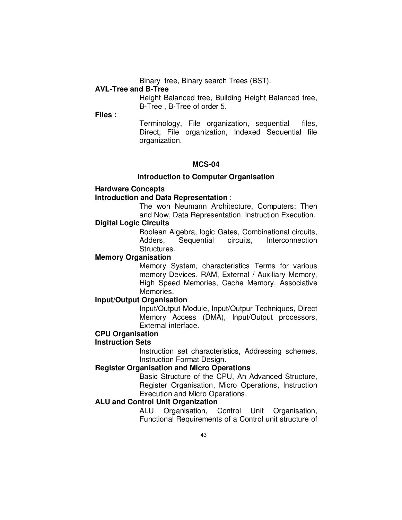Binary tree, Binary search Trees (BST).

# **AVL-Tree and B-Tree**

 Height Balanced tree, Building Height Balanced tree, B-Tree , B-Tree of order 5.

**Files :** 

 Terminology, File organization, sequential files, Direct, File organization, Indexed Sequential file organization.

# **MCS-04**

### **Introduction to Computer Organisation**

### **Hardware Concepts**

### **Introduction and Data Representation** :

 The won Neumann Architecture, Computers: Then and Now, Data Representation, Instruction Execution.

#### **Digital Logic Circuits**

 Boolean Algebra, logic Gates, Combinational circuits, Adders, Sequential circuits, Interconnection Structures.

# **Memory Organisation**

 Memory System, characteristics Terms for various memory Devices, RAM, External / Auxiliary Memory, High Speed Memories, Cache Memory, Associative Memories.

# **Input/Output Organisation**

 Input/Output Module, Input/Outpur Techniques, Direct Memory Access (DMA), Input/Output processors, External interface.

# **CPU Organisation**

# **Instruction Sets**

 Instruction set characteristics, Addressing schemes, Instruction Format Design.

# **Register Organisation and Micro Operations**

 Basic Structure of the CPU, An Advanced Structure, Register Organisation, Micro Operations, Instruction Execution and Micro Operations.

## **ALU and Control Unit Organization**

 ALU Organisation, Control Unit Organisation, Functional Requirements of a Control unit structure of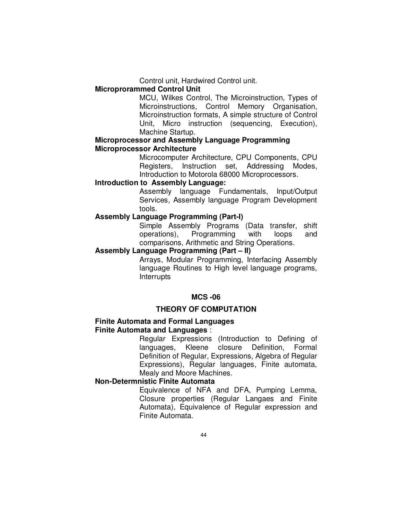Control unit, Hardwired Control unit.

# **Microprorammed Control Unit**

 MCU, Wilkes Control, The Microinstruction, Types of Microinstructions, Control Memory Organisation, Microinstruction formats, A simple structure of Control Unit, Micro instruction (sequencing, Execution), Machine Startup.

# **Microprocessor and Assembly Language Programming Microprocessor Architecture**

 Microcomputer Architecture, CPU Components, CPU Registers, Instruction set, Addressing Modes, Introduction to Motorola 68000 Microprocessors.

# **Introduction to Assembly Language:**

 Assembly language Fundamentals, Input/Output Services, Assembly language Program Development tools.

# **Assembly Language Programming (Part-I)**

 Simple Assembly Programs (Data transfer, shift operations), Programming with loops and comparisons, Arithmetic and String Operations.

# **Assembly Language Programming (Part – II)**

 Arrays, Modular Programming, Interfacing Assembly language Routines to High level language programs, Interrupts

# **MCS -06**

# **THEORY OF COMPUTATION**

# **Finite Automata and Formal Languages Finite Automata and Languages** :

 Regular Expressions (Introduction to Defining of languages, Kleene closure Definition, Formal Definition of Regular, Expressions, Algebra of Regular Expressions), Regular languages, Finite automata, Mealy and Moore Machines.

# **Non-Determnistic Finite Automata**

 Equivalence of NFA and DFA, Pumping Lemma, Closure properties (Regular Langaes and Finite Automata), Equivalence of Regular expression and Finite Automata.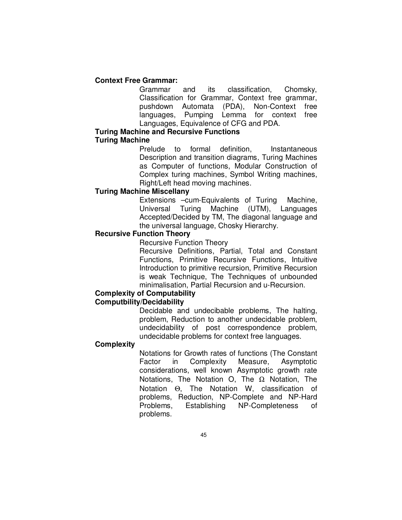# **Context Free Grammar:**

 Grammar and its classification, Chomsky, Classification for Grammar, Context free grammar, pushdown Automata (PDA), Non-Context free languages, Pumping Lemma for context free Languages, Equivalence of CFG and PDA.

# **Turing Machine and Recursive Functions Turing Machine**

Prelude to formal definition. Instantaneous Description and transition diagrams, Turing Machines as Computer of functions, Modular Construction of Complex turing machines, Symbol Writing machines, Right/Left head moving machines.

# **Turing Machine Miscellany**

 Extensions –cum-Equivalents of Turing Machine, Universal Turing Machine (UTM), Languages Accepted/Decided by TM, The diagonal language and the universal language, Chosky Hierarchy.

# **Recursive Function Theory**

Recursive Function Theory

 Recursive Definitions, Partial, Total and Constant Functions, Primitive Recursive Functions, Intuitive Introduction to primitive recursion, Primitive Recursion is weak Technique, The Techniques of unbounded minimalisation, Partial Recursion and u-Recursion.

# **Complexity of Computability**

# **Computbility/Decidability**

 Decidable and undecibable problems, The halting, problem, Reduction to another undecidable problem, undecidability of post correspondence problem, undecidable problems for context free languages.

# **Complexity**

 Notations for Growth rates of functions (The Constant Factor in Complexity Measure, Asymptotic considerations, well known Asymptotic growth rate Notations, The Notation O, The  $\Omega$  Notation, The Notation Θ, The Notation W, classification of problems, Reduction, NP-Complete and NP-Hard Problems, Establishing NP-Completeness of problems.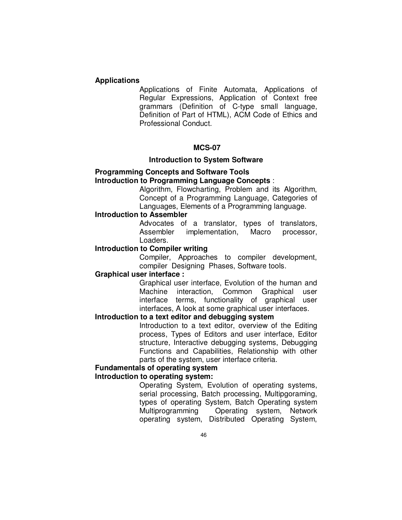### **Applications**

 Applications of Finite Automata, Applications of Regular Expressions, Application of Context free grammars (Definition of C-type small language, Definition of Part of HTML), ACM Code of Ethics and Professional Conduct.

### **MCS-07**

# **Introduction to System Software**

## **Programming Concepts and Software Tools Introduction to Programming Language Concepts** :

 Algorithm, Flowcharting, Problem and its Algorithm, Concept of a Programming Language, Categories of Languages, Elements of a Programming language.

# **Introduction to Assembler**

 Advocates of a translator, types of translators, Assembler implementation, Macro processor, Loaders.

# **Introduction to Compiler writing**

 Compiler, Approaches to compiler development, compiler Designing Phases, Software tools.

# **Graphical user interface :**

 Graphical user interface, Evolution of the human and Machine interaction, Common Graphical user interface terms, functionality of graphical user interfaces, A look at some graphical user interfaces.

### **Introduction to a text editor and debugging system**

 Introduction to a text editor, overview of the Editing process, Types of Editors and user interface, Editor structure, Interactive debugging systems, Debugging Functions and Capabilities, Relationship with other parts of the system, user interface criteria.

# **Fundamentals of operating system**

# **Introduction to operating system:**

 Operating System, Evolution of operating systems, serial processing, Batch processing, Multipgoraming, types of operating System, Batch Operating system Multiprogramming Operating system, Network operating system, Distributed Operating System,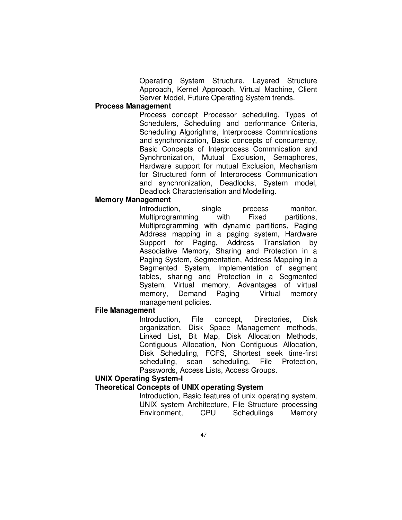Operating System Structure, Layered Structure Approach, Kernel Approach, Virtual Machine, Client Server Model, Future Operating System trends.

# **Process Management**

 Process concept Processor scheduling, Types of Schedulers, Scheduling and performance Criteria, Scheduling Algorighms, Interprocess Commnications and synchronization, Basic concepts of concurrency, Basic Concepts of Interprocess Commnication and Synchronization, Mutual Exclusion, Semaphores, Hardware support for mutual Exclusion, Mechanism for Structured form of Interprocess Communication and synchronization, Deadlocks, System model, Deadlock Characterisation and Modelling.

# **Memory Management**

Introduction, single process monitor, Multiprogramming with Fixed partitions, Multiprogramming with dynamic partitions, Paging Address mapping in a paging system, Hardware Support for Paging, Address Translation by Associative Memory, Sharing and Protection in a Paging System, Segmentation, Address Mapping in a Segmented System, Implementation of segment tables, sharing and Protection in a Segmented System, Virtual memory, Advantages of virtual memory, Demand Paging Virtual memory management policies.

#### **File Management**

 Introduction, File concept, Directories, Disk organization, Disk Space Management methods, Linked List, Bit Map, Disk Allocation Methods, Contiguous Allocation, Non Contiguous Allocation, Disk Scheduling, FCFS, Shortest seek time-first scheduling, scan scheduling, File Protection, Passwords, Access Lists, Access Groups.

# **UNIX Operating System-I**

# **Theoretical Concepts of UNIX operating System**

 Introduction, Basic features of unix operating system, UNIX system Architecture, File Structure processing Environment, CPU Schedulings Memory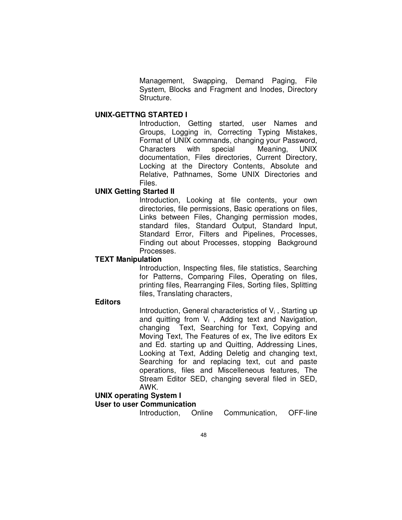Management, Swapping, Demand Paging, File System, Blocks and Fragment and Inodes, Directory Structure.

#### **UNIX-GETTNG STARTED I**

 Introduction, Getting started, user Names and Groups, Logging in, Correcting Typing Mistakes, Format of UNIX commands, changing your Password, Characters with special Meaning, UNIX documentation, Files directories, Current Directory, Locking at the Directory Contents, Absolute and Relative, Pathnames, Some UNIX Directories and Files.

# **UNIX Getting Started II**

 Introduction, Looking at file contents, your own directories, file permissions, Basic operations on files, Links between Files, Changing permission modes, standard files, Standard Output, Standard Input, Standard Error, Filters and Pipelines, Processes, Finding out about Processes, stopping Background Processes.

# **TEXT Manipulation**

 Introduction, Inspecting files, file statistics, Searching for Patterns, Comparing Files, Operating on files, printing files, Rearranging Files, Sorting files, Splitting files, Translating characters,

# **Editors**

Introduction, General characteristics of  $V_i$ , Starting up and quitting from  $V_i$ , Adding text and Navigation, changing Text, Searching for Text, Copying and Moving Text, The Features of ex, The live editors Ex and Ed. starting up and Quitting, Addressing Lines, Looking at Text, Adding Deletig and changing text, Searching for and replacing text, cut and paste operations, files and Miscelleneous features, The Stream Editor SED, changing several filed in SED, AWK.

# **UNIX operating System I**

# **User to user Communication**

Introduction, Online Communication, OFF-line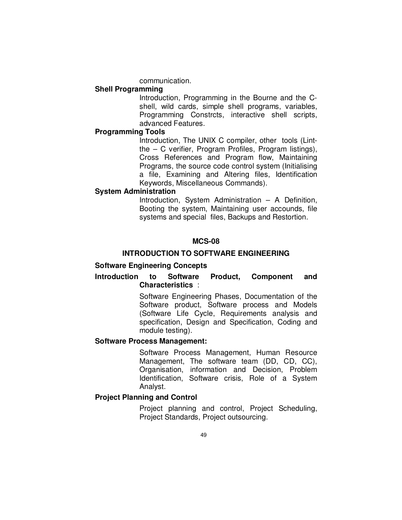communication.

## **Shell Programming**

 Introduction, Programming in the Bourne and the Cshell, wild cards, simple shell programs, variables, Programming Constrcts, interactive shell scripts, advanced Features.

# **Programming Tools**

 Introduction, The UNIX C compiler, other tools (Lintthe – C verifier, Program Profiles, Program listings), Cross References and Program flow, Maintaining Programs, the source code control system (Initialising a file, Examining and Altering files, Identification Keywords, Miscellaneous Commands).

# **System Administration**

 Introduction, System Administration – A Definition, Booting the system, Maintaining user accounds, file systems and special files, Backups and Restortion.

## **MCS-08**

# **INTRODUCTION TO SOFTWARE ENGINEERING**

# **Software Engineering Concepts**

# **Introduction to Software Product, Component and Characteristics** :

 Software Engineering Phases, Documentation of the Software product, Software process and Models (Software Life Cycle, Requirements analysis and specification, Design and Specification, Coding and module testing).

### **Software Process Management:**

 Software Process Management, Human Resource Management, The software team (DD, CD, CC), Organisation, information and Decision, Problem Identification, Software crisis, Role of a System Analyst.

# **Project Planning and Control**

 Project planning and control, Project Scheduling, Project Standards, Project outsourcing.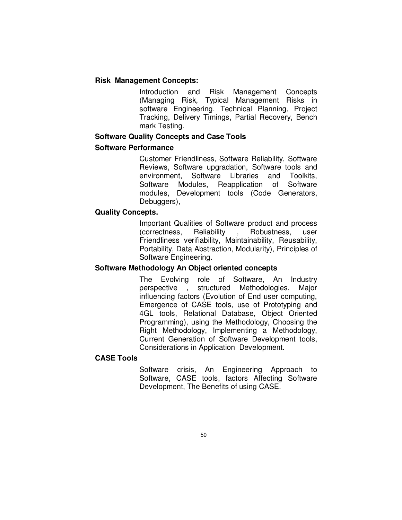# **Risk Management Concepts:**

 Introduction and Risk Management Concepts (Managing Risk, Typical Management Risks in software Engineering. Technical Planning, Project Tracking, Delivery Timings, Partial Recovery, Bench mark Testing.

# **Software Quality Concepts and Case Tools**

# **Software Performance**

 Customer Friendliness, Software Reliability, Software Reviews, Software upgradation, Software tools and environment, Software Libraries and Toolkits, Software Modules, Reapplication of Software modules, Development tools (Code Generators, Debuggers),

## **Quality Concepts.**

 Important Qualities of Software product and process (correctness, Reliability , Robustness, user Friendliness verifiability, Maintainability, Reusability, Portability, Data Abstraction, Modularity), Principles of Software Engineering.

# **Software Methodology An Object oriented concepts**

 The Evolving role of Software, An Industry perspective , structured Methodologies, Major influencing factors (Evolution of End user computing, Emergence of CASE tools, use of Prototyping and 4GL tools, Relational Database, Object Oriented Programming), using the Methodology, Choosing the Right Methodology, Implementing a Methodology, Current Generation of Software Development tools, Considerations in Application Development.

# **CASE Tools**

 Software crisis, An Engineering Approach to Software, CASE tools, factors Affecting Software Development, The Benefits of using CASE.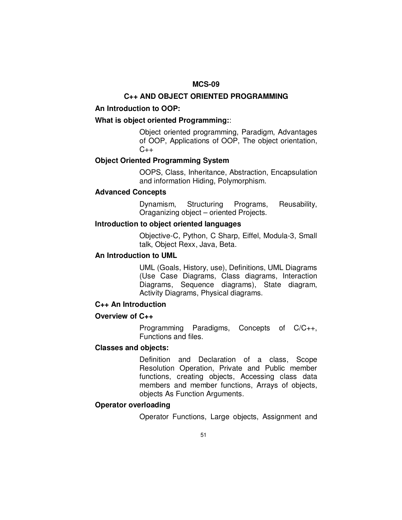# **C++ AND OBJECT ORIENTED PROGRAMMING**

# **An Introduction to OOP:**

# **What is object oriented Programming:**:

 Object oriented programming, Paradigm, Advantages of OOP, Applications of OOP, The object orientation,  $C_{++}$ 

# **Object Oriented Programming System**

 OOPS, Class, Inheritance, Abstraction, Encapsulation and information Hiding, Polymorphism.

# **Advanced Concepts**

 Dynamism, Structuring Programs, Reusability, Oraganizing object – oriented Projects.

# **Introduction to object oriented languages**

 Objective-C, Python, C Sharp, Eiffel, Modula-3, Small talk, Object Rexx, Java, Beta.

# **An Introduction to UML**

 UML (Goals, History, use), Definitions, UML Diagrams (Use Case Diagrams, Class diagrams, Interaction Diagrams, Sequence diagrams), State diagram, Activity Diagrams, Physical diagrams.

# **C++ An Introduction**

# **Overview of C++**

 Programming Paradigms, Concepts of C/C++, Functions and files.

# **Classes and objects:**

 Definition and Declaration of a class, Scope Resolution Operation, Private and Public member functions, creating objects, Accessing class data members and member functions, Arrays of objects, objects As Function Arguments.

# **Operator overloading**

Operator Functions, Large objects, Assignment and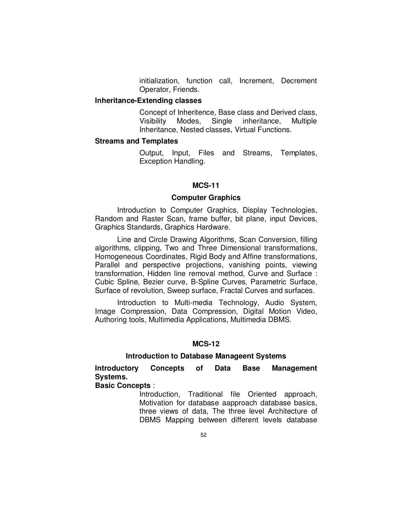initialization, function call, Increment, Decrement Operator, Friends.

# **Inheritance-Extending classes**

 Concept of Inheritence, Base class and Derived class, Visibility Modes, Single inheritance, Multiple Inheritance, Nested classes, Virtual Functions.

# **Streams and Templates**

 Output, Input, Files and Streams, Templates, Exception Handling.

# **MCS-11**

#### **Computer Graphics**

 Introduction to Computer Graphics, Display Technologies, Random and Raster Scan, frame buffer, bit plane, input Devices, Graphics Standards, Graphics Hardware.

 Line and Circle Drawing Algorithms, Scan Conversion, filling algorithms, clipping, Two and Three Dimensional transformations, Homogeneous Coordinates, Rigid Body and Affine transformations, Parallel and perspective projections, vanishing points, viewing transformation, Hidden line removal method, Curve and Surface : Cubic Spline, Bezier curve, B-Spline Curves, Parametric Surface, Surface of revolution, Sweep surface, Fractal Curves and surfaces.

 Introduction to Multi-media Technology, Audio System, Image Compression, Data Compression, Digital Motion Video, Authoring tools, Multimedia Applications, Multimedia DBMS.

### **MCS-12**

#### **Introduction to Database Manageent Systems**

**Introductory Concepts of Data Base Management Systems.** 

**Basic Concepts** :

 Introduction, Traditional file Oriented approach, Motivation for database aapproach database basics, three views of data, The three level Architecture of DBMS Mapping between different levels database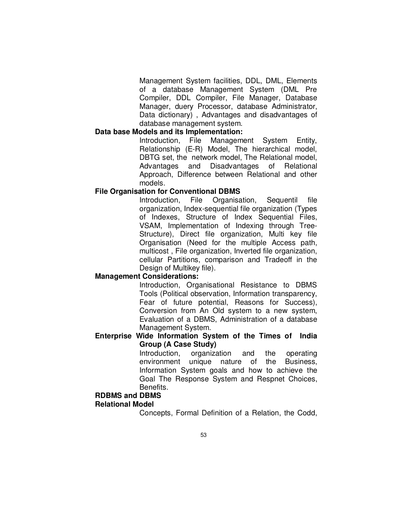Management System facilities, DDL, DML, Elements of a database Management System (DML Pre Compiler, DDL Compiler, File Manager, Database Manager, duery Processor, database Administrator, Data dictionary) , Advantages and disadvantages of database management system.

## **Data base Models and its Implementation:**

 Introduction, File Management System Entity, Relationship (E-R) Model, The hierarchical model, DBTG set, the network model, The Relational model, Advantages and Disadvantages of Relational Approach, Difference between Relational and other models.

## **File Organisation for Conventional DBMS**

 Introduction, File Organisation, Sequentil file organization, Index-sequential file organization (Types of Indexes, Structure of Index Sequential Files, VSAM, Implementation of Indexing through Tree-Structure), Direct file organization, Multi key file Organisation (Need for the multiple Access path, multicost , File organization, Inverted file organization, cellular Partitions, comparison and Tradeoff in the Design of Multikey file).

# **Management Considerations:**

 Introduction, Organisational Resistance to DBMS Tools (Political observation, Information transparency, Fear of future potential, Reasons for Success), Conversion from An Old system to a new system, Evaluation of a DBMS, Administration of a database Management System.

# **Enterprise Wide Information System of the Times of India Group (A Case Study)**

 Introduction, organization and the operating environment unique nature of the Business, Information System goals and how to achieve the Goal The Response System and Respnet Choices, Benefits.

#### **RDBMS and DBMS**

#### **Relational Model**

Concepts, Formal Definition of a Relation, the Codd,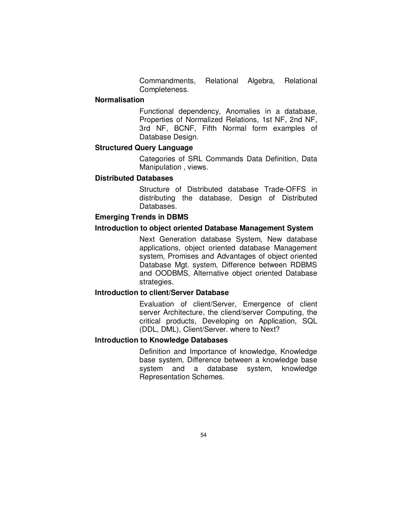Commandments, Relational Algebra, Relational Completeness.

### **Normalisation**

 Functional dependency, Anomalies in a database, Properties of Normalized Relations, 1st NF, 2nd NF, 3rd NF, BCNF, Fifth Normal form examples of Database Design.

# **Structured Query Language**

 Categories of SRL Commands Data Definition, Data Manipulation , views.

# **Distributed Databases**

 Structure of Distributed database Trade-OFFS in distributing the database, Design of Distributed Databases.

# **Emerging Trends in DBMS**

# **Introduction to object oriented Database Management System**

 Next Generation database System, New database applications, object oriented database Management system, Promises and Advantages of object oriented Database Mgt. system, Difference between RDBMS and OODBMS, Alternative object oriented Database strategies.

# **Introduction to client/Server Database**

 Evaluation of client/Server, Emergence of client server Architecture, the cliend/server Computing, the critical products, Developing on Application, SQL (DDL, DML), Client/Server. where to Next?

# **Introduction to Knowledge Databases**

 Definition and Importance of knowledge, Knowledge base system, Difference between a knowledge base system and a database system, knowledge Representation Schemes.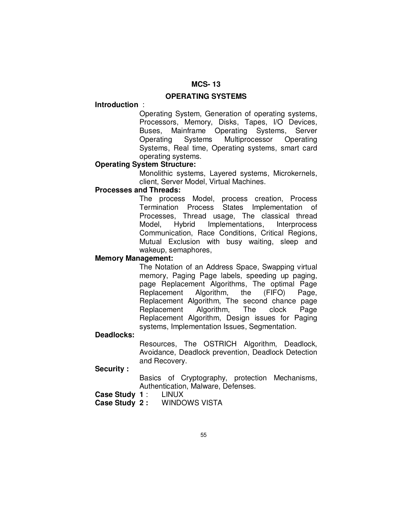### **OPERATING SYSTEMS**

#### **Introduction** :

 Operating System, Generation of operating systems, Processors, Memory, Disks, Tapes, I/O Devices, Buses, Mainframe Operating Systems, Server Operating Systems Multiprocessor Operating Systems, Real time, Operating systems, smart card operating systems.

# **Operating System Structure:**

 Monolithic systems, Layered systems, Microkernels, client, Server Model, Virtual Machines.

# **Processes and Threads:**

 The process Model, process creation, Process Termination Process States Implementation of Processes, Thread usage, The classical thread Model, Hybrid Implementations, Interprocess Communication, Race Conditions, Critical Regions, Mutual Exclusion with busy waiting, sleep and wakeup, semaphores,

# **Memory Management:**

 The Notation of an Address Space, Swapping virtual memory, Paging Page labels, speeding up paging, page Replacement Algorithms, The optimal Page Replacement Algorithm, the (FIFO) Page, Replacement Algorithm, The second chance page Replacement Algorithm, The clock Page Replacement Algorithm, Design issues for Paging systems, Implementation Issues, Segmentation.

#### **Deadlocks:**

 Resources, The OSTRICH Algorithm, Deadlock, Avoidance, Deadlock prevention, Deadlock Detection and Recovery.

# **Security :**

 Basics of Cryptography, protection Mechanisms, Authentication, Malware, Defenses.<br>1: LINUX

**Case Study 1:** 

**Case Study 2 :** WINDOWS VISTA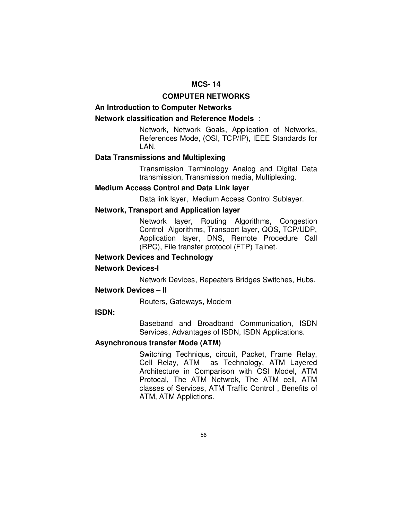# **COMPUTER NETWORKS**

### **An Introduction to Computer Networks**

#### **Network classification and Reference Models** :

 Network, Network Goals, Application of Networks, References Mode, (OSI, TCP/IP), IEEE Standards for LAN.

# **Data Transmissions and Multiplexing**

 Transmission Terminology Analog and Digital Data transmission, Transmission media, Multiplexing.

# **Medium Access Control and Data Link layer**

Data link layer, Medium Access Control Sublayer.

### **Network, Transport and Application layer**

 Network layer, Routing Algorithms, Congestion Control Algorithms, Transport layer, QOS, TCP/UDP, Application layer, DNS, Remote Procedure Call (RPC), File transfer protocol (FTP) Talnet.

# **Network Devices and Technology**

#### **Network Devices-I**

Network Devices, Repeaters Bridges Switches, Hubs.

#### **Network Devices – II**

Routers, Gateways, Modem

### **ISDN:**

 Baseband and Broadband Communication, ISDN Services, Advantages of ISDN, ISDN Applications.

### **Asynchronous transfer Mode (ATM)**

 Switching Techniqus, circuit, Packet, Frame Relay, Cell Relay, ATM as Technology, ATM Layered Architecture in Comparison with OSI Model, ATM Protocal, The ATM Netwrok, The ATM cell, ATM classes of Services, ATM Traffic Control , Benefits of ATM, ATM Applictions.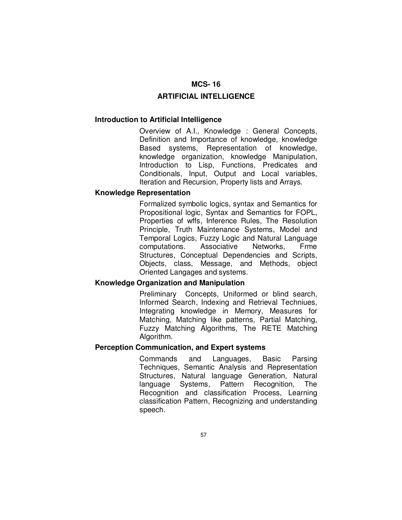## **ARTIFICIAL INTELLIGENCE**

#### **Introduction to Artificial Intelligence**

 Overview of A.I., Knowledge : General Concepts, Definition and Importance of knowledge, knowledge Based systems, Representation of knowledge, knowledge organization, knowledge Manipulation, Introduction to Lisp, Functions, Predicates and Conditionals, Input, Output and Local variables, Iteration and Recursion, Property lists and Arrays.

### **Knowledge Representation**

 Formalized symbolic logics, syntax and Semantics for Propositional logic, Syntax and Semantics for FOPL, Properties of wffs, Inference Rules, The Resolution Principle, Truth Maintenance Systems, Model and Temporal Logics, Fuzzy Logic and Natural Language computations. Associative Networks, Frme Structures, Conceptual Dependencies and Scripts, Objects, class, Message, and Methods, object Oriented Langages and systems.

# **Knowledge Organization and Manipulation**

 Preliminary Concepts, Uniformed or blind search, Informed Search, Indexing and Retrieval Techniues, Integrating knowledge in Memory, Measures for Matching, Matching like patterns, Partial Matching, Fuzzy Matching Algorithms, The RETE Matching Algorithm.

# **Perception Communication, and Expert systems**

 Commands and Languages, Basic Parsing Techniques, Semantic Analysis and Representation Structures, Natural language Generation, Natural language Systems, Pattern Recognition, The Recognition and classification Process, Learning classification Pattern, Recognizing and understanding speech.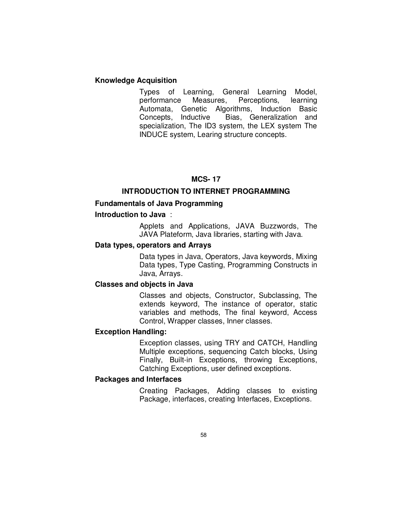# **Knowledge Acquisition**

 Types of Learning, General Learning Model, performance Measures, Perceptions, learning Automata, Genetic Algorithms, Induction Basic Concepts, Inductive Bias, Generalization and specialization, The ID3 system, the LEX system The INDUCE system, Learing structure concepts.

# **MCS- 17**

# **INTRODUCTION TO INTERNET PROGRAMMING**

# **Fundamentals of Java Programming**

# **Introduction to Java** :

 Applets and Applications, JAVA Buzzwords, The JAVA Plateform, Java libraries, starting with Java.

# **Data types, operators and Arrays**

 Data types in Java, Operators, Java keywords, Mixing Data types, Type Casting, Programming Constructs in Java, Arrays.

# **Classes and objects in Java**

 Classes and objects, Constructor, Subclassing, The extends keyword, The instance of operator, static variables and methods, The final keyword, Access Control, Wrapper classes, Inner classes.

### **Exception Handling:**

Exception classes, using TRY and CATCH, Handling Multiple exceptions, sequencing Catch blocks, Using Finally, Built-in Exceptions, throwing Exceptions, Catching Exceptions, user defined exceptions.

# **Packages and Interfaces**

 Creating Packages, Adding classes to existing Package, interfaces, creating Interfaces, Exceptions.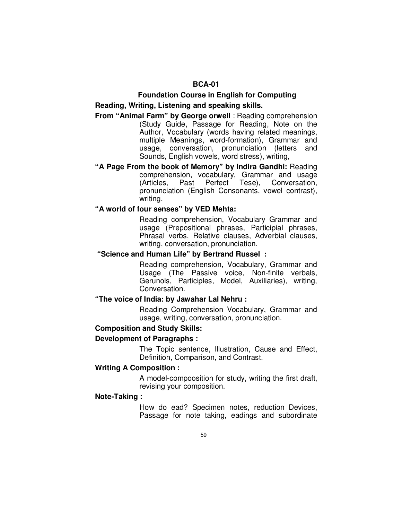# **BCA-01**

# **Foundation Course in English for Computing**

# **Reading, Writing, Listening and speaking skills.**

# **From "Animal Farm" by George orwell** : Reading comprehension (Study Guide, Passage for Reading, Note on the Author, Vocabulary (words having related meanings, multiple Meanings, word-formation), Grammar and usage, conversation, pronunciation (letters and Sounds, English vowels, word stress), writing,

**"A Page From the book of Memory" by Indira Gandhi:** Reading comprehension, vocabulary, Grammar and usage<br>(Articles. Past Perfect Tese), Conversation, (Articles, Past Perfect Tese), pronunciation (English Consonants, vowel contrast), writing.

# **"A world of four senses" by VED Mehta:**

Reading comprehension, Vocabulary Grammar and usage (Prepositional phrases, Participial phrases, Phrasal verbs, Relative clauses, Adverbial clauses, writing, conversation, pronunciation.

# **"Science and Human Life" by Bertrand Russel :**

 Reading comprehension, Vocabulary, Grammar and Usage (The Passive voice, Non-finite verbals, Gerunols, Participles, Model, Auxiliaries), writing, Conversation.

# **"The voice of India: by Jawahar Lal Nehru :**

Reading Comprehension Vocabulary, Grammar and usage, writing, conversation, pronunciation.

# **Composition and Study Skills:**

#### **Development of Paragraphs :**

The Topic sentence, Illustration, Cause and Effect, Definition, Comparison, and Contrast.

# **Writing A Composition :**

A model-compoosition for study, writing the first draft, revising your composition.

# **Note-Taking :**

 How do ead? Specimen notes, reduction Devices, Passage for note taking, eadings and subordinate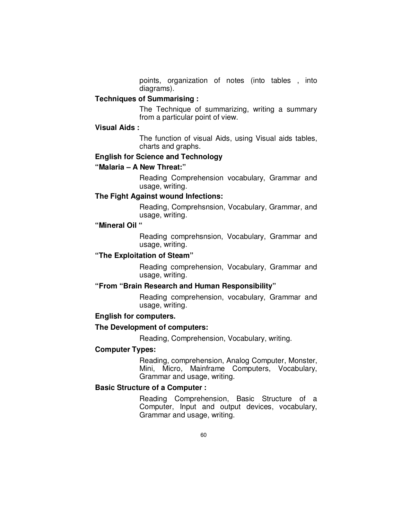points, organization of notes (into tables , into diagrams).

# **Techniques of Summarising :**

The Technique of summarizing, writing a summary from a particular point of view.

# **Visual Aids :**

The function of visual Aids, using Visual aids tables, charts and graphs.

# **English for Science and Technology**

# **"Malaria – A New Threat:"**

Reading Comprehension vocabulary, Grammar and usage, writing.

# **The Fight Against wound Infections:**

Reading, Comprehsnsion, Vocabulary, Grammar, and usage, writing.

# **"Mineral Oil "**

Reading comprehsnsion, Vocabulary, Grammar and usage, writing.

## **"The Exploitation of Steam"**

 Reading comprehension, Vocabulary, Grammar and usage, writing.

# **"From "Brain Research and Human Responsibility"**

Reading comprehension, vocabulary, Grammar and usage, writing.

#### **English for computers.**

#### **The Development of computers:**

Reading, Comprehension, Vocabulary, writing.

#### **Computer Types:**

Reading, comprehension, Analog Computer, Monster, Mini, Micro, Mainframe Computers, Vocabulary, Grammar and usage, writing.

#### **Basic Structure of a Computer :**

Reading Comprehension, Basic Structure of a Computer, Input and output devices, vocabulary, Grammar and usage, writing.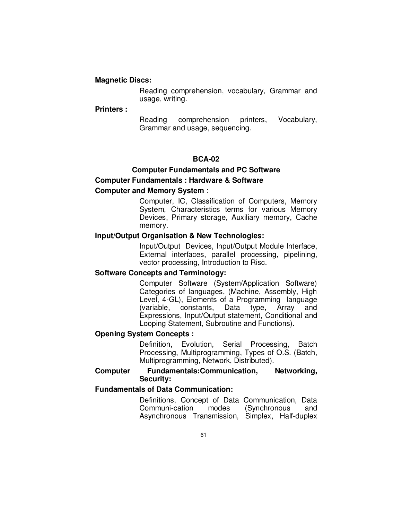# **Magnetic Discs:**

 Reading comprehension, vocabulary, Grammar and usage, writing.

#### **Printers :**

 Reading comprehension printers, Vocabulary, Grammar and usage, sequencing.

# **BCA-02**

# **Computer Fundamentals and PC Software Computer Fundamentals : Hardware & Software**

# **Computer and Memory System** :

 Computer, IC, Classification of Computers, Memory System, Characteristics terms for various Memory Devices, Primary storage, Auxiliary memory, Cache memory.

### **Input/Output Organisation & New Technologies:**

 Input/Output Devices, Input/Output Module Interface, External interfaces, parallel processing, pipelining, vector processing, Introduction to Risc.

# **Software Concepts and Terminology:**

 Computer Software (System/Application Software) Categories of languages, (Machine, Assembly, High Level, 4-GL), Elements of a Programming language (variable, constants, Data type, Array and Expressions, Input/Output statement, Conditional and Looping Statement, Subroutine and Functions).

#### **Opening System Concepts :**

 Definition, Evolution, Serial Processing, Batch Processing, Multiprogramming, Types of O.S. (Batch, Multiprogramming, Network, Distributed).

# **Computer Fundamentals:Communication, Networking, Security:**

# **Fundamentals of Data Communication:**

 Definitions, Concept of Data Communication, Data Communi-cation modes (Synchronous and Asynchronous Transmission, Simplex, Half-duplex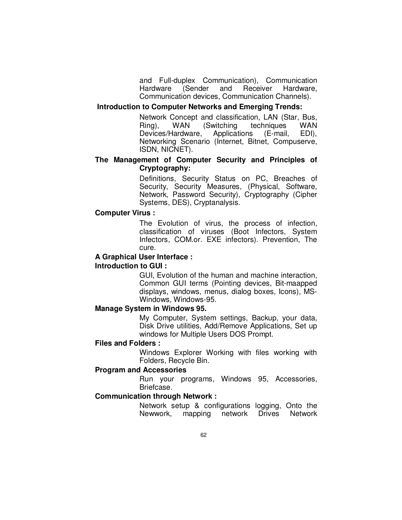and Full-duplex Communication), Communication Hardware (Sender and Receiver Hardware, Communication devices, Communication Channels).

#### **Introduction to Computer Networks and Emerging Trends:**

 Network Concept and classification, LAN (Star, Bus, Ring), WAN (Switching techniques WAN<br>Devices/Hardware, Applications (E-mail, EDI), Devices/Hardware, Applications (E-mail, Networking Scenario (Internet, Bitnet, Compuserve, ISDN, NICNET).

# **The Management of Computer Security and Principles of Cryptography:**

 Definitions, Security Status on PC, Breaches of Security, Security Measures, (Physical, Software, Network, Password Security), Cryptography (Cipher Systems, DES), Cryptanalysis.

### **Computer Virus :**

 The Evolution of virus, the process of infection, classification of viruses (Boot Infectors, System Infectors, COM.or. EXE infectors). Prevention, The cure.

# **A Graphical User Interface :**

#### **Introduction to GUI :**

 GUI, Evolution of the human and machine interaction, Common GUI terms (Pointing devices, Bit-maapped displays, windows, menus, dialog boxes, Icons), MS-Windows, Windows-95.

# **Manage System in Windows 95.**

 My Computer, System settings, Backup, your data, Disk Drive utilities, Add/Remove Applications, Set up windows for Multiple Users DOS Prompt.

### **Files and Folders :**

 Windows Explorer Working with files working with Folders, Recycle Bin.

# **Program and Accessories**

 Run your programs, Windows 95, Accessories, Briefcase.

#### **Communication through Network :**

 Network setup & configurations logging, Onto the Newwork, mapping network Drives Network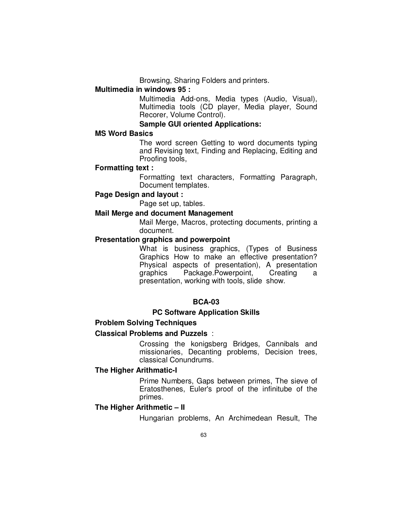Browsing, Sharing Folders and printers.

# **Multimedia in windows 95 :**

 Multimedia Add-ons, Media types (Audio, Visual), Multimedia tools (CD player, Media player, Sound Recorer, Volume Control).

# **Sample GUI oriented Applications:**

# **MS Word Basics**

 The word screen Getting to word documents typing and Revising text, Finding and Replacing, Editing and Proofing tools,

#### **Formatting text :**

 Formatting text characters, Formatting Paragraph, Document templates.

# **Page Design and layout :**

Page set up, tables.

#### **Mail Merge and document Management**

 Mail Merge, Macros, protecting documents, printing a document.

# **Presentation graphics and powerpoint**

 What is business graphics, (Types of Business Graphics How to make an effective presentation? Physical aspects of presentation), A presentation graphics Package.Powerpoint, Creating a presentation, working with tools, slide show.

# **BCA-03**

# **PC Software Application Skills**

# **Problem Solving Techniques**

# **Classical Problems and Puzzels** :

 Crossing the konigsberg Bridges, Cannibals and missionaries, Decanting problems, Decision trees, classical Conundrums.

# **The Higher Arithmatic-I**

 Prime Numbers, Gaps between primes, The sieve of Eratosthenes, Euler's proof of the infinitube of the primes.

### **The Higher Arithmetic – II**

Hungarian problems, An Archimedean Result, The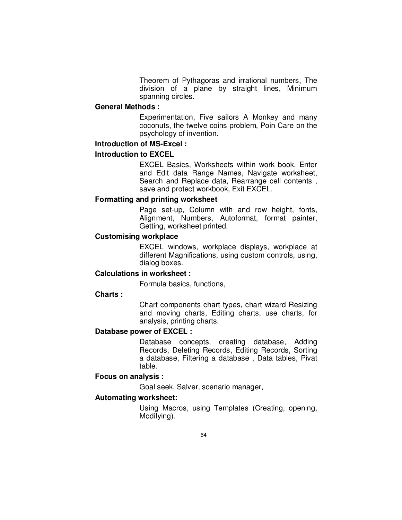Theorem of Pythagoras and irrational numbers, The division of a plane by straight lines, Minimum spanning circles.

### **General Methods :**

 Experimentation, Five sailors A Monkey and many coconuts, the twelve coins problem, Poin Care on the psychology of invention.

# **Introduction of MS-Excel :**

#### **Introduction to EXCEL**

 EXCEL Basics, Worksheets within work book, Enter and Edit data Range Names, Navigate worksheet, Search and Replace data, Rearrange cell contents , save and protect workbook, Exit EXCEL.

# **Formatting and printing worksheet**

 Page set-up, Column with and row height, fonts, Alignment, Numbers, Autoformat, format painter, Getting, worksheet printed.

# **Customising workplace**

 EXCEL windows, workplace displays, workplace at different Magnifications, using custom controls, using, dialog boxes.

# **Calculations in worksheet :**

Formula basics, functions,

### **Charts :**

 Chart components chart types, chart wizard Resizing and moving charts, Editing charts, use charts, for analysis, printing charts.

#### **Database power of EXCEL :**

 Database concepts, creating database, Adding Records, Deleting Records, Editing Records, Sorting a database, Filtering a database , Data tables, Pivat table.

# **Focus on analysis :**

Goal seek, Salver, scenario manager,

# **Automating worksheet:**

 Using Macros, using Templates (Creating, opening, Modifying).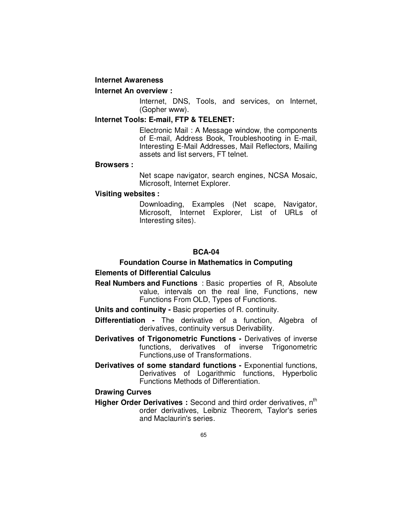#### **Internet Awareness**

# **Internet An overview :**

 Internet, DNS, Tools, and services, on Internet, (Gopher www).

# **Internet Tools: E-mail, FTP & TELENET:**

 Electronic Mail : A Message window, the components of E-mail, Address Book, Troubleshooting in E-mail, Interesting E-Mail Addresses, Mail Reflectors, Mailing assets and list servers, FT telnet.

#### **Browsers :**

 Net scape navigator, search engines, NCSA Mosaic, Microsoft, Internet Explorer.

#### **Visiting websites :**

 Downloading, Examples (Net scape, Navigator, Microsoft, Internet Explorer, List of URLs of Interesting sites).

# **BCA-04**

# **Foundation Course in Mathematics in Computing**

# **Elements of Differential Calculus**

- **Real Numbers and Functions** : Basic properties of R, Absolute value, intervals on the real line, Functions, new Functions From OLD, Types of Functions.
- **Units and continuity** Basic properties of R. continuity.
- **Differentiation** The derivative of a function, Algebra of derivatives, continuity versus Derivability.
- **Derivatives of Trigonometric Functions** Derivatives of inverse functions, derivatives of inverse Trigonometric Functions,use of Transformations.
- **Derivatives of some standard functions Exponential functions,** Derivatives of Logarithmic functions, Hyperbolic Functions Methods of Differentiation.

# **Drawing Curves**

**Higher Order Derivatives :** Second and third order derivatives, n<sup>th</sup> order derivatives, Leibniz Theorem, Taylor's series and Maclaurin's series.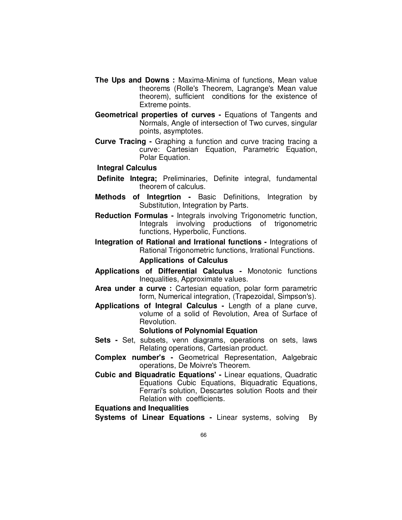- **The Ups and Downs :** Maxima-Minima of functions, Mean value theorems (Rolle's Theorem, Lagrange's Mean value theorem), sufficient conditions for the existence of Extreme points.
- **Geometrical properties of curves** Equations of Tangents and Normals, Angle of intersection of Two curves, singular points, asymptotes.
- **Curve Tracing** Graphing a function and curve tracing tracing a curve: Cartesian Equation, Parametric Equation, Polar Equation.

#### **Integral Calculus**

- **Definite Integra;** Preliminaries, Definite integral, fundamental theorem of calculus.
- **Methods of Integrtion** Basic Definitions, Integration by Substitution, Integration by Parts.
- **Reduction Formulas** Integrals involving Trigonometric function, Integrals involving productions of trigonometric functions, Hyperbolic, Functions.
- **Integration of Rational and Irrational functions** Integrations of Rational Trigonometric functions, Irrational Functions.

# **Applications of Calculus**

- **Applications of Differential Calculus** Monotonic functions Inequalities, Approximate values.
- **Area under a curve :** Cartesian equation, polar form parametric form, Numerical integration, (Trapezoidal, Simpson's).
- **Applications of Integral Calculus** Length of a plane curve, volume of a solid of Revolution, Area of Surface of Revolution.

# **Solutions of Polynomial Equation**

- **Sets** Set, subsets, venn diagrams, operations on sets, laws Relating operations, Cartesian product.
- **Complex number's** Geometrical Representation, Aalgebraic operations, De Moivre's Theorem.
- **Cubic and Biquadratic Equations'** Linear equations, Quadratic Equations Cubic Equations, Biquadratic Equations, Ferrari's solution, Descartes solution Roots and their Relation with coefficients.

**Equations and Inequalities** 

**Systems of Linear Equations -** Linear systems, solving By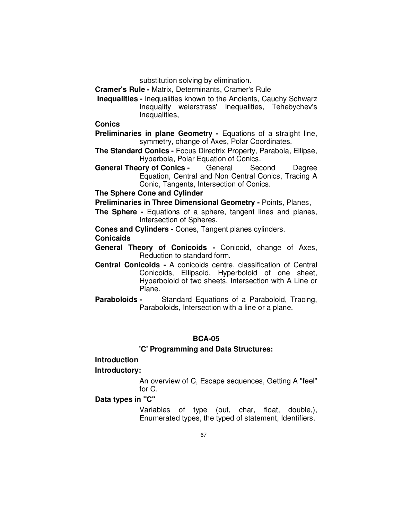substitution solving by elimination.

**Cramer's Rule -** Matrix, Determinants, Cramer's Rule

 **Inequalities -** Inequalities known to the Ancients, Cauchy Schwarz Inequality weierstrass' Inequalities, Tehebychev's Inequalities,

**Conics** 

**Preliminaries in plane Geometry - Equations of a straight line,** symmetry, change of Axes, Polar Coordinates.

**The Standard Conics -** Focus Directrix Property, Parabola, Ellipse, Hyperbola, Polar Equation of Conics.

**General Theory of Conics -** General Second Degree Equation, Central and Non Central Conics, Tracing A Conic, Tangents, Intersection of Conics.

**The Sphere Cone and Cylinder** 

**Preliminaries in Three Dimensional Geometry -** Points, Planes,

**The Sphere -** Equations of a sphere, tangent lines and planes, Intersection of Spheres.

**Cones and Cylinders -** Cones, Tangent planes cylinders.

**Conicaids** 

- **General Theory of Conicoids** Conicoid, change of Axes, Reduction to standard form.
- **Central Conicoids** A conicoids centre, classification of Central Conicoids, Ellipsoid, Hyperboloid of one sheet, Hyperboloid of two sheets, Intersection with A Line or Plane.
- **Paraboloids** Standard Equations of a Paraboloid, Tracing, Paraboloids, Intersection with a line or a plane.

# **BCA-05**

# **'C' Programming and Data Structures:**

### **Introduction**

**Introductory:** 

 An overview of C, Escape sequences, Getting A "feel" for C.

# **Data types in "C"**

 Variables of type (out, char, float, double,), Enumerated types, the typed of statement, Identifiers.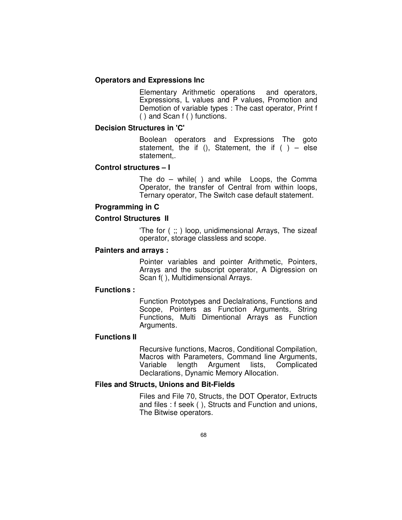# **Operators and Expressions Inc**

 Elementary Arithmetic operations and operators, Expressions, L values and P values, Promotion and Demotion of variable types : The cast operator, Print f ( ) and Scan f ( ) functions.

# **Decision Structures in 'C'**

 Boolean operators and Expressions The goto statement, the if (), Statement, the if () – else statement,.

# **Control structures – I**

 The do – while( ) and while Loops, the Comma Operator, the transfer of Central from within loops, Ternary operator, The Switch case default statement.

# **Programming in C**

# **Control Structures II**

 'The for ( ;; ) loop, unidimensional Arrays, The sizeaf operator, storage classless and scope.

# **Painters and arrays :**

 Pointer variables and pointer Arithmetic, Pointers, Arrays and the subscript operator, A Digression on Scan f( ), Multidimensional Arrays.

#### **Functions :**

 Function Prototypes and Declalrations, Functions and Scope, Pointers as Function Arguments, String Functions, Multi Dimentional Arrays as Function Arguments.

# **Functions II**

 Recursive functions, Macros, Conditional Compilation, Macros with Parameters, Command line Arguments,<br>Variable length Argument lists, Complicated length Argument lists, Complicated Declarations, Dynamic Memory Allocation.

# **Files and Structs, Unions and Bit-Fields**

 Files and File 70, Structs, the DOT Operator, Extructs and files : f seek ( ), Structs and Function and unions, The Bitwise operators.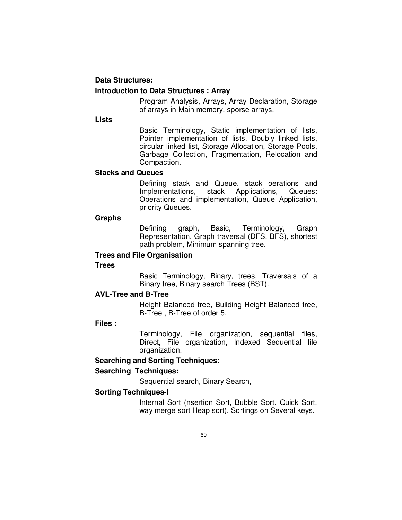# **Data Structures: Introduction to Data Structures : Array**

 Program Analysis, Arrays, Array Declaration, Storage of arrays in Main memory, sporse arrays.

**Lists** 

 Basic Terminology, Static implementation of lists, Pointer implementation of lists, Doubly linked lists, circular linked list, Storage Allocation, Storage Pools, Garbage Collection, Fragmentation, Relocation and Compaction.

# **Stacks and Queues**

Defining stack and Queue, stack oerations and<br>Implementations, stack Applications, Queues: Implementations, Operations and implementation, Queue Application, priority Queues.

# **Graphs**

 Defining graph, Basic, Terminology, Graph Representation, Graph traversal (DFS, BFS), shortest path problem, Minimum spanning tree.

# **Trees and File Organisation**

# **Trees**

 Basic Terminology, Binary, trees, Traversals of a Binary tree, Binary search Trees (BST).

# **AVL-Tree and B-Tree**

 Height Balanced tree, Building Height Balanced tree, B-Tree , B-Tree of order 5.

# **Files :**

 Terminology, File organization, sequential files, Direct, File organization, Indexed Sequential file organization.

# **Searching and Sorting Techniques:**

# **Searching Techniques:**

Sequential search, Binary Search,

# **Sorting Techniques-I**

 Internal Sort (nsertion Sort, Bubble Sort, Quick Sort, way merge sort Heap sort), Sortings on Several keys.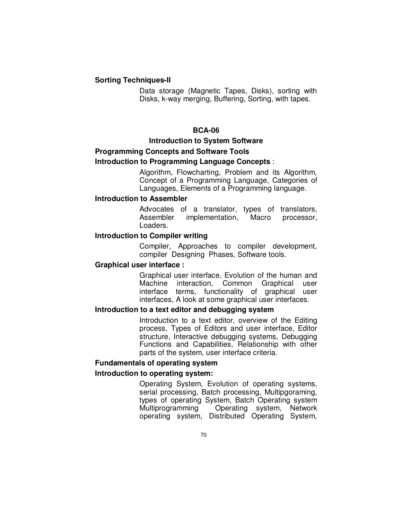### **Sorting Techniques-II**

 Data storage (Magnetic Tapes, Disks), sorting with Disks, k-way merging, Buffering, Sorting, with tapes.

### **BCA-06**

### **Introduction to System Software**

# **Programming Concepts and Software Tools Introduction to Programming Language Concepts** :

 Algorithm, Flowcharting, Problem and its Algorithm, Concept of a Programming Language, Categories of Languages, Elements of a Programming language.

# **Introduction to Assembler**

 Advocates of a translator, types of translators, Assembler implementation, Macro processor, Loaders.

### **Introduction to Compiler writing**

 Compiler, Approaches to compiler development, compiler Designing Phases, Software tools.

# **Graphical user interface :**

 Graphical user interface, Evolution of the human and Machine interaction, Common Graphical user interface terms, functionality of graphical user interfaces, A look at some graphical user interfaces.

### **Introduction to a text editor and debugging system**

 Introduction to a text editor, overview of the Editing process, Types of Editors and user interface, Editor structure, Interactive debugging systems, Debugging Functions and Capabilities, Relationship with other parts of the system, user interface criteria.

# **Fundamentals of operating system**

#### **Introduction to operating system:**

 Operating System, Evolution of operating systems, serial processing, Batch processing, Multipgoraming, types of operating System, Batch Operating system Operating system, Network operating system, Distributed Operating System,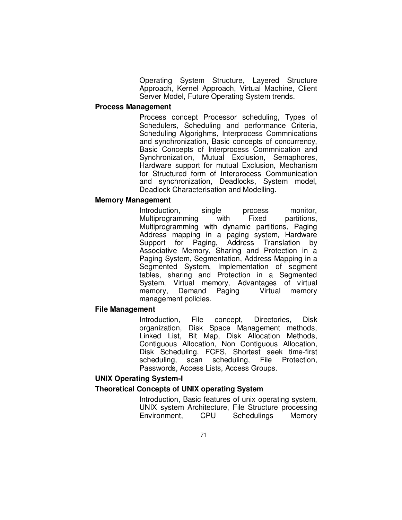Operating System Structure, Layered Structure Approach, Kernel Approach, Virtual Machine, Client Server Model, Future Operating System trends.

#### **Process Management**

 Process concept Processor scheduling, Types of Schedulers, Scheduling and performance Criteria, Scheduling Algorighms, Interprocess Commnications and synchronization, Basic concepts of concurrency, Basic Concepts of Interprocess Commnication and Synchronization, Mutual Exclusion, Semaphores, Hardware support for mutual Exclusion, Mechanism for Structured form of Interprocess Communication and synchronization, Deadlocks, System model, Deadlock Characterisation and Modelling.

#### **Memory Management**

Introduction, single process monitor, Multiprogramming with Fixed partitions, Multiprogramming with dynamic partitions, Paging Address mapping in a paging system, Hardware Support for Paging, Address Translation by Associative Memory, Sharing and Protection in a Paging System, Segmentation, Address Mapping in a Segmented System, Implementation of segment tables, sharing and Protection in a Segmented System, Virtual memory, Advantages of virtual memory, Demand Paging Virtual memory management policies.

#### **File Management**

 Introduction, File concept, Directories, Disk organization, Disk Space Management methods, Linked List, Bit Map, Disk Allocation Methods, Contiguous Allocation, Non Contiguous Allocation, Disk Scheduling, FCFS, Shortest seek time-first scheduling, scan scheduling, File Protection, Passwords, Access Lists, Access Groups.

# **UNIX Operating System-I**

# **Theoretical Concepts of UNIX operating System**

 Introduction, Basic features of unix operating system, UNIX system Architecture, File Structure processing Environment, CPU Schedulings Memory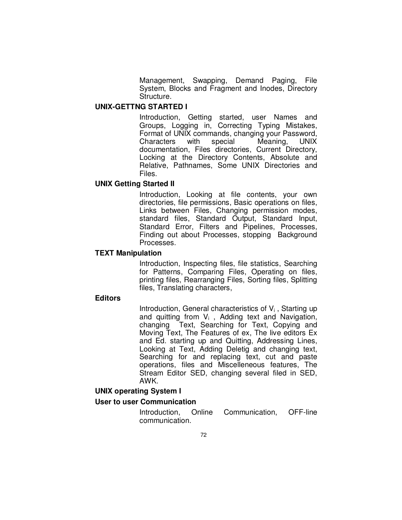Management, Swapping, Demand Paging, File System, Blocks and Fragment and Inodes, Directory Structure.

#### **UNIX-GETTNG STARTED I**

 Introduction, Getting started, user Names and Groups, Logging in, Correcting Typing Mistakes, Format of UNIX commands, changing your Password, Characters with special Meaning, UNIX documentation, Files directories, Current Directory, Locking at the Directory Contents, Absolute and Relative, Pathnames, Some UNIX Directories and Files.

# **UNIX Getting Started II**

 Introduction, Looking at file contents, your own directories, file permissions, Basic operations on files, Links between Files, Changing permission modes, standard files, Standard Output, Standard Input, Standard Error, Filters and Pipelines, Processes, Finding out about Processes, stopping Background Processes.

#### **TEXT Manipulation**

 Introduction, Inspecting files, file statistics, Searching for Patterns, Comparing Files, Operating on files, printing files, Rearranging Files, Sorting files, Splitting files, Translating characters,

#### **Editors**

Introduction, General characteristics of  $V_i$ , Starting up and quitting from  $V_i$ , Adding text and Navigation, changing Text, Searching for Text, Copying and Moving Text, The Features of ex, The live editors Ex and Ed. starting up and Quitting, Addressing Lines, Looking at Text, Adding Deletig and changing text, Searching for and replacing text, cut and paste operations, files and Miscelleneous features, The Stream Editor SED, changing several filed in SED, AWK.

# **UNIX operating System I**

### **User to user Communication**

 Introduction, Online Communication, OFF-line communication.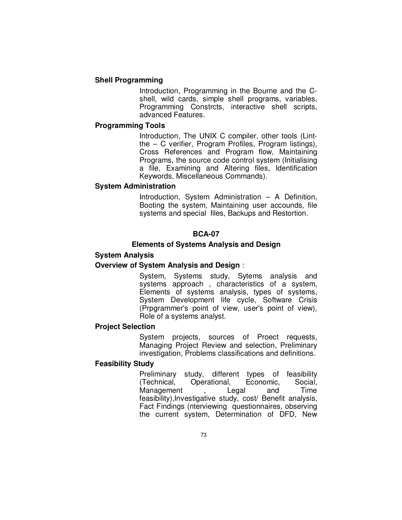### **Shell Programming**

 Introduction, Programming in the Bourne and the Cshell, wild cards, simple shell programs, variables, Programming Constrcts, interactive shell scripts, advanced Features.

#### **Programming Tools**

 Introduction, The UNIX C compiler, other tools (Lintthe – C verifier, Program Profiles, Program listings), Cross References and Program flow, Maintaining Programs, the source code control system (Initialising a file, Examining and Altering files, Identification Keywords, Miscellaneous Commands).

#### **System Administration**

 Introduction, System Administration – A Definition, Booting the system, Maintaining user accounds, file systems and special files, Backups and Restortion.

### **BCA-07**

#### **Elements of Systems Analysis and Design**

#### **System Analysis**

### **Overview of System Analysis and Design** :

System, Systems study, Sytems analysis and systems approach , characteristics of a system, Elements of systems analysis, types of systems, System Development life cycle, Software Crisis (Prpgrammer's point of view, user's point of view), Role of a systems analyst.

# **Project Selection**

System projects, sources of Proect requests, Managing Project Review and selection, Preliminary investigation, Problems classifications and definitions.

#### **Feasibility Study**

Preliminary study, different types of feasibility<br>(Technical. Operational, Economic, Social, (Technical, Operational, Economic, Social, Management , Legal and Time feasibility),Investigative study, cost/ Benefit analysis, Fact Findings (nterviewing questionnaires, observing the current system, Determination of DFD, New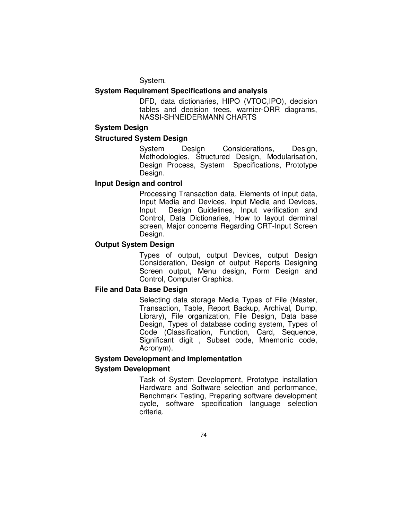System.

# **System Requirement Specifications and analysis**

DFD, data dictionaries, HIPO (VTOC,IPO), decision tables and decision trees, warnier-ORR diagrams, NASSI-SHNEIDERMANN CHARTS

#### **System Design**

### **Structured System Design**

System Design Considerations, Design, Methodologies, Structured Design, Modularisation, Design Process, System Specifications, Prototype Design.

# **Input Design and control**

 Processing Transaction data, Elements of input data, Input Media and Devices, Input Media and Devices, Input Design Guidelines, Input verification and Control, Data Dictionaries, How to layout derminal screen, Major concerns Regarding CRT-Input Screen Design.

# **Output System Design**

Types of output, output Devices, output Design Consideration, Design of output Reports Designing Screen output, Menu design, Form Design and Control, Computer Graphics.

# **File and Data Base Design**

Selecting data storage Media Types of File (Master, Transaction, Table, Report Backup, Archival, Dump, Library), File organization, File Design, Data base Design, Types of database coding system, Types of Code (Classification, Function, Card, Sequence, Significant digit , Subset code, Mnemonic code, Acronym).

# **System Development and Implementation System Development**

Task of System Development, Prototype installation Hardware and Software selection and performance, Benchmark Testing, Preparing software development cycle, software specification language selection criteria.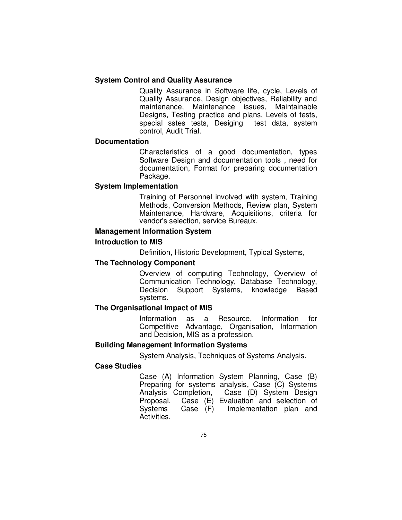# **System Control and Quality Assurance**

Quality Assurance in Software life, cycle, Levels of Quality Assurance, Design objectives, Reliability and maintenance, Maintenance issues, Maintainable Designs, Testing practice and plans, Levels of tests, special sstes tests, Desiging test data, system control, Audit Trial.

# **Documentation**

Characteristics of a good documentation, types Software Design and documentation tools , need for documentation, Format for preparing documentation Package.

#### **System Implementation**

Training of Personnel involved with system, Training Methods, Conversion Methods, Review plan, System Maintenance, Hardware, Acquisitions, criteria for vendor's selection, service Bureaux.

# **Management Information System**

### **Introduction to MIS**

Definition, Historic Development, Typical Systems,

# **The Technology Component**

Overview of computing Technology, Overview of Communication Technology, Database Technology, Decision Support Systems, knowledge Based systems.

#### **The Organisational Impact of MIS**

Information as a Resource, Information for Competitive Advantage, Organisation, Information and Decision, MIS as a profession.

#### **Building Management Information Systems**

System Analysis, Techniques of Systems Analysis.

# **Case Studies**

Case (A) Information System Planning, Case (B) Preparing for systems analysis, Case (C) Systems Analysis Completion, Case (D) System Design Proposal, Case (E) Evaluation and selection of Systems Case (F) Implementation plan and Activities.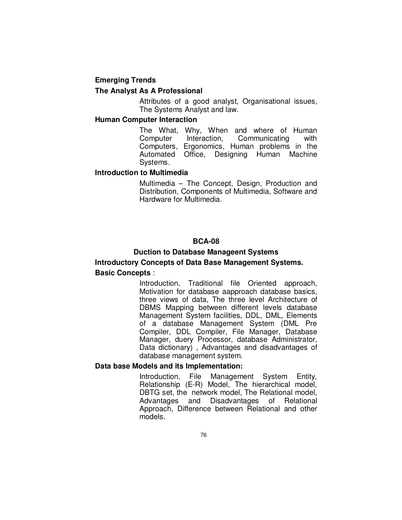# **Emerging Trends The Analyst As A Professional**

Attributes of a good analyst, Organisational issues, The Systems Analyst and law.

# **Human Computer Interaction**

The What, Why, When and where of Human Computer Interaction, Communicating with Computers, Ergonomics, Human problems in the Automated Office, Designing Human Machine Systems.

# **Introduction to Multimedia**

Multimedia – The Concept, Design, Production and Distribution, Components of Multimedia, Software and Hardware for Multimedia.

#### **BCA-08**

### **Duction to Database Manageent Systems**

# **Introductory Concepts of Data Base Management Systems. Basic Concepts** :

 Introduction, Traditional file Oriented approach, Motivation for database aapproach database basics, three views of data, The three level Architecture of DBMS Mapping between different levels database Management System facilities, DDL, DML, Elements of a database Management System (DML Pre Compiler, DDL Compiler, File Manager, Database Manager, duery Processor, database Administrator, Data dictionary) , Advantages and disadvantages of database management system.

### **Data base Models and its Implementation:**

 Introduction, File Management System Entity, Relationship (E-R) Model, The hierarchical model, DBTG set, the network model, The Relational model, Advantages and Disadvantages of Relational Approach, Difference between Relational and other models.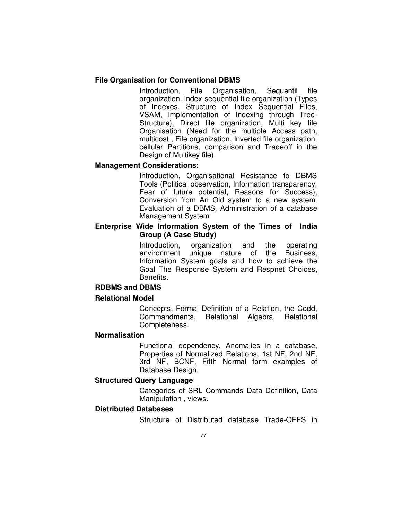### **File Organisation for Conventional DBMS**

 Introduction, File Organisation, Sequentil file organization, Index-sequential file organization (Types of Indexes, Structure of Index Sequential Files, VSAM, Implementation of Indexing through Tree-Structure), Direct file organization, Multi key file Organisation (Need for the multiple Access path, multicost , File organization, Inverted file organization, cellular Partitions, comparison and Tradeoff in the Design of Multikey file).

#### **Management Considerations:**

 Introduction, Organisational Resistance to DBMS Tools (Political observation, Information transparency, Fear of future potential, Reasons for Success), Conversion from An Old system to a new system, Evaluation of a DBMS, Administration of a database Management System.

# **Enterprise Wide Information System of the Times of India Group (A Case Study)**

 Introduction, organization and the operating environment unique nature of the Business, Information System goals and how to achieve the Goal The Response System and Respnet Choices, Benefits.

### **RDBMS and DBMS**

#### **Relational Model**

 Concepts, Formal Definition of a Relation, the Codd, Commandments, Relational Algebra, Relational Completeness.

# **Normalisation**

 Functional dependency, Anomalies in a database, Properties of Normalized Relations, 1st NF, 2nd NF, 3rd NF, BCNF, Fifth Normal form examples of Database Design.

# **Structured Query Language**

 Categories of SRL Commands Data Definition, Data Manipulation , views.

# **Distributed Databases**

Structure of Distributed database Trade-OFFS in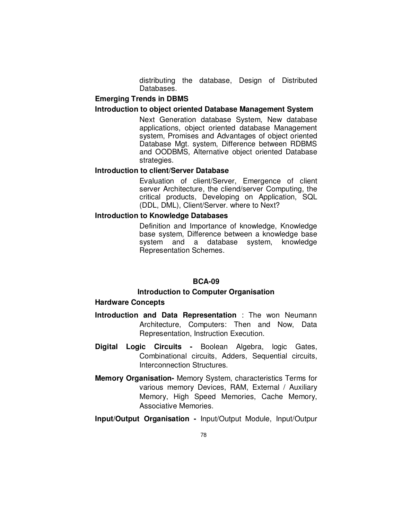distributing the database, Design of Distributed Databases.

# **Emerging Trends in DBMS**

### **Introduction to object oriented Database Management System**

 Next Generation database System, New database applications, object oriented database Management system, Promises and Advantages of object oriented Database Mgt. system, Difference between RDBMS and OODBMS, Alternative object oriented Database strategies.

# **Introduction to client/Server Database**

 Evaluation of client/Server, Emergence of client server Architecture, the cliend/server Computing, the critical products, Developing on Application, SQL (DDL, DML), Client/Server. where to Next?

# **Introduction to Knowledge Databases**

 Definition and Importance of knowledge, Knowledge base system, Difference between a knowledge base system and a database system, knowledge Representation Schemes.

# **BCA-09**

# **Introduction to Computer Organisation**

#### **Hardware Concepts**

- **Introduction and Data Representation** : The won Neumann Architecture, Computers: Then and Now, Data Representation, Instruction Execution.
- **Digital Logic Circuits** Boolean Algebra, logic Gates, Combinational circuits, Adders, Sequential circuits, Interconnection Structures.
- **Memory Organisation-** Memory System, characteristics Terms for various memory Devices, RAM, External / Auxiliary Memory, High Speed Memories, Cache Memory, Associative Memories.
- **Input/Output Organisation** Input/Output Module, Input/Outpur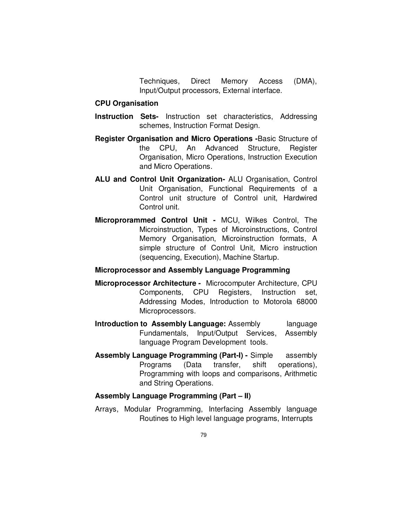Techniques, Direct Memory Access (DMA), Input/Output processors, External interface.

### **CPU Organisation**

- **Instruction Sets-** Instruction set characteristics, Addressing schemes, Instruction Format Design.
- **Register Organisation and Micro Operations -**Basic Structure of the CPU, An Advanced Structure, Register Organisation, Micro Operations, Instruction Execution and Micro Operations.
- **ALU and Control Unit Organization-** ALU Organisation, Control Unit Organisation, Functional Requirements of a Control unit structure of Control unit, Hardwired Control unit.
- **Microprorammed Control Unit** MCU, Wilkes Control, The Microinstruction, Types of Microinstructions, Control Memory Organisation, Microinstruction formats, A simple structure of Control Unit, Micro instruction (sequencing, Execution), Machine Startup.

# **Microprocessor and Assembly Language Programming**

- **Microprocessor Architecture** Microcomputer Architecture, CPU Components, CPU Registers, Instruction set, Addressing Modes, Introduction to Motorola 68000 Microprocessors.
- **Introduction to Assembly Language:** Assembly language Fundamentals, Input/Output Services, Assembly language Program Development tools.
- **Assembly Language Programming (Part-I)** Simple assembly Programs (Data transfer, shift operations), Programming with loops and comparisons, Arithmetic and String Operations.

#### **Assembly Language Programming (Part – II)**

Arrays, Modular Programming, Interfacing Assembly language Routines to High level language programs, Interrupts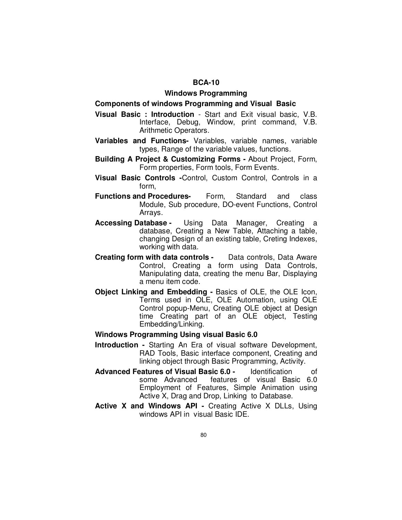### **Windows Programming**

#### **Components of windows Programming and Visual Basic**

- **Visual Basic : Introduction** Start and Exit visual basic, V.B. Interface, Debug, Window, print command, V.B. Arithmetic Operators.
- **Variables and Functions-** Variables, variable names, variable types, Range of the variable values, functions.
- **Building A Project & Customizing Forms** About Project, Form, Form properties, Form tools, Form Events.
- **Visual Basic Controls -**Control, Custom Control, Controls in a form,
- **Functions and Procedures-** Form, Standard and class Module, Sub procedure, DO-event Functions, Control Arrays.
- **Accessing Database** Using Data Manager, Creating a database, Creating a New Table, Attaching a table, changing Design of an existing table, Creting Indexes, working with data.
- **Creating form with data controls** Data controls, Data Aware Control, Creating a form using Data Controls, Manipulating data, creating the menu Bar, Displaying a menu item code.
- **Object Linking and Embedding** Basics of OLE, the OLE Icon, Terms used in OLE, OLE Automation, using OLE Control popup-Menu, Creating OLE object at Design time Creating part of an OLE object, Testing Embedding/Linking.

#### **Windows Programming Using visual Basic 6.0**

- **Introduction** Starting An Era of visual software Development, RAD Tools, Basic interface component, Creating and linking object through Basic Programming, Activity.
- **Advanced Features of Visual Basic 6.0** Identification of some Advanced features of visual Basic 6.0 Employment of Features, Simple Animation using Active X, Drag and Drop, Linking to Database.
- **Active X and Windows API** Creating Active X DLLs, Using windows API in visual Basic IDE.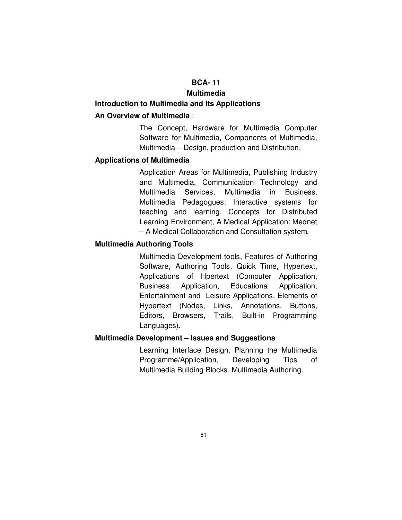# **BCA- 11**

### **Multimedia**

#### **Introduction to Multimedia and Its Applications**

# **An Overview of Multimedia** :

The Concept, Hardware for Multimedia Computer Software for Multimedia, Components of Multimedia, Multimedia – Design, production and Distribution.

### **Applications of Multimedia**

Application Areas for Multimedia, Publishing Industry and Multimedia, Communication Technology and Multimedia Services, Multimedia in Business, Multimedia Pedagogues: Interactive systems for teaching and learning, Concepts for Distributed Learning Environment, A Medical Application: Mednet – A Medical Collaboration and Consultation system.

### **Multimedia Authoring Tools**

Multimedia Development tools, Features of Authoring Software, Authoring Tools, Quick Time, Hypertext, Applications of Hpertext (Computer Application, Business Application, Educationa Application, Entertainment and Leisure Applications, Elements of Hypertext (Nodes, Links, Annotations, Buttons, Editors, Browsers, Trails, Built-in Programming Languages).

# **Multimedia Development – Issues and Suggestions**

 Learning Interface Design, Planning the Multimedia Programme/Application, Developing Tips of Multimedia Building Blocks, Multimedia Authoring.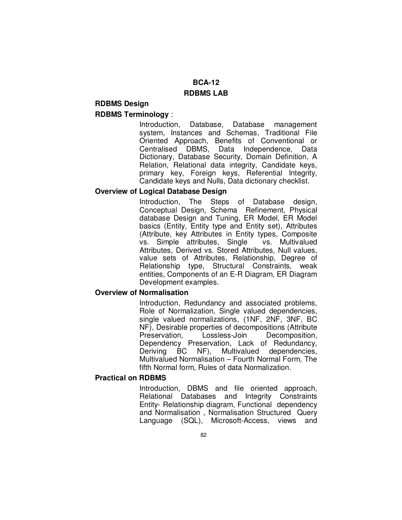# **BCA-12**

# **RDBMS LAB**

# **RDBMS Design RDBMS Terminology** :

Introduction, Database, Database management system, Instances and Schemas, Traditional File Oriented Approach, Benefits of Conventional or Centralised DBMS, Data Independence, Data Dictionary, Database Security, Domain Definition, A Relation, Relational data integrity, Candidate keys, primary key, Foreign keys, Referential Integrity, Candidate keys and Nulls, Data dictionary checklist.

# **Overview of Logical Database Design**

Introduction, The Steps of Database design, Conceptual Design, Schema Refinement, Physical database Design and Tuning, ER Model, ER Model basics (Entity, Entity type and Entity set), Attributes (Attribute, key Attributes in Entity types, Composite vs. Simple attributes, Single Attributes, Derived vs. Stored Attributes, Null values, value sets of Attributes, Relationship, Degree of Relationship type, Structural Constraints, weak entities, Components of an E-R Diagram, ER Diagram Development examples.

# **Overview of Normalisation**

 Introduction, Redundancy and associated problems, Role of Normalization, Single valued dependencies, single valued normalizations, (1NF, 2NF, 3NF, BC NF), Desirable properties of decompositions (Attribute<br>Preservation, Lossless-Join Decomposition, Decomposition, Dependency Preservation, Lack of Redundancy, Deriving BC NF), Multivalued dependencies, Multivalued Normalisation – Fourth Normal Form, The fifth Normal form, Rules of data Normalization.

# **Practical on RDBMS**

 Introduction, DBMS and file oriented approach, Relational Databases and Integrity Constraints Entity- Relationship diagram, Functional dependency and Normalisation , Normalisation Structured Query Language (SQL), Microsoft-Access, views and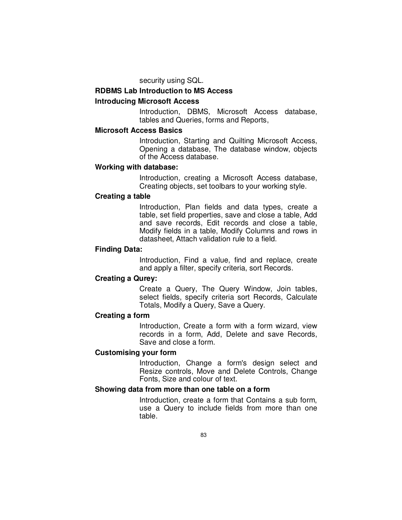security using SQL.

# **RDBMS Lab Introduction to MS Access**

### **Introducing Microsoft Access**

Introduction, DBMS, Microsoft Access database, tables and Queries, forms and Reports,

# **Microsoft Access Basics**

Introduction, Starting and Quilting Microsoft Access, Opening a database, The database window, objects of the Access database.

### **Working with database:**

Introduction, creating a Microsoft Access database, Creating objects, set toolbars to your working style.

# **Creating a table**

Introduction, Plan fields and data types, create a table, set field properties, save and close a table, Add and save records, Edit records and close a table, Modify fields in a table, Modify Columns and rows in datasheet, Attach validation rule to a field.

# **Finding Data:**

Introduction, Find a value, find and replace, create and apply a filter, specify criteria, sort Records.

### **Creating a Qurey:**

Create a Query, The Query Window, Join tables, select fields, specify criteria sort Records, Calculate Totals, Modify a Query, Save a Query.

#### **Creating a form**

Introduction, Create a form with a form wizard, view records in a form, Add, Delete and save Records, Save and close a form.

#### **Customising your form**

Introduction, Change a form's design select and Resize controls, Move and Delete Controls, Change Fonts, Size and colour of text.

# **Showing data from more than one table on a form**

 Introduction, create a form that Contains a sub form, use a Query to include fields from more than one table.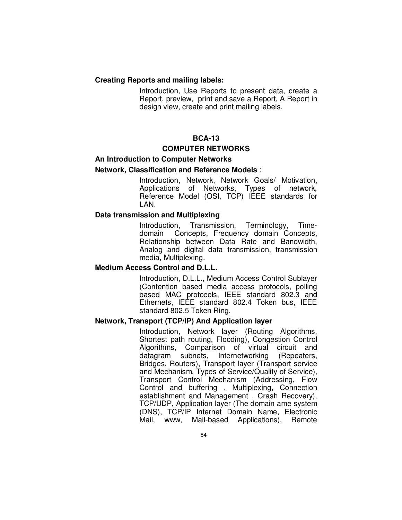### **Creating Reports and mailing labels:**

 Introduction, Use Reports to present data, create a Report, preview, print and save a Report, A Report in design view, create and print mailing labels.

# **BCA-13**

#### **COMPUTER NETWORKS**

# **An Introduction to Computer Networks**

#### **Network, Classification and Reference Models** :

Introduction, Network, Network Goals/ Motivation, Applications of Networks, Types of network, Reference Model (OSI, TCP) IEEE standards for LAN.

#### **Data transmission and Multiplexing**

Introduction, Transmission, Terminology, Timedomain Concepts, Frequency domain Concepts, Relationship between Data Rate and Bandwidth, Analog and digital data transmission, transmission media, Multiplexing.

### **Medium Access Control and D.L.L.**

Introduction, D.L.L., Medium Access Control Sublayer (Contention based media access protocols, polling based MAC protocols, IEEE standard 802.3 and Ethernets, IEEE standard 802.4 Token bus, IEEE standard 802.5 Token Ring.

# **Network, Transport (TCP/IP) And Application layer**

 Introduction, Network layer (Routing Algorithms, Shortest path routing, Flooding), Congestion Control Algorithms, Comparison of virtual circuit and datagram subnets, Internetworking (Repeaters, Bridges, Routers), Transport layer (Transport service and Mechanism, Types of Service/Quality of Service), Transport Control Mechanism (Addressing, Flow Control and buffering , Multiplexing, Connection establishment and Management , Crash Recovery), TCP/UDP, Application layer (The domain ame system (DNS), TCP/IP Internet Domain Name, Electronic Mail, www, Mail-based Applications), Remote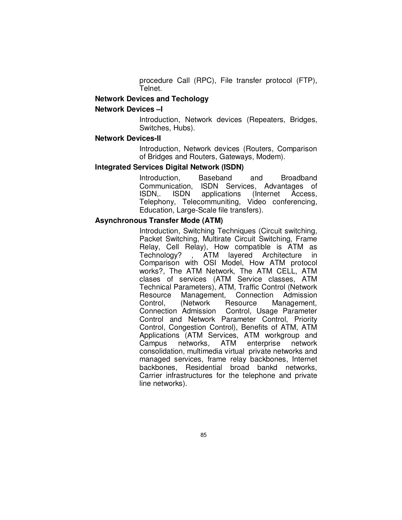procedure Call (RPC), File transfer protocol (FTP), Telnet.

### **Network Devices and Techology**

### **Network Devices –I**

 Introduction, Network devices (Repeaters, Bridges, Switches, Hubs).

#### **Network Devices-II**

 Introduction, Network devices (Routers, Comparison of Bridges and Routers, Gateways, Modem).

#### **Integrated Services Digital Network (ISDN)**

 Introduction, Baseband and Broadband Communication, ISDN Services, Advantages of ISDN,. ISDN applications (Internet Access, Telephony, Telecommuniting, Video conferencing, Education, Large-Scale file transfers).

# **Asynchronous Transfer Mode (ATM)**

 Introduction, Switching Techniques (Circuit switching, Packet Switching, Multirate Circuit Switching, Frame Relay, Cell Relay), How compatible is ATM as Technology? , ATM layered Architecture in Comparison with OSI Model, How ATM protocol works?, The ATM Network, The ATM CELL, ATM clases of services (ATM Service classes, ATM Technical Parameters), ATM, Traffic Control (Network Resource Management, Connection Admission Control, (Network Resource Management, Connection Admission Control, Usage Parameter Control and Network Parameter Control, Priority Control, Congestion Control), Benefits of ATM, ATM Applications (ATM Services, ATM workgroup and<br>Campus networks, ATM enterprise network Campus networks, ATM enterprise network consolidation, multimedia virtual private networks and managed services, frame relay backbones, Internet backbones, Residential broad bankd networks, Carrier infrastructures for the telephone and private line networks).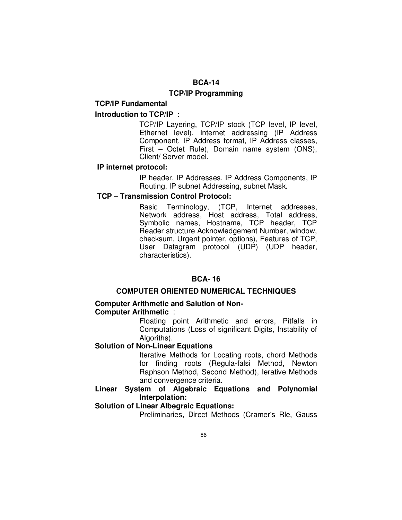# **BCA-14**

# **TCP/IP Programming**

#### **TCP/IP Fundamental**

### **Introduction to TCP/IP** :

TCP/IP Layering, TCP/IP stock (TCP level, IP level, Ethernet level), Internet addressing (IP Address Component, IP Address format, IP Address classes, First – Octet Rule), Domain name system (ONS), Client/ Server model.

### **IP internet protocol:**

IP header, IP Addresses, IP Address Components, IP Routing, IP subnet Addressing, subnet Mask.

# **TCP – Transmission Control Protocol:**

Basic Terminology, (TCP, Internet addresses, Network address, Host address, Total address, Symbolic names, Hostname, TCP header, TCP Reader structure Acknowledgement Number, window, checksum, Urgent pointer, options), Features of TCP, User Datagram protocol (UDP) (UDP header, characteristics).

# **BCA- 16**

#### **COMPUTER ORIENTED NUMERICAL TECHNIQUES**

# **Computer Arithmetic and Salution of Non-Computer Arithmetic** :

Floating point Arithmetic and errors, Pitfalls in Computations (Loss of significant Digits, Instability of Algoriths).

### **Solution of Non-Linear Equations**

Iterative Methods for Locating roots, chord Methods for finding roots (Regula-falsi Method, Newton Raphson Method, Second Method), Ierative Methods and convergence criteria.

# **Linear System of Algebraic Equations and Polynomial Interpolation:**

# **Solution of Linear Albegraic Equations:**

Preliminaries, Direct Methods (Cramer's Rle, Gauss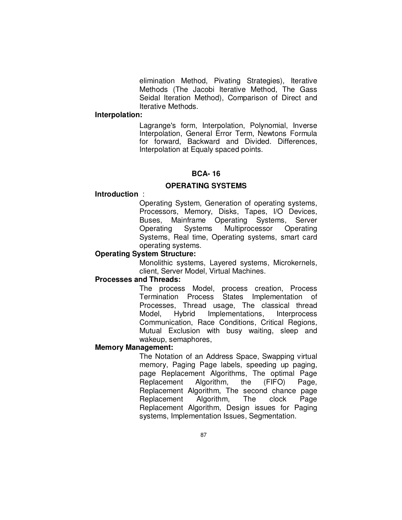elimination Method, Pivating Strategies), Iterative Methods (The Jacobi Iterative Method, The Gass Seidal Iteration Method), Comparison of Direct and Iterative Methods.

#### **Interpolation:**

 Lagrange's form, Interpolation, Polynomial, Inverse Interpolation, General Error Term, Newtons Formula for forward, Backward and Divided. Differences, Interpolation at Equaly spaced points.

### **BCA- 16**

#### **OPERATING SYSTEMS**

### **Introduction** :

 Operating System, Generation of operating systems, Processors, Memory, Disks, Tapes, I/O Devices, Buses, Mainframe Operating Systems, Server Operating Systems Multiprocessor Operating Systems, Real time, Operating systems, smart card operating systems.

# **Operating System Structure:**

 Monolithic systems, Layered systems, Microkernels, client, Server Model, Virtual Machines.

#### **Processes and Threads:**

 The process Model, process creation, Process Termination Process States Implementation of Processes, Thread usage, The classical thread Model, Hybrid Implementations, Interprocess Communication, Race Conditions, Critical Regions, Mutual Exclusion with busy waiting, sleep and wakeup, semaphores,

#### **Memory Management:**

 The Notation of an Address Space, Swapping virtual memory, Paging Page labels, speeding up paging, page Replacement Algorithms, The optimal Page Replacement Algorithm, the (FIFO) Page, Replacement Algorithm, The second chance page Replacement Algorithm, The clock Page Replacement Algorithm, Design issues for Paging systems, Implementation Issues, Segmentation.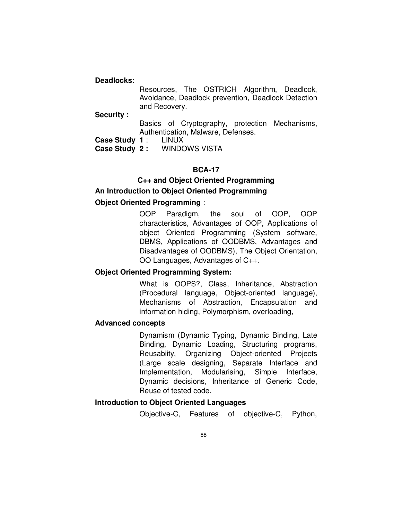#### **Deadlocks:**

 Resources, The OSTRICH Algorithm, Deadlock, Avoidance, Deadlock prevention, Deadlock Detection and Recovery.

**Security :** 

 Basics of Cryptography, protection Mechanisms, Authentication, Malware, Defenses.

**Case Study 1**: LINUX<br>**Case Study 2:** WINDC

**Case Study 2 :** WINDOWS VISTA

# **BCA-17**

**C++ and Object Oriented Programming An Introduction to Object Oriented Programming** 

# **Object Oriented Programming** :

 OOP Paradigm, the soul of OOP, OOP characteristics, Advantages of OOP, Applications of object Oriented Programming (System software, DBMS, Applications of OODBMS, Advantages and Disadvantages of OODBMS), The Object Orientation, OO Languages, Advantages of C++.

# **Object Oriented Programming System:**

 What is OOPS?, Class, Inheritance, Abstraction (Procedural language, Object-oriented language), Mechanisms of Abstraction, Encapsulation and information hiding, Polymorphism, overloading,

# **Advanced concepts**

 Dynamism (Dynamic Typing, Dynamic Binding, Late Binding, Dynamic Loading, Structuring programs, Reusabiity, Organizing Object-oriented Projects (Large scale designing, Separate Interface and Implementation, Modularising, Simple Interface, Dynamic decisions, Inheritance of Generic Code, Reuse of tested code.

# **Introduction to Object Oriented Languages**

Objective-C, Features of objective-C, Python,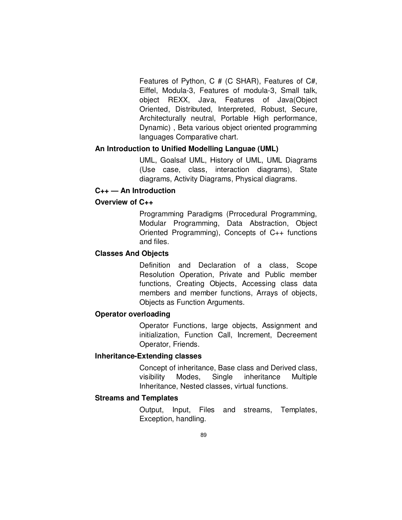Features of Python, C # (C SHAR), Features of C#, Eiffel, Modula-3, Features of modula-3, Small talk, object REXX, Java, Features of Java(Object Oriented, Distributed, Interpreted, Robust, Secure, Architecturally neutral, Portable High performance, Dynamic) , Beta various object oriented programming languages Comparative chart.

# **An Introduction to Unified Modelling Languae (UML)**

 UML, Goalsaf UML, History of UML, UML Diagrams (Use case, class, interaction diagrams), State diagrams, Activity Diagrams, Physical diagrams.

### **C++ — An Introduction**

### **Overview of C++**

 Programming Paradigms (Prrocedural Programming, Modular Programming, Data Abstraction, Object Oriented Programming), Concepts of C++ functions and files.

# **Classes And Objects**

Definition and Declaration of a class, Scope Resolution Operation, Private and Public member functions, Creating Objects, Accessing class data members and member functions, Arrays of objects, Objects as Function Arguments.

# **Operator overloading**

Operator Functions, large objects, Assignment and initialization, Function Call, Increment, Decreement Operator, Friends.

# **Inheritance-Extending classes**

Concept of inheritance, Base class and Derived class, visibility Modes, Single inheritance Multiple Inheritance, Nested classes, virtual functions.

# **Streams and Templates**

Output, Input, Files and streams, Templates, Exception, handling.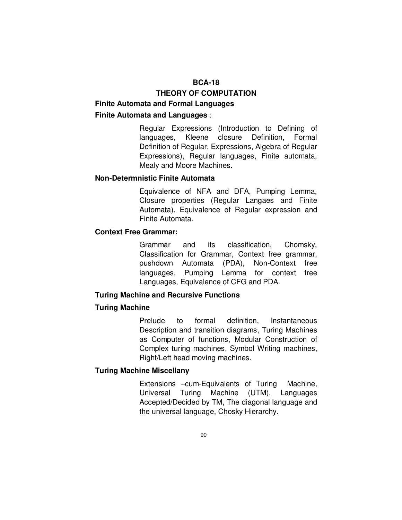# **BCA-18**

# **THEORY OF COMPUTATION**

# **Finite Automata and Formal Languages**

# **Finite Automata and Languages** :

Regular Expressions (Introduction to Defining of languages, Kleene closure Definition, Formal Definition of Regular, Expressions, Algebra of Regular Expressions), Regular languages, Finite automata, Mealy and Moore Machines.

### **Non-Determnistic Finite Automata**

Equivalence of NFA and DFA, Pumping Lemma, Closure properties (Regular Langaes and Finite Automata), Equivalence of Regular expression and Finite Automata.

# **Context Free Grammar:**

Grammar and its classification, Chomsky, Classification for Grammar, Context free grammar, pushdown Automata (PDA), Non-Context free languages, Pumping Lemma for context free Languages, Equivalence of CFG and PDA.

#### **Turing Machine and Recursive Functions**

#### **Turing Machine**

Prelude to formal definition, Instantaneous Description and transition diagrams, Turing Machines as Computer of functions, Modular Construction of Complex turing machines, Symbol Writing machines, Right/Left head moving machines.

### **Turing Machine Miscellany**

Extensions –cum-Equivalents of Turing Machine, Universal Turing Machine (UTM), Languages Accepted/Decided by TM, The diagonal language and the universal language, Chosky Hierarchy.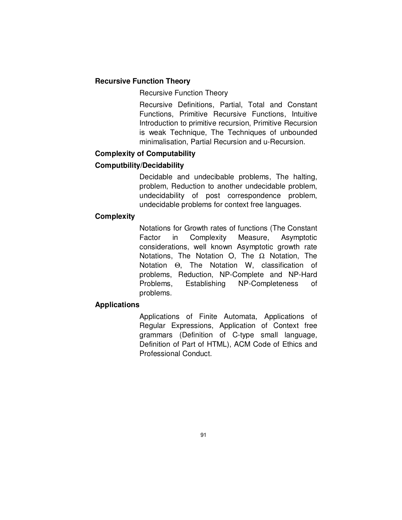# **Recursive Function Theory**

Recursive Function Theory

Recursive Definitions, Partial, Total and Constant Functions, Primitive Recursive Functions, Intuitive Introduction to primitive recursion, Primitive Recursion is weak Technique, The Techniques of unbounded minimalisation, Partial Recursion and u-Recursion.

# **Complexity of Computability**

# **Computbility/Decidability**

Decidable and undecibable problems, The halting, problem, Reduction to another undecidable problem, undecidability of post correspondence problem, undecidable problems for context free languages.

# **Complexity**

Notations for Growth rates of functions (The Constant Factor in Complexity Measure, Asymptotic considerations, well known Asymptotic growth rate Notations, The Notation O, The  $\Omega$  Notation, The Notation Θ, The Notation W, classification of problems, Reduction, NP-Complete and NP-Hard Problems, Establishing NP-Completeness of problems.

# **Applications**

Applications of Finite Automata, Applications of Regular Expressions, Application of Context free grammars (Definition of C-type small language, Definition of Part of HTML), ACM Code of Ethics and Professional Conduct.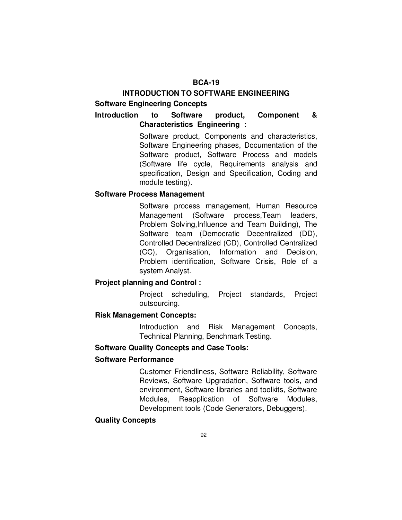# **BCA-19**

# **INTRODUCTION TO SOFTWARE ENGINEERING Software Engineering Concepts**

# **Introduction to Software product, Component & Characteristics Engineering** :

Software product, Components and characteristics, Software Engineering phases, Documentation of the Software product, Software Process and models (Software life cycle, Requirements analysis and specification, Design and Specification, Coding and module testing).

# **Software Process Management**

Software process management, Human Resource Management (Software process,Team leaders, Problem Solving,Influence and Team Building), The Software team (Democratic Decentralized (DD), Controlled Decentralized (CD), Controlled Centralized (CC), Organisation, Information and Decision, Problem identification, Software Crisis, Role of a system Analyst.

# **Project planning and Control :**

 Project scheduling, Project standards, Project outsourcing.

# **Risk Management Concepts:**

 Introduction and Risk Management Concepts, Technical Planning, Benchmark Testing.

# **Software Quality Concepts and Case Tools:**

# **Software Performance**

 Customer Friendliness, Software Reliability, Software Reviews, Software Upgradation, Software tools, and environment, Software libraries and toolkits, Software Modules, Reapplication of Software Modules, Development tools (Code Generators, Debuggers).

# **Quality Concepts**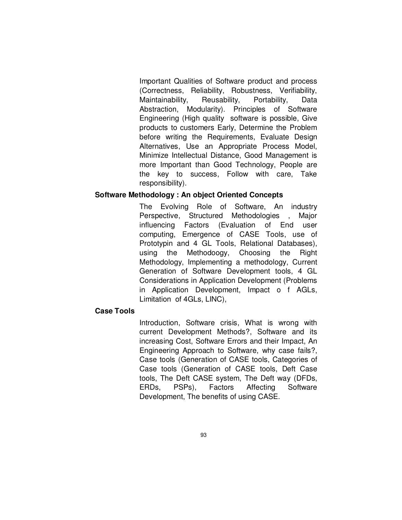Important Qualities of Software product and process (Correctness, Reliability, Robustness, Verifiability, Maintainability, Reusability, Portability, Data Abstraction, Modularity). Principles of Software Engineering (High quality software is possible, Give products to customers Early, Determine the Problem before writing the Requirements, Evaluate Design Alternatives, Use an Appropriate Process Model, Minimize Intellectual Distance, Good Management is more Important than Good Technology, People are the key to success, Follow with care, Take responsibility).

# **Software Methodology : An object Oriented Concepts**

 The Evolving Role of Software, An industry Perspective, Structured Methodologies , Major influencing Factors (Evaluation of End user computing, Emergence of CASE Tools, use of Prototypin and 4 GL Tools, Relational Databases), using the Methodoogy, Choosing the Right Methodology, Implementing a methodology, Current Generation of Software Development tools, 4 GL Considerations in Application Development (Problems in Application Development, Impact o f AGLs, Limitation of 4GLs, LINC),

# **Case Tools**

 Introduction, Software crisis, What is wrong with current Development Methods?, Software and its increasing Cost, Software Errors and their Impact, An Engineering Approach to Software, why case fails?, Case tools (Generation of CASE tools, Categories of Case tools (Generation of CASE tools, Deft Case tools, The Deft CASE system, The Deft way (DFDs, ERDs, PSPs), Factors Affecting Software Development, The benefits of using CASE.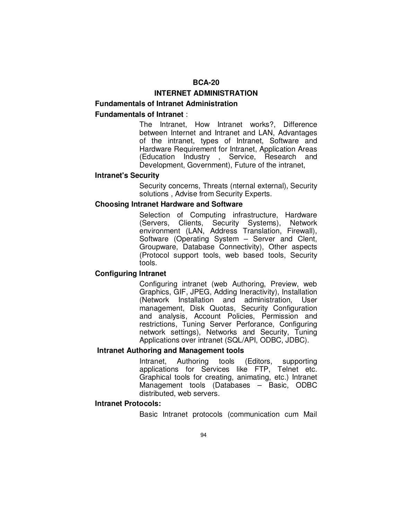# **BCA-20**

### **INTERNET ADMINISTRATION**

# **Fundamentals of Intranet Administration Fundamentals of Intranet** :

The Intranet, How Intranet works?, Difference between Internet and Intranet and LAN, Advantages of the intranet, types of Intranet, Software and Hardware Requirement for Intranet, Application Areas (Education Industry , Service, Research and Development, Government), Future of the intranet,

#### **Intranet's Security**

Security concerns, Threats (nternal external), Security solutions , Advise from Security Experts.

#### **Choosing Intranet Hardware and Software**

 Selection of Computing infrastructure, Hardware (Servers, Clients, Security Systems), Network environment (LAN, Address Translation, Firewall), Software (Operating System – Server and Clent, Groupware, Database Connectivity), Other aspects (Protocol support tools, web based tools, Security tools.

### **Configuring Intranet**

Configuring intranet (web Authoring, Preview, web Graphics, GIF, JPEG, Adding Ineractivity), Installation (Network Installation and administration, User management, Disk Quotas, Security Configuration and analysis, Account Policies, Permission and restrictions, Tuning Server Perforance, Configuring network settings), Networks and Security, Tuning Applications over intranet (SQL/API, ODBC, JDBC).

#### **Intranet Authoring and Management tools**

Intranet, Authoring tools (Editors, supporting applications for Services like FTP, Telnet etc. Graphical tools for creating, animating, etc.) Intranet Management tools (Databases – Basic, ODBC distributed, web servers.

#### **Intranet Protocols:**

Basic Intranet protocols (communication cum Mail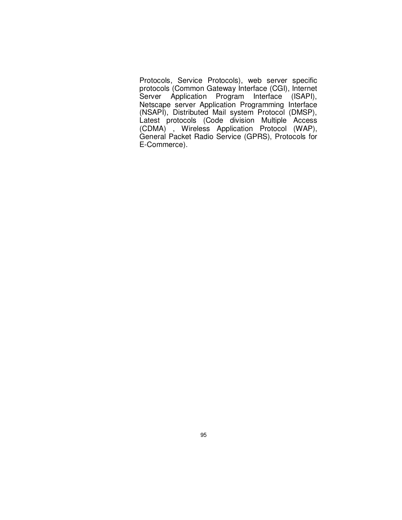Protocols, Service Protocols), web server specific protocols (Common Gateway Interface (CGI), Internet Server Application Program Interface (ISAPI), Netscape server Application Programming Interface (NSAPI), Distributed Mail system Protocol (DMSP), Latest protocols (Code division Multiple Access (CDMA) , Wireless Application Protocol (WAP), General Packet Radio Service (GPRS), Protocols for E-Commerce).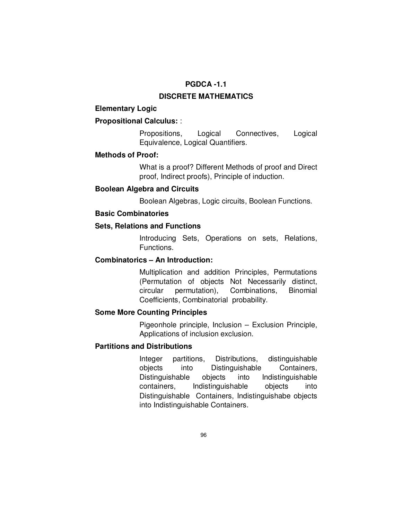# **PGDCA -1.1**

### **DISCRETE MATHEMATICS**

# **Elementary Logic**

# **Propositional Calculus:** :

 Propositions, Logical Connectives, Logical Equivalence, Logical Quantifiers.

#### **Methods of Proof:**

 What is a proof? Different Methods of proof and Direct proof, Indirect proofs), Principle of induction.

### **Boolean Algebra and Circuits**

Boolean Algebras, Logic circuits, Boolean Functions.

### **Basic Combinatories**

# **Sets, Relations and Functions**

 Introducing Sets, Operations on sets, Relations, Functions.

# **Combinatorics – An Introduction:**

 Multiplication and addition Principles, Permutations (Permutation of objects Not Necessarily distinct, circular permutation), Combinations, Binomial Coefficients, Combinatorial probability.

# **Some More Counting Principles**

 Pigeonhole principle, Inclusion – Exclusion Principle, Applications of inclusion exclusion.

# **Partitions and Distributions**

 Integer partitions, Distributions, distinguishable objects into Distinguishable Containers, Distinguishable objects into Indistinguishable containers, Indistinguishable objects into Distinguishable Containers, Indistinguishabe objects into Indistinguishable Containers.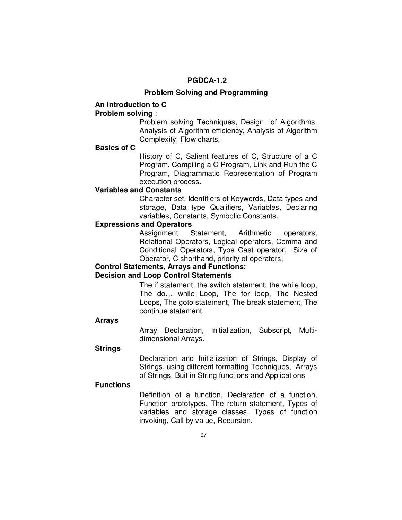# **PGDCA-1.2**

#### **Problem Solving and Programming**

# **An Introduction to C**

# **Problem solving** :

 Problem solving Techniques, Design of Algorithms, Analysis of Algorithm efficiency, Analysis of Algorithm Complexity, Flow charts,

#### **Basics of C**

 History of C, Salient features of C, Structure of a C Program, Compiling a C Program, Link and Run the C Program, Diagrammatic Representation of Program execution process.

#### **Variables and Constants**

 Character set, Identifiers of Keywords, Data types and storage, Data type Qualifiers, Variables, Declaring variables, Constants, Symbolic Constants.

# **Expressions and Operators**

 Assignment Statement, Arithmetic operators, Relational Operators, Logical operators, Comma and Conditional Operators, Type Cast operator, Size of Operator, C shorthand, priority of operators,

# **Control Statements, Arrays and Functions:**

# **Decision and Loop Control Statements**

 The if statement, the switch statement, the while loop, The do… while Loop, The for loop, The Nested Loops, The goto statement, The break statement, The continue statement.

#### **Arrays**

 Array Declaration, Initialization, Subscript, Multidimensional Arrays.

#### **Strings**

 Declaration and Initialization of Strings, Display of Strings, using different formatting Techniques, Arrays of Strings, Buit in String functions and Applications

# **Functions**

 Definition of a function, Declaration of a function, Function prototypes, The return statement, Types of variables and storage classes, Types of function invoking, Call by value, Recursion.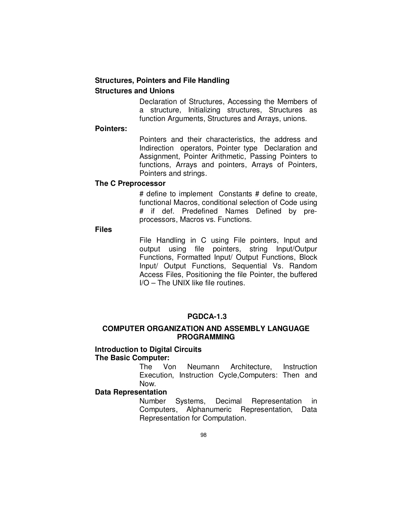# **Structures, Pointers and File Handling Structures and Unions**

 Declaration of Structures, Accessing the Members of a structure, Initializing structures, Structures as function Arguments, Structures and Arrays, unions.

#### **Pointers:**

 Pointers and their characteristics, the address and Indirection operators, Pointer type Declaration and Assignment, Pointer Arithmetic, Passing Pointers to functions, Arrays and pointers, Arrays of Pointers, Pointers and strings.

# **The C Preprocessor**

 # define to implement Constants # define to create, functional Macros, conditional selection of Code using # if def. Predefined Names Defined by preprocessors, Macros vs. Functions.

### **Files**

 File Handling in C using File pointers, Input and output using file pointers, string Input/Outpur Functions, Formatted Input/ Output Functions, Block Input/ Output Functions, Sequential Vs. Random Access Files, Positioning the file Pointer, the buffered I/O – The UNIX like file routines.

### **PGDCA-1.3**

# **COMPUTER ORGANIZATION AND ASSEMBLY LANGUAGE PROGRAMMING**

# **Introduction to Digital Circuits The Basic Computer:**

 The Von Neumann Architecture, Instruction Execution, Instruction Cycle,Computers: Then and Now.

# **Data Representation**

 Number Systems, Decimal Representation in Computers, Alphanumeric Representation, Data Representation for Computation.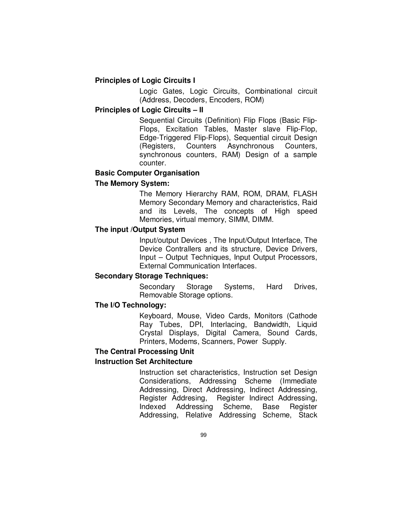# **Principles of Logic Circuits I**

 Logic Gates, Logic Circuits, Combinational circuit (Address, Decoders, Encoders, ROM)

# **Principles of Logic Circuits – II**

 Sequential Circuits (Definition) Flip Flops (Basic Flip-Flops, Excitation Tables, Master slave Flip-Flop, Edge-Triggered Flip-Flops), Sequential circuit Design (Registers, Counters Asynchronous Counters, synchronous counters, RAM) Design of a sample counter.

# **Basic Computer Organisation**

# **The Memory System:**

 The Memory Hierarchy RAM, ROM, DRAM, FLASH Memory Secondary Memory and characteristics, Raid and its Levels, The concepts of High speed Memories, virtual memory, SIMM, DIMM.

#### **The input /Output System**

 Input/output Devices , The Input/Output Interface, The Device Contrallers and its structure, Device Drivers, Input – Output Techniques, Input Output Processors, External Communication Interfaces.

# **Secondary Storage Techniques:**

 Secondary Storage Systems, Hard Drives, Removable Storage options.

### **The I/O Technology:**

 Keyboard, Mouse, Video Cards, Monitors (Cathode Ray Tubes, DPI, Interlacing, Bandwidth, Liquid Crystal Displays, Digital Camera, Sound Cards, Printers, Modems, Scanners, Power Supply.

### **The Central Processing Unit**

# **Instruction Set Architecture**

 Instruction set characteristics, Instruction set Design Considerations, Addressing Scheme (Immediate Addressing, Direct Addressing, Indirect Addressing, Register Addresing, Register Indirect Addressing, Indexed Addressing Scheme, Base Register Addressing, Relative Addressing Scheme, Stack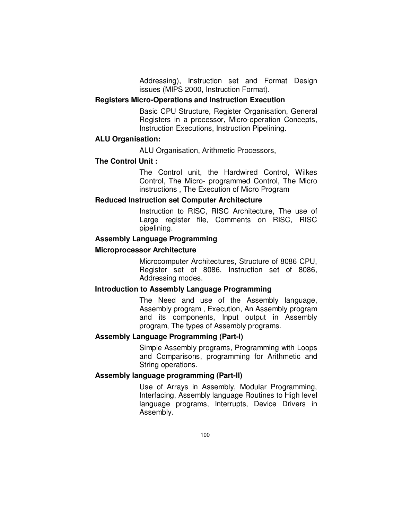Addressing), Instruction set and Format Design issues (MIPS 2000, Instruction Format).

# **Registers Micro-Operations and Instruction Execution**

 Basic CPU Structure, Register Organisation, General Registers in a processor, Micro-operation Concepts, Instruction Executions, Instruction Pipelining.

### **ALU Organisation:**

ALU Organisation, Arithmetic Processors,

### **The Control Unit :**

 The Control unit, the Hardwired Control, Wilkes Control, The Micro- programmed Control, The Micro instructions , The Execution of Micro Program

# **Reduced Instruction set Computer Architecture**

 Instruction to RISC, RISC Architecture, The use of Large register file, Comments on RISC, RISC pipelining.

### **Assembly Language Programming**

### **Microprocessor Architecture**

 Microcomputer Architectures, Structure of 8086 CPU, Register set of 8086, Instruction set of 8086, Addressing modes.

# **Introduction to Assembly Language Programming**

 The Need and use of the Assembly language, Assembly program , Execution, An Assembly program and its components, Input output in Assembly program, The types of Assembly programs.

# **Assembly Language Programming (Part-I)**

 Simple Assembly programs, Programming with Loops and Comparisons, programming for Arithmetic and String operations.

# **Assembly language programming (Part-II)**

 Use of Arrays in Assembly, Modular Programming, Interfacing, Assembly language Routines to High level language programs, Interrupts, Device Drivers in Assembly.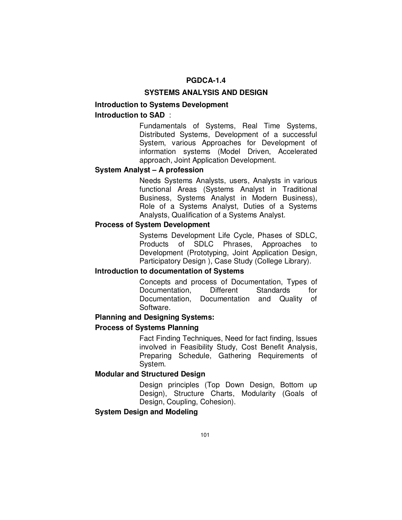# **PGDCA-1.4**

# **SYSTEMS ANALYSIS AND DESIGN**

# **Introduction to Systems Development Introduction to SAD** :

 Fundamentals of Systems, Real Time Systems, Distributed Systems, Development of a successful System, various Approaches for Development of information systems (Model Driven, Accelerated approach, Joint Application Development.

# **System Analyst – A profession**

 Needs Systems Analysts, users, Analysts in various functional Areas (Systems Analyst in Traditional Business, Systems Analyst in Modern Business), Role of a Systems Analyst, Duties of a Systems Analysts, Qualification of a Systems Analyst.

# **Process of System Development**

 Systems Development Life Cycle, Phases of SDLC, Products of SDLC Phrases, Approaches to Development (Prototyping, Joint Application Design, Participatory Design ), Case Study (College Library).

# **Introduction to documentation of Systems**

 Concepts and process of Documentation, Types of Documentation, Different Standards for Documentation, Documentation and Quality of Software.

### **Planning and Designing Systems:**

#### **Process of Systems Planning**

 Fact Finding Techniques, Need for fact finding, Issues involved in Feasibility Study, Cost Benefit Analysis, Preparing Schedule, Gathering Requirements of System.

#### **Modular and Structured Design**

 Design principles (Top Down Design, Bottom up Design), Structure Charts, Modularity (Goals of Design, Coupling, Cohesion).

# **System Design and Modeling**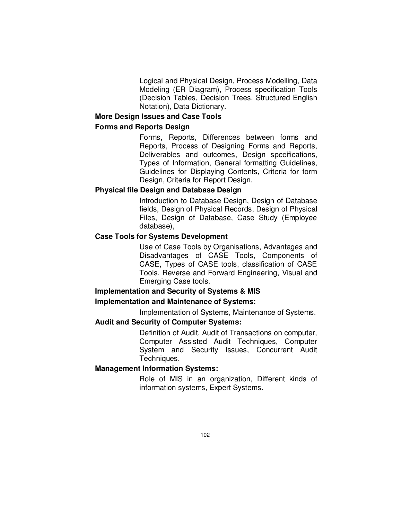Logical and Physical Design, Process Modelling, Data Modeling (ER Diagram), Process specification Tools (Decision Tables, Decision Trees, Structured English Notation), Data Dictionary.

# **More Design Issues and Case Tools**

# **Forms and Reports Design**

 Forms, Reports, Differences between forms and Reports, Process of Designing Forms and Reports, Deliverables and outcomes, Design specifications, Types of Information, General formatting Guidelines, Guidelines for Displaying Contents, Criteria for form Design, Criteria for Report Design.

# **Physical file Design and Database Design**

 Introduction to Database Design, Design of Database fields, Design of Physical Records, Design of Physical Files, Design of Database, Case Study (Employee database),

# **Case Tools for Systems Development**

 Use of Case Tools by Organisations, Advantages and Disadvantages of CASE Tools, Components of CASE, Types of CASE tools, classification of CASE Tools, Reverse and Forward Engineering, Visual and Emerging Case tools.

# **Implementation and Security of Systems & MIS**

# **Implementation and Maintenance of Systems:**

Implementation of Systems, Maintenance of Systems.

# **Audit and Security of Computer Systems:**

 Definition of Audit, Audit of Transactions on computer, Computer Assisted Audit Techniques, Computer System and Security Issues, Concurrent Audit Techniques.

# **Management Information Systems:**

 Role of MIS in an organization, Different kinds of information systems, Expert Systems.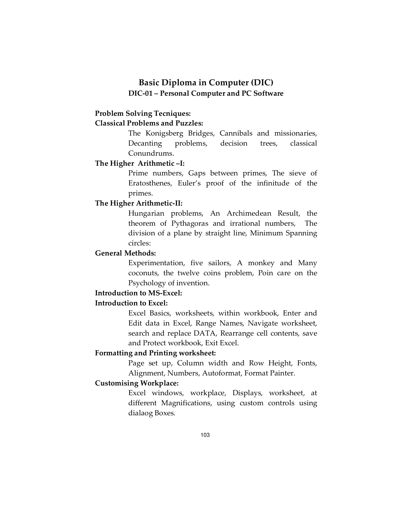# **Basic Diploma in Computer (DIC) DIC-01 – Personal Computer and PC Software**

# **Problem Solving Tecniques:**

# **Classical Problems and Puzzles:**

 The Konigsberg Bridges, Cannibals and missionaries, Decanting problems, decision trees, classical Conundrums.

# **The Higher Arithmetic –I:**

 Prime numbers, Gaps between primes, The sieve of Eratosthenes, Euler's proof of the infinitude of the primes.

# **The Higher Arithmetic-II:**

 Hungarian problems, An Archimedean Result, the theorem of Pythagoras and irrational numbers, The division of a plane by straight line, Minimum Spanning circles:

# **General Methods:**

 Experimentation, five sailors, A monkey and Many coconuts, the twelve coins problem, Poin care on the Psychology of invention.

# **Introduction to MS-Excel:**

# **Introduction to Excel:**

 Excel Basics, worksheets, within workbook, Enter and Edit data in Excel, Range Names, Navigate worksheet, search and replace DATA, Rearrange cell contents, save and Protect workbook, Exit Excel.

### **Formatting and Printing worksheet:**

 Page set up, Column width and Row Height, Fonts, Alignment, Numbers, Autoformat, Format Painter.

# **Customising Workplace:**

 Excel windows, workplace, Displays, worksheet, at different Magnifications, using custom controls using dialaog Boxes.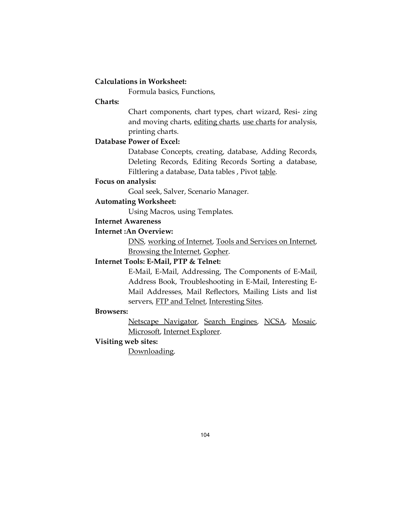### **Calculations in Worksheet:**

Formula basics, Functions,

# **Charts:**

 Chart components, chart types, chart wizard, Resi- zing and moving charts, editing charts, use charts for analysis, printing charts.

# **Database Power of Excel:**

 Database Concepts, creating, database, Adding Records, Deleting Records, Editing Records Sorting a database, Filtlering a database, Data tables, Pivot table.

# **Focus on analysis:**

Goal seek, Salver, Scenario Manager.

### **Automating Worksheet:**

Using Macros, using Templates.

# **Internet Awareness**

# **Internet :An Overview:**

 DNS, working of Internet, Tools and Services on Internet, Browsing the Internet, Gopher.

# **Internet Tools: E-Mail, PTP & Telnet:**

 E-Mail, E-Mail, Addressing, The Components of E-Mail, Address Book, Troubleshooting in E-Mail, Interesting E-Mail Addresses, Mail Reflectors, Mailing Lists and list servers, FTP and Telnet, Interesting Sites.

#### **Browsers:**

 Netscape Navigator, Search Engines, NCSA, Mosaic, Microsoft, Internet Explorer.

#### **Visiting web sites:**

Downloading.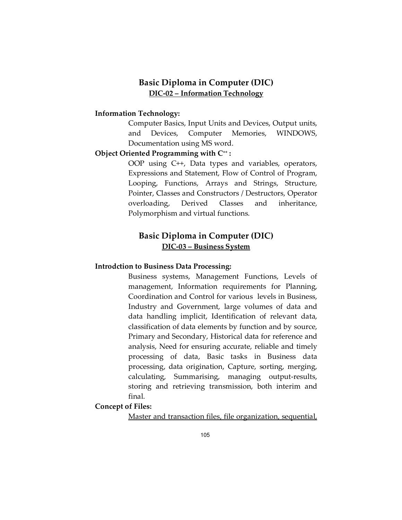## **Basic Diploma in Computer (DIC) DIC-02 – Information Technology**

#### **Information Technology:**

 Computer Basics, Input Units and Devices, Output units, and Devices, Computer Memories, WINDOWS, Documentation using MS word.

### **Object Oriented Programming with C++ :**

 OOP using C++, Data types and variables, operators, Expressions and Statement, Flow of Control of Program, Looping, Functions, Arrays and Strings, Structure, Pointer, Classes and Constructors / Destructors, Operator overloading, Derived Classes and inheritance, Polymorphism and virtual functions.

## **Basic Diploma in Computer (DIC) DIC-03 – Business System**

#### **Introdction to Business Data Processing:**

 Business systems, Management Functions, Levels of management, Information requirements for Planning, Coordination and Control for various levels in Business, Industry and Government, large volumes of data and data handling implicit, Identification of relevant data, classification of data elements by function and by source, Primary and Secondary, Historical data for reference and analysis, Need for ensuring accurate, reliable and timely processing of data, Basic tasks in Business data processing, data origination, Capture, sorting, merging, calculating, Summarising, managing output-results, storing and retrieving transmission, both interim and final.

## **Concept of Files:**

Master and transaction files, file organization, sequential,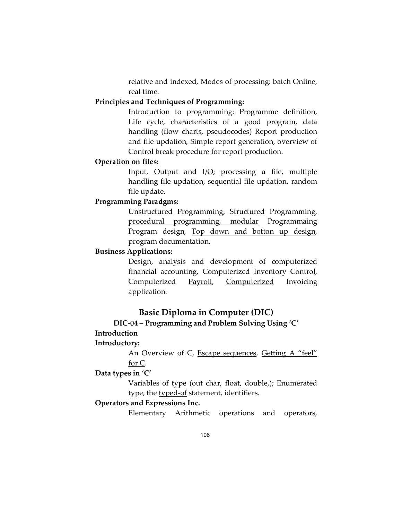relative and indexed, Modes of processing: batch Online, real time.

## **Principles and Techniques of Programming:**

 Introduction to programming: Programme definition, Life cycle, characteristics of a good program, data handling (flow charts, pseudocodes) Report production and file updation, Simple report generation, overview of Control break procedure for report production.

### **Operation on files:**

 Input, Output and I/O; processing a file, multiple handling file updation, sequential file updation, random file update.

## **Programming Paradgms:**

Unstructured Programming, Structured Programming, procedural programming, modular Programmaing Program design, Top down and botton up design, program documentation.

## **Business Applications:**

 Design, analysis and development of computerized financial accounting, Computerized Inventory Control, Computerized Payroll, Computerized Invoicing application.

## **Basic Diploma in Computer (DIC)**

## **DIC-04 – Programming and Problem Solving Using 'C' Introduction**

### **Introductory:**

An Overview of C, Escape sequences, Getting A "feel" for C.

### **Data types in 'C'**

Variables of type (out char, float, double,); Enumerated type, the typed-of statement, identifiers.

### **Operators and Expressions Inc.**

Elementary Arithmetic operations and operators,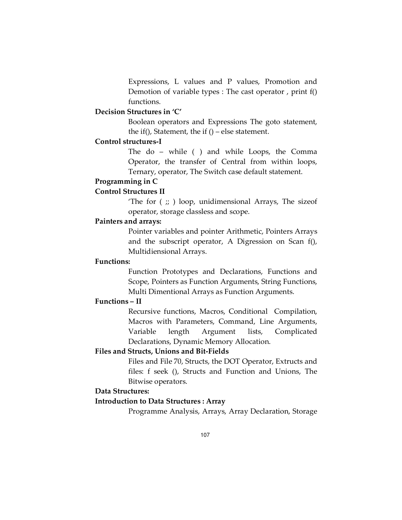Expressions, L values and P values, Promotion and Demotion of variable types : The cast operator , print f() functions.

## **Decision Structures in 'C'**

Boolean operators and Expressions The goto statement, the if(), Statement, the if  $()$  – else statement.

### **Control structures-I**

 The do – while ( ) and while Loops, the Comma Operator, the transfer of Central from within loops, Ternary, operator, The Switch case default statement.

## **Programming in C**

## **Control Structures II**

'The for  $(\cdot; \cdot)$  loop, unidimensional Arrays, The sizeof operator, storage classless and scope.

#### **Painters and arrays:**

Pointer variables and pointer Arithmetic, Pointers Arrays and the subscript operator, A Digression on Scan f(), Multidiensional Arrays.

## **Functions:**

Function Prototypes and Declarations, Functions and Scope, Pointers as Function Arguments, String Functions, Multi Dimentional Arrays as Function Arguments.

## **Functions – II**

 Recursive functions, Macros, Conditional Compilation, Macros with Parameters, Command, Line Arguments, Variable length Argument lists, Complicated Declarations, Dynamic Memory Allocation.

## **Files and Structs, Unions and Bit-Fields**

Files and File 70, Structs, the DOT Operator, Extructs and files: f seek (), Structs and Function and Unions, The Bitwise operators.

## **Data Structures:**

#### **Introduction to Data Structures : Array**

Programme Analysis, Arrays, Array Declaration, Storage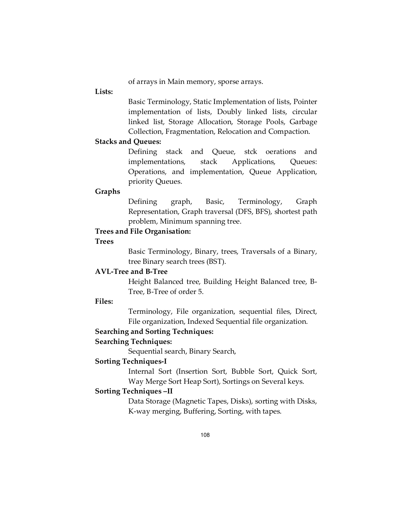of arrays in Main memory, sporse arrays.

#### **Lists:**

Basic Terminology, Static Implementation of lists, Pointer implementation of lists, Doubly linked lists, circular linked list, Storage Allocation, Storage Pools, Garbage Collection, Fragmentation, Relocation and Compaction.

#### **Stacks and Queues:**

 Defining stack and Queue, stck oerations and implementations, stack Applications, Queues: Operations, and implementation, Queue Application, priority Queues.

#### **Graphs**

Defining graph, Basic, Terminology, Graph Representation, Graph traversal (DFS, BFS), shortest path problem, Minimum spanning tree.

## **Trees and File Organisation:**

#### **Trees**

Basic Terminology, Binary, trees, Traversals of a Binary, tree Binary search trees (BST).

## **AVL-Tree and B-Tree**

Height Balanced tree, Building Height Balanced tree, B-Tree, B-Tree of order 5.

## **Files:**

 Terminology, File organization, sequential files, Direct, File organization, Indexed Sequential file organization.

### **Searching and Sorting Techniques:**

### **Searching Techniques:**

Sequential search, Binary Search,

## **Sorting Techniques-I**

Internal Sort (Insertion Sort, Bubble Sort, Quick Sort, Way Merge Sort Heap Sort), Sortings on Several keys.

## **Sorting Techniques –II**

Data Storage (Magnetic Tapes, Disks), sorting with Disks, K-way merging, Buffering, Sorting, with tapes.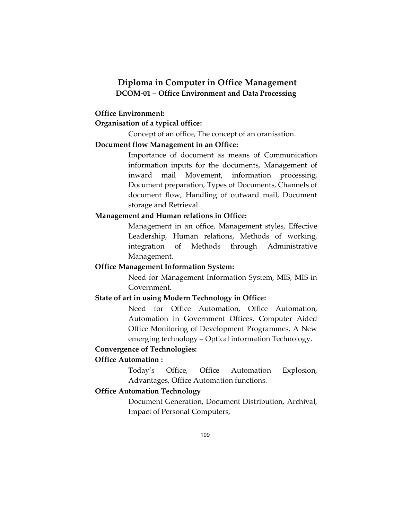## **Diploma in Computer in Office Management DCOM-01 – Office Environment and Data Processing**

### **Office Environment:**

## **Organisation of a typical office:**

Concept of an office, The concept of an oranisation.

## **Document flow Management in an Office:**

Importance of document as means of Communication information inputs for the documents, Management of inward mail Movement, information processing, Document preparation, Types of Documents, Channels of document flow, Handling of outward mail, Document storage and Retrieval.

#### **Management and Human relations in Office:**

Management in an office, Management styles, Effective Leadership, Human relations, Methods of working, integration of Methods through Administrative Management.

## **Office Management Information System:**

 Need for Management Information System, MIS, MIS in Government.

## **State of art in using Modern Technology in Office:**

Need for Office Automation, Office Automation, Automation in Government Offices, Computer Aided Office Monitoring of Development Programmes, A New emerging technology – Optical information Technology.

## **Convergence of Technologies:**

#### **Office Automation :**

Today's Office, Office Automation Explosion, Advantages, Office Automation functions.

## **Office Automation Technology**

Document Generation, Document Distribution, Archival, Impact of Personal Computers,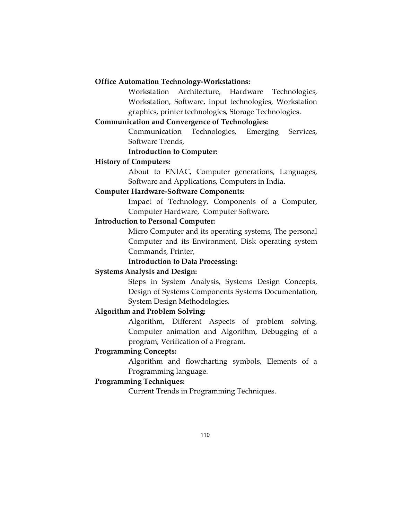#### **Office Automation Technology-Workstations:**

 Workstation Architecture, Hardware Technologies, Workstation, Software, input technologies, Workstation graphics, printer technologies, Storage Technologies.

#### **Communication and Convergence of Technologies:**

Communication Technologies, Emerging Services, Software Trends,

 **Introduction to Computer:** 

#### **History of Computers:**

About to ENIAC, Computer generations, Languages, Software and Applications, Computers in India.

## **Computer Hardware-Software Components:**

Impact of Technology, Components of a Computer, Computer Hardware, Computer Software.

#### **Introduction to Personal Computer:**

Micro Computer and its operating systems, The personal Computer and its Environment, Disk operating system Commands, Printer,

## **Introduction to Data Processing:**

#### **Systems Analysis and Design:**

 Steps in System Analysis, Systems Design Concepts, Design of Systems Components Systems Documentation, System Design Methodologies.

## **Algorithm and Problem Solving:**

Algorithm, Different Aspects of problem solving, Computer animation and Algorithm, Debugging of a program, Verification of a Program.

## **Programming Concepts:**

Algorithm and flowcharting symbols, Elements of a Programming language.

#### **Programming Techniques:**

Current Trends in Programming Techniques.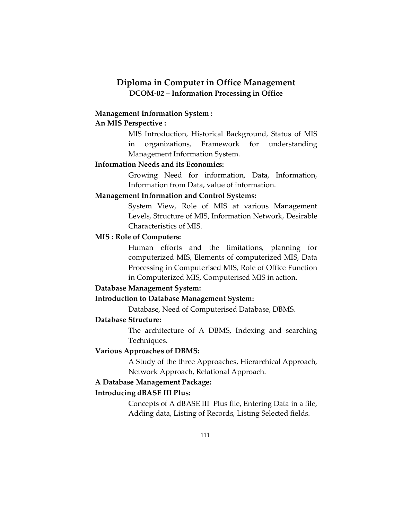## **Diploma in Computer in Office Management DCOM-02 – Information Processing in Office**

#### **Management Information System :**

## **An MIS Perspective :**

MIS Introduction, Historical Background, Status of MIS in organizations, Framework for understanding Management Information System.

## **Information Needs and its Economics:**

Growing Need for information, Data, Information, Information from Data, value of information.

## **Management Information and Control Systems:**

System View, Role of MIS at various Management Levels, Structure of MIS, Information Network, Desirable Characteristics of MIS.

#### **MIS : Role of Computers:**

Human efforts and the limitations, planning for computerized MIS, Elements of computerized MIS, Data Processing in Computerised MIS, Role of Office Function in Computerized MIS, Computerised MIS in action.

#### **Database Management System:**

#### **Introduction to Database Management System:**

Database, Need of Computerised Database, DBMS.

## **Database Structure:**

The architecture of A DBMS, Indexing and searching Techniques.

#### **Various Approaches of DBMS:**

A Study of the three Approaches, Hierarchical Approach, Network Approach, Relational Approach.

## **A Database Management Package:**

#### **Introducing dBASE III Plus:**

Concepts of A dBASE III Plus file, Entering Data in a file, Adding data, Listing of Records, Listing Selected fields.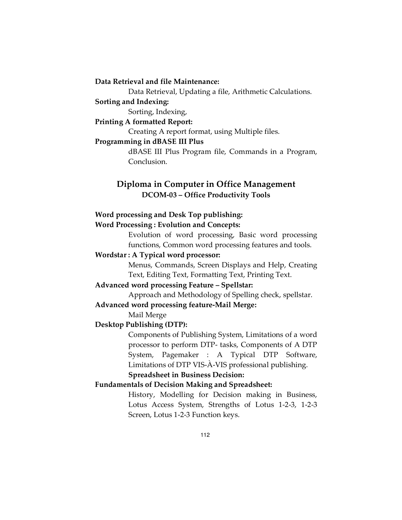**Data Retrieval and file Maintenance:** 

Data Retrieval, Updating a file, Arithmetic Calculations.

#### **Sorting and Indexing:**

Sorting, Indexing,

**Printing A formatted Report:** 

Creating A report format, using Multiple files.

#### **Programming in dBASE III Plus**

 dBASE III Plus Program file, Commands in a Program, Conclusion.

## **Diploma in Computer in Office Management DCOM-03 – Office Productivity Tools**

#### **Word processing and Desk Top publishing:**

#### **Word Processing : Evolution and Concepts:**

Evolution of word processing, Basic word processing functions, Common word processing features and tools.

#### **Wordstar : A Typical word processor:**

Menus, Commands, Screen Displays and Help, Creating Text, Editing Text, Formatting Text, Printing Text.

## **Advanced word processing Feature – Spellstar:**

Approach and Methodology of Spelling check, spellstar.

### **Advanced word processing feature-Mail Merge:**

Mail Merge

## **Desktop Publishing (DTP):**

 Components of Publishing System, Limitations of a word processor to perform DTP- tasks, Components of A DTP System, Pagemaker : A Typical DTP Software, Limitations of DTP VIS-À-VIS professional publishing.

#### **Spreadsheet in Business Decision:**

## **Fundamentals of Decision Making and Spreadsheet:**

History, Modelling for Decision making in Business, Lotus Access System, Strengths of Lotus 1-2-3, 1-2-3 Screen, Lotus 1-2-3 Function keys.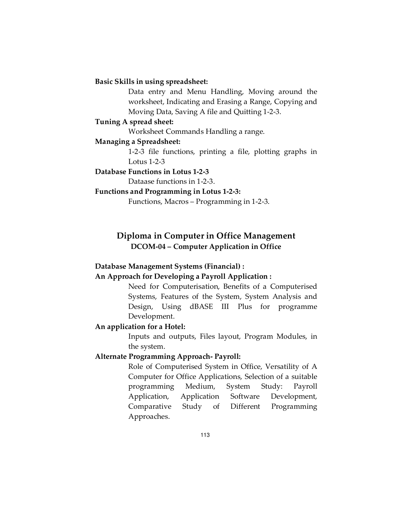#### **Basic Skills in using spreadsheet:**

Data entry and Menu Handling, Moving around the worksheet, Indicating and Erasing a Range, Copying and Moving Data, Saving A file and Quitting 1-2-3.

#### **Tuning A spread sheet:**

Worksheet Commands Handling a range.

#### **Managing a Spreadsheet:**

 1-2-3 file functions, printing a file, plotting graphs in Lotus 1-2-3

## **Database Functions in Lotus 1-2-3**

Dataase functions in 1-2-3.

## **Functions and Programming in Lotus 1-2-3:**

Functions, Macros – Programming in 1-2-3.

## **Diploma in Computer in Office Management DCOM-04 – Computer Application in Office**

#### **Database Management Systems (Financial) :**

#### **An Approach for Developing a Payroll Application :**

Need for Computerisation, Benefits of a Computerised Systems, Features of the System, System Analysis and Design, Using dBASE III Plus for programme Development.

#### **An application for a Hotel:**

Inputs and outputs, Files layout, Program Modules, in the system.

#### **Alternate Programming Approach- Payroll:**

Role of Computerised System in Office, Versatility of A Computer for Office Applications, Selection of a suitable programming Medium, System Study: Payroll Application, Application Software Development, Comparative Study of Different Programming Approaches.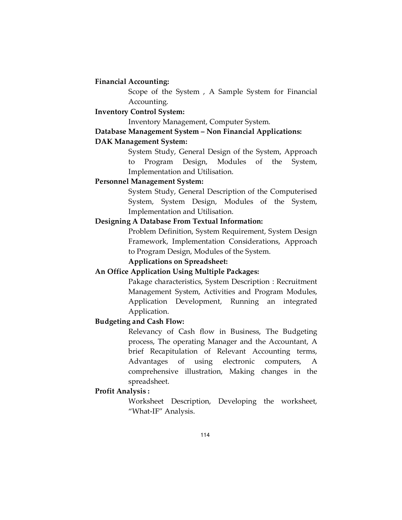#### **Financial Accounting:**

 Scope of the System , A Sample System for Financial Accounting.

## **Inventory Control System:**

Inventory Management, Computer System.

### **Database Management System – Non Financial Applications:**

#### **DAK Management System:**

System Study, General Design of the System, Approach to Program Design, Modules of the System, Implementation and Utilisation.

## **Personnel Management System:**

System Study, General Description of the Computerised System, System Design, Modules of the System, Implementation and Utilisation.

## **Designing A Database From Textual Information:**

 Problem Definition, System Requirement, System Design Framework, Implementation Considerations, Approach to Program Design, Modules of the System.

 **Applications on Spreadsheet:** 

## **An Office Application Using Multiple Packages:**

Pakage characteristics, System Description : Recruitment Management System, Activities and Program Modules, Application Development, Running an integrated Application.

## **Budgeting and Cash Flow:**

Relevancy of Cash flow in Business, The Budgeting process, The operating Manager and the Accountant, A brief Recapitulation of Relevant Accounting terms, Advantages of using electronic computers, A comprehensive illustration, Making changes in the spreadsheet.

## **Profit Analysis :**

 Worksheet Description, Developing the worksheet, "What-IF" Analysis.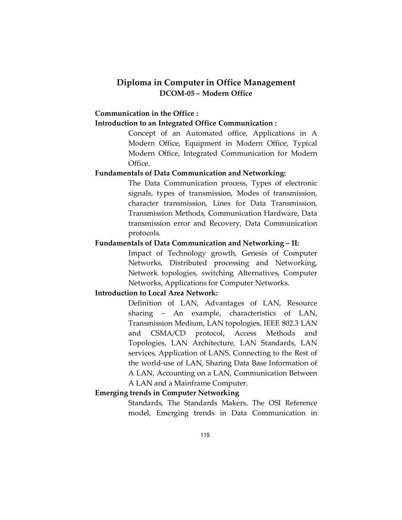## **Diploma in Computer in Office Management DCOM-05 – Modern Office**

## **Communication in the Office :**

### **Introduction to an Integrated Office Communication :**

 Concept of an Automated office, Applications in A Modern Office, Equipment in Modern Office, Typical Modern Office, Integrated Communication for Modern Office.

## **Fundamentals of Data Communication and Networking:**

 The Data Communication process, Types of electronic signals, types of transmission, Modes of transmission, character transmission, Lines for Data Transmission, Transmission Methods, Communication Hardware, Data transmission error and Recovery, Data Communication protocols.

## **Fundamentals of Data Communication and Networking – II:**

 Impact of Technology growth, Genesis of Computer Networks, Distributed processing and Networking, Network topologies, switching Alternatives, Computer Networks, Applications for Computer Networks.

#### **Introduction to Local Area Network:**

 Definition of LAN, Advantages of LAN, Resource sharing – An example, characteristics of LAN, Transmission Medium, LAN topologies, IEEE 802.3 LAN and CSMA/CD protocol, Access Methods and Topologies, LAN Architecture, LAN Standards, LAN services, Application of LANS, Connecting to the Rest of the world-use of LAN, Sharing Data Base Information of A LAN, Accounting on a LAN, Communication Between A LAN and a Mainframe Computer.

#### **Emerging trends in Computer Networking**

 Standards, The Standards Makers, The OSI Reference model, Emerging trends in Data Communication in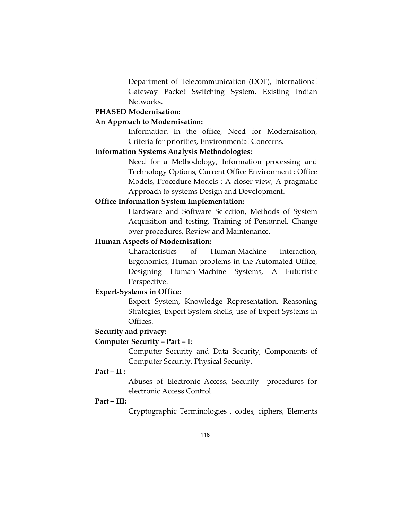Department of Telecommunication (DOT), International Gateway Packet Switching System, Existing Indian Networks.

## **PHASED Modernisation:**

### **An Approach to Modernisation:**

 Information in the office, Need for Modernisation, Criteria for priorities, Environmental Concerns.

## **Information Systems Analysis Methodologies:**

 Need for a Methodology, Information processing and Technology Options, Current Office Environment : Office Models, Procedure Models : A closer view, A pragmatic Approach to systems Design and Development.

#### **Office Information System Implementation:**

 Hardware and Software Selection, Methods of System Acquisition and testing, Training of Personnel, Change over procedures, Review and Maintenance.

## **Human Aspects of Modernisation:**

 Characteristics of Human-Machine interaction, Ergonomics, Human problems in the Automated Office, Designing Human-Machine Systems, A Futuristic Perspective.

### **Expert-Systems in Office:**

 Expert System, Knowledge Representation, Reasoning Strategies, Expert System shells, use of Expert Systems in Offices.

### **Security and privacy:**

#### **Computer Security – Part – I:**

 Computer Security and Data Security, Components of Computer Security, Physical Security.

#### **Part – II :**

 Abuses of Electronic Access, Security procedures for electronic Access Control.

### **Part – III:**

Cryptographic Terminologies , codes, ciphers, Elements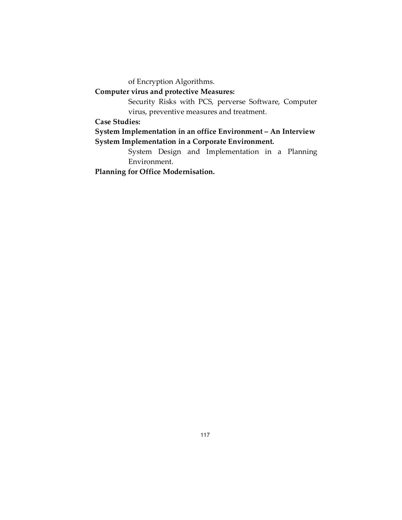of Encryption Algorithms.

## **Computer virus and protective Measures:**

 Security Risks with PCS, perverse Software, Computer virus, preventive measures and treatment.

## **Case Studies:**

**System Implementation in an office Environment – An Interview System Implementation in a Corporate Environment.** 

> System Design and Implementation in a Planning Environment.

**Planning for Office Modernisation.**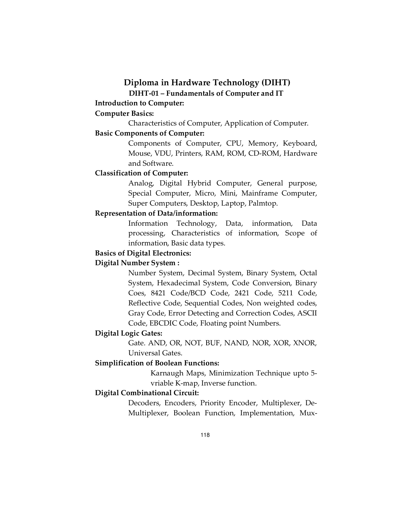## **Diploma in Hardware Technology (DIHT)**

**DIHT-01 – Fundamentals of Computer and IT** 

## **Introduction to Computer:**

### **Computer Basics:**

Characteristics of Computer, Application of Computer.

## **Basic Components of Computer:**

 Components of Computer, CPU, Memory, Keyboard, Mouse, VDU, Printers, RAM, ROM, CD-ROM, Hardware and Software.

## **Classification of Computer:**

 Analog, Digital Hybrid Computer, General purpose, Special Computer, Micro, Mini, Mainframe Computer, Super Computers, Desktop, Laptop, Palmtop.

## **Representation of Data/information:**

 Information Technology, Data, information, Data processing, Characteristics of information, Scope of information, Basic data types.

## **Basics of Digital Electronics:**

#### **Digital Number System :**

 Number System, Decimal System, Binary System, Octal System, Hexadecimal System, Code Conversion, Binary Coes, 8421 Code/BCD Code, 2421 Code, 5211 Code, Reflective Code, Sequential Codes, Non weighted codes, Gray Code, Error Detecting and Correction Codes, ASCII Code, EBCDIC Code, Floating point Numbers.

#### **Digital Logic Gates:**

 Gate. AND, OR, NOT, BUF, NAND, NOR, XOR, XNOR, Universal Gates.

#### **Simplification of Boolean Functions:**

 Karnaugh Maps, Minimization Technique upto 5 vriable K-map, Inverse function.

## **Digital Combinational Circuit:**

 Decoders, Encoders, Priority Encoder, Multiplexer, De-Multiplexer, Boolean Function, Implementation, Mux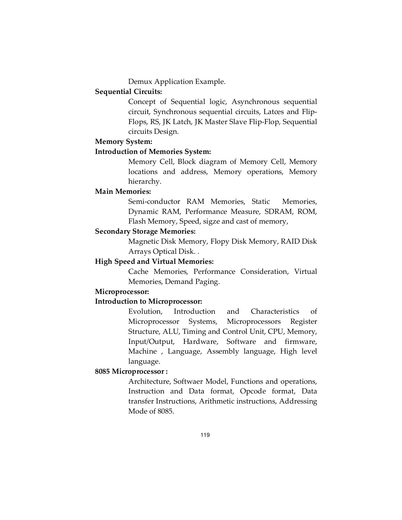Demux Application Example.

## **Sequential Circuits:**

 Concept of Sequential logic, Asynchronous sequential circuit, Synchronous sequential circuits, Latces and Flip-Flops, RS, JK Latch, JK Master Slave Flip-Flop, Sequential circuits Design.

#### **Memory System:**

### **Introduction of Memories System:**

 Memory Cell, Block diagram of Memory Cell, Memory locations and address, Memory operations, Memory hierarchy.

#### **Main Memories:**

 Semi-conductor RAM Memories, Static Memories, Dynamic RAM, Performance Measure, SDRAM, ROM, Flash Memory, Speed, sigze and cast of memory,

#### **Secondary Storage Memories:**

 Magnetic Disk Memory, Flopy Disk Memory, RAID Disk Arrays Optical Disk. .

### **High Speed and Virtual Memories:**

 Cache Memories, Performance Consideration, Virtual Memories, Demand Paging.

## **Microprocessor:**

## **Introduction to Microprocessor:**

 Evolution, Introduction and Characteristics of Microprocessor Systems, Microprocessors Register Structure, ALU, Timing and Control Unit, CPU, Memory, Input/Output, Hardware, Software and firmware, Machine , Language, Assembly language, High level language.

#### **8085 Microprocessor :**

 Architecture, Softwaer Model, Functions and operations, Instruction and Data format, Opcode format, Data transfer Instructions, Arithmetic instructions, Addressing Mode of 8085.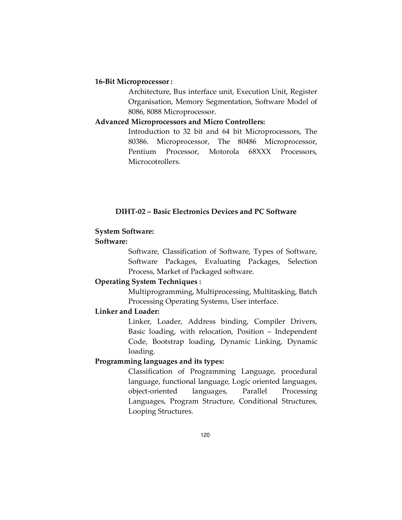#### **16-Bit Microprocessor :**

 Architecture, Bus interface unit, Execution Unit, Register Organisation, Memory Segmentation, Software Model of 8086, 8088 Microprocessor.

#### **Advanced Microprocessors and Micro Controllers:**

 Introduction to 32 bit and 64 bit Microprocessors, The 80386. Microprocessor, The 80486 Microprocessor, Pentium Processor, Motorola 68XXX Processors, **Microcotrollers** 

## **DIHT-02 – Basic Electronics Devices and PC Software**

## **System Software:**

## **Software:**

 Software, Classification of Software, Types of Software, Software Packages, Evaluating Packages, Selection Process, Market of Packaged software.

## **Operating System Techniques :**

 Multiprogramming, Multiprocessing, Multitasking, Batch Processing Operating Systems, User interface.

## **Linker and Loader:**

 Linker, Loader, Address binding, Compiler Drivers, Basic loading, with relocation, Position – Independent Code, Bootstrap loading, Dynamic Linking, Dynamic loading.

## **Programming languages and its types:**

 Classification of Programming Language, procedural language, functional language, Logic oriented languages, object-oriented languages, Parallel Processing Languages, Program Structure, Conditional Structures, Looping Structures.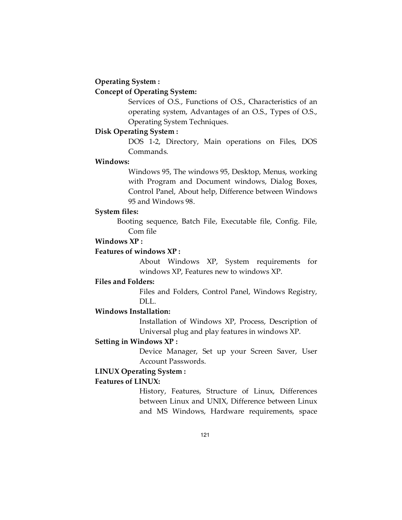#### **Operating System :**

#### **Concept of Operating System:**

 Services of O.S., Functions of O.S., Characteristics of an operating system, Advantages of an O.S., Types of O.S., Operating System Techniques.

#### **Disk Operating System :**

 DOS 1-2, Directory, Main operations on Files, DOS Commands.

#### **Windows:**

 Windows 95, The windows 95, Desktop, Menus, working with Program and Document windows, Dialog Boxes, Control Panel, About help, Difference between Windows 95 and Windows 98.

#### **System files:**

Booting sequence, Batch File, Executable file, Config. File, Com file

### **Windows XP :**

## **Features of windows XP :**

 About Windows XP, System requirements for windows XP, Features new to windows XP.

## **Files and Folders:**

 Files and Folders, Control Panel, Windows Registry, DLL.

#### **Windows Installation:**

 Installation of Windows XP, Process, Description of Universal plug and play features in windows XP.

#### **Setting in Windows XP :**

 Device Manager, Set up your Screen Saver, User Account Passwords.

#### **LINUX Operating System :**

#### **Features of LINUX:**

 History, Features, Structure of Linux, Differences between Linux and UNIX, Difference between Linux and MS Windows, Hardware requirements, space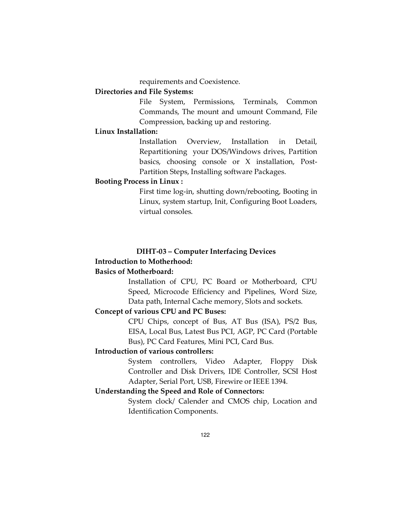requirements and Coexistence.

## **Directories and File Systems:**

 File System, Permissions, Terminals, Common Commands, The mount and umount Command, File Compression, backing up and restoring.

## **Linux Installation:**

 Installation Overview, Installation in Detail, Repartitioning your DOS/Windows drives, Partition basics, choosing console or X installation, Post-Partition Steps, Installing software Packages.

#### **Booting Process in Linux :**

 First time log-in, shutting down/rebooting, Booting in Linux, system startup, Init, Configuring Boot Loaders, virtual consoles.

#### **DIHT-03 – Computer Interfacing Devices Introduction to Motherhood:**

### **Basics of Motherboard:**

Installation of CPU, PC Board or Motherboard, CPU Speed, Microcode Efficiency and Pipelines, Word Size, Data path, Internal Cache memory, Slots and sockets.

#### **Concept of various CPU and PC Buses:**

CPU Chips, concept of Bus, AT Bus (ISA), PS/2 Bus, EISA, Local Bus, Latest Bus PCI, AGP, PC Card (Portable Bus), PC Card Features, Mini PCI, Card Bus.

## **Introduction of various controllers:**

System controllers, Video Adapter, Floppy Disk Controller and Disk Drivers, IDE Controller, SCSI Host Adapter, Serial Port, USB, Firewire or IEEE 1394.

## **Understanding the Speed and Role of Connectors:**

System clock/ Calender and CMOS chip, Location and Identification Components.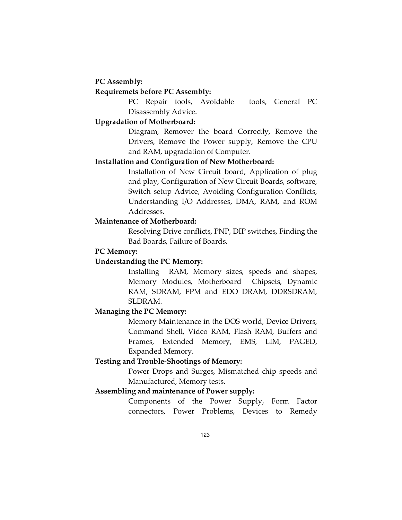#### **PC Assembly:**

## **Requiremets before PC Assembly:**

PC Repair tools, Avoidable tools, General PC Disassembly Advice.

#### **Upgradation of Motherboard:**

Diagram, Remover the board Correctly, Remove the Drivers, Remove the Power supply, Remove the CPU and RAM, upgradation of Computer.

#### **Installation and Configuration of New Motherboard:**

Installation of New Circuit board, Application of plug and play, Configuration of New Circuit Boards, software, Switch setup Advice, Avoiding Configuration Conflicts, Understanding I/O Addresses, DMA, RAM, and ROM Addresses.

#### **Maintenance of Motherboard:**

 Resolving Drive conflicts, PNP, DIP switches, Finding the Bad Boards, Failure of Boards.

#### **PC Memory:**

#### **Understanding the PC Memory:**

 Installing RAM, Memory sizes, speeds and shapes, Memory Modules, Motherboard Chipsets, Dynamic RAM, SDRAM, FPM and EDO DRAM, DDRSDRAM, SLDRAM.

#### **Managing the PC Memory:**

 Memory Maintenance in the DOS world, Device Drivers, Command Shell, Video RAM, Flash RAM, Buffers and Frames, Extended Memory, EMS, LIM, PAGED, Expanded Memory.

## **Testing and Trouble-Shootings of Memory:**

 Power Drops and Surges, Mismatched chip speeds and Manufactured, Memory tests.

## **Assembling and maintenance of Power supply:**

 Components of the Power Supply, Form Factor connectors, Power Problems, Devices to Remedy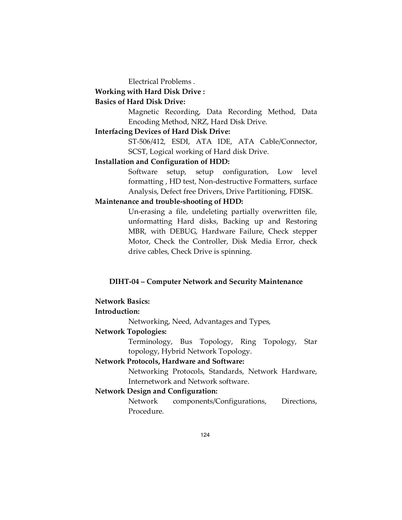Electrical Problems .

#### **Working with Hard Disk Drive :**

### **Basics of Hard Disk Drive:**

 Magnetic Recording, Data Recording Method, Data Encoding Method, NRZ, Hard Disk Drive.

## **Interfacing Devices of Hard Disk Drive:**

 ST-506/412, ESDI, ATA IDE, ATA Cable/Connector, SCST, Logical working of Hard disk Drive.

#### **Installation and Configuration of HDD:**

 Software setup, setup configuration, Low level formatting , HD test, Non-destructive Formatters, surface Analysis, Defect free Drivers, Drive Partitioning, FDISK.

#### **Maintenance and trouble-shooting of HDD:**

 Un-erasing a file, undeleting partially overwritten file, unformatting Hard disks, Backing up and Restoring MBR, with DEBUG, Hardware Failure, Check stepper Motor, Check the Controller, Disk Media Error, check drive cables, Check Drive is spinning.

## **DIHT-04 – Computer Network and Security Maintenance**

## **Network Basics:**

## **Introduction:**

Networking, Need, Advantages and Types,

#### **Network Topologies:**

Terminology, Bus Topology, Ring Topology, Star topology, Hybrid Network Topology.

#### **Network Protocols, Hardware and Software:**

Networking Protocols, Standards, Network Hardware, Internetwork and Network software.

#### **Network Design and Configuration:**

Network components/Configurations, Directions, Procedure.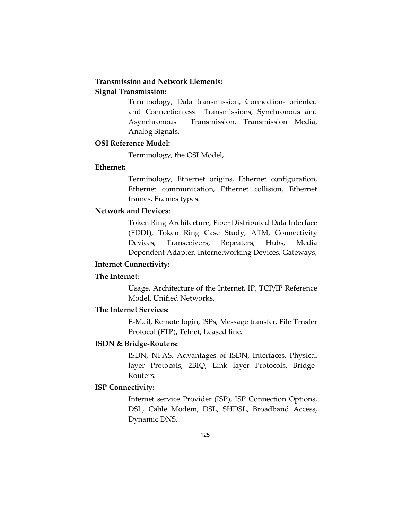## **Transmission and Network Elements:**

## **Signal Transmission:**

 Terminology, Data transmission, Connection- oriented and Connectionless Transmissions, Synchronous and Asynchronous Transmission, Transmission Media, Analog Signals.

### **OSI Reference Model:**

Terminology, the OSI Model,

## **Ethernet:**

Terminology, Ethernet origins, Ethernet configuration, Ethernet communication, Ethernet collision, Ethernet frames, Frames types.

## **Network and Devices:**

Token Ring Architecture, Fiber Distributed Data Interface (FDDI), Token Ring Case Study, ATM, Connectivity Devices, Transceivers, Repeaters, Hubs, Media Dependent Adapter, Internetworking Devices, Gateways,

## **Internet Connectivity:**

## **The Internet:**

 Usage, Architecture of the Internet, IP, TCP/IP Reference Model, Unified Networks.

## **The Internet Services:**

E-Mail, Remote login, ISPs, Message transfer, File Trnsfer Protocol (FTP), Telnet, Leased line.

## **ISDN & Bridge-Routers:**

ISDN, NFAS, Advantages of ISDN, Interfaces, Physical layer Protocols, 2BIQ, Link layer Protocols, Bridge-Routers.

## **ISP Connectivity:**

Internet service Provider (ISP), ISP Connection Options, DSL, Cable Modem, DSL, SHDSL, Broadband Access, Dynamic DNS.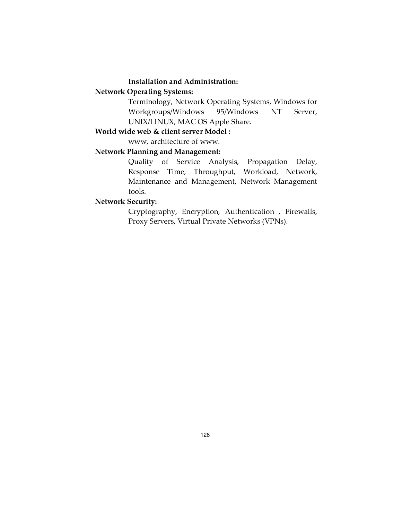### **Installation and Administration:**

## **Network Operating Systems:**

Terminology, Network Operating Systems, Windows for Workgroups/Windows 95/Windows NT Server, UNIX/LINUX, MAC OS Apple Share.

## **World wide web & client server Model :**

www, architecture of www.

## **Network Planning and Management:**

Quality of Service Analysis, Propagation Delay, Response Time, Throughput, Workload, Network, Maintenance and Management, Network Management tools.

## **Network Security:**

 Cryptography, Encryption, Authentication , Firewalls, Proxy Servers, Virtual Private Networks (VPNs).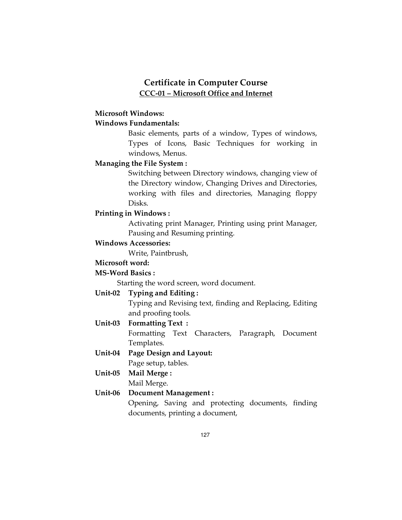## **Certificate in Computer Course CCC-01 – Microsoft Office and Internet**

## **Microsoft Windows:**

## **Windows Fundamentals:**

Basic elements, parts of a window, Types of windows, Types of Icons, Basic Techniques for working in windows, Menus.

## **Managing the File System :**

Switching between Directory windows, changing view of the Directory window, Changing Drives and Directories, working with files and directories, Managing floppy Disks.

## **Printing in Windows :**

Activating print Manager, Printing using print Manager, Pausing and Resuming printing.

## **Windows Accessories:**

Write, Paintbrush,

## **Microsoft word:**

#### **MS-Word Basics :**

Starting the word screen, word document.

### **Unit-02 Typing and Editing :**

Typing and Revising text, finding and Replacing, Editing and proofing tools.

## **Unit-03 Formatting Text :**

 Formatting Text Characters, Paragraph, Document Templates.

## **Unit-04 Page Design and Layout:**  Page setup, tables.

# **Unit-05 Mail Merge :**

Mail Merge.

## **Unit-06 Document Management :**

 Opening, Saving and protecting documents, finding documents, printing a document,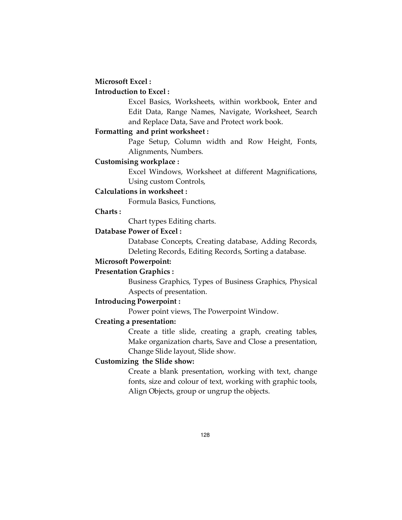#### **Microsoft Excel :**

## **Introduction to Excel :**

 Excel Basics, Worksheets, within workbook, Enter and Edit Data, Range Names, Navigate, Worksheet, Search and Replace Data, Save and Protect work book.

#### **Formatting and print worksheet :**

 Page Setup, Column width and Row Height, Fonts, Alignments, Numbers.

#### **Customising workplace :**

 Excel Windows, Worksheet at different Magnifications, Using custom Controls,

## **Calculations in worksheet :**

Formula Basics, Functions,

#### **Charts :**

Chart types Editing charts.

## **Database Power of Excel :**

 Database Concepts, Creating database, Adding Records, Deleting Records, Editing Records, Sorting a database.

#### **Microsoft Powerpoint:**

#### **Presentation Graphics :**

 Business Graphics, Types of Business Graphics, Physical Aspects of presentation.

#### **Introducing Powerpoint :**

Power point views, The Powerpoint Window.

## **Creating a presentation:**

 Create a title slide, creating a graph, creating tables, Make organization charts, Save and Close a presentation, Change Slide layout, Slide show.

### **Customizing the Slide show:**

 Create a blank presentation, working with text, change fonts, size and colour of text, working with graphic tools, Align Objects, group or ungrup the objects.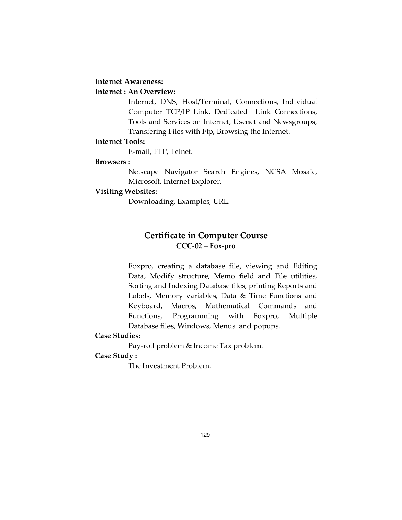#### **Internet Awareness:**

## **Internet : An Overview:**

 Internet, DNS, Host/Terminal, Connections, Individual Computer TCP/IP Link, Dedicated Link Connections, Tools and Services on Internet, Usenet and Newsgroups, Transfering Files with Ftp, Browsing the Internet.

#### **Internet Tools:**

E-mail, FTP, Telnet.

#### **Browsers :**

 Netscape Navigator Search Engines, NCSA Mosaic, Microsoft, Internet Explorer.

### **Visiting Websites:**

Downloading, Examples, URL.

## **Certificate in Computer Course CCC-02 – Fox-pro**

 Foxpro, creating a database file, viewing and Editing Data, Modify structure, Memo field and File utilities, Sorting and Indexing Database files, printing Reports and Labels, Memory variables, Data & Time Functions and Keyboard, Macros, Mathematical Commands and Functions, Programming with Foxpro, Multiple Database files, Windows, Menus and popups.

## **Case Studies:**

Pay-roll problem & Income Tax problem.

## **Case Study :**

The Investment Problem.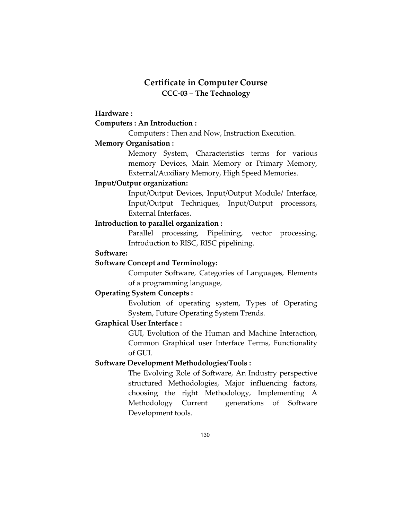## **Certificate in Computer Course CCC-03 – The Technology**

## **Hardware :**

### **Computers : An Introduction :**

Computers : Then and Now, Instruction Execution.

## **Memory Organisation :**

Memory System, Characteristics terms for various memory Devices, Main Memory or Primary Memory, External/Auxiliary Memory, High Speed Memories.

## **Input/Outpur organization:**

Input/Output Devices, Input/Output Module/ Interface, Input/Output Techniques, Input/Output processors, External Interfaces.

## **Introduction to parallel organization :**

Parallel processing, Pipelining, vector processing, Introduction to RISC, RISC pipelining.

## **Software:**

## **Software Concept and Terminology:**

Computer Software, Categories of Languages, Elements of a programming language,

## **Operating System Concepts :**

Evolution of operating system, Types of Operating System, Future Operating System Trends.

## **Graphical User Interface :**

GUI, Evolution of the Human and Machine Interaction, Common Graphical user Interface Terms, Functionality of GUI.

## **Software Development Methodologies/Tools :**

 The Evolving Role of Software, An Industry perspective structured Methodologies, Major influencing factors, choosing the right Methodology, Implementing A Methodology Current generations of Software Development tools.